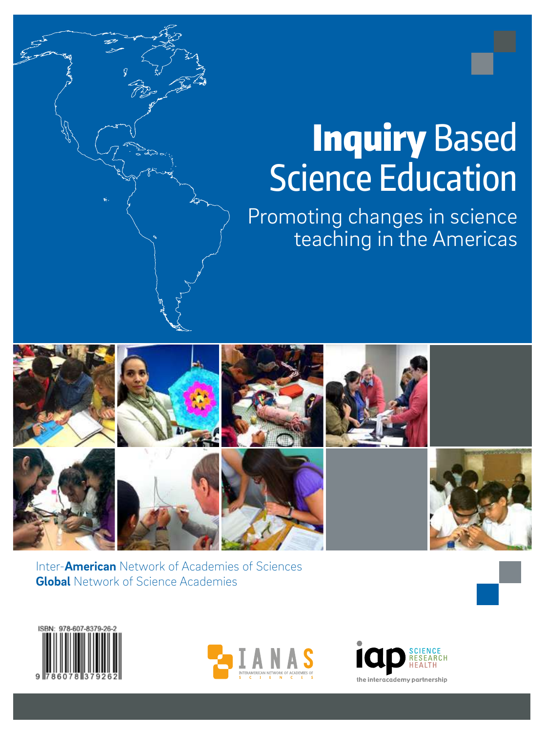# **Education** en Science Education **Inquiry Based**

 $\begin{pmatrix} 1 & 1 \\ 0 & 1 \end{pmatrix}$  Promoting change  $\Box$   $\Diamond$  teaching in the  $\angle$  $\left\{\begin{array}{c} \mathcal{M}_{\text{max}} \end{array}\right\}$ Promoting changes in science teaching in the Americas



EDUCACIÓN EN CIENCIAS BASADA EN LA INDAGACIÓN. PROMOVIENDO CAMBIOS EN LA ENSEÑANZA DE LAS CIENCIAS EN LAS AMÉRICAS

Inter-**American** Network of Academies of Sciences **Global** Network of Science Academies





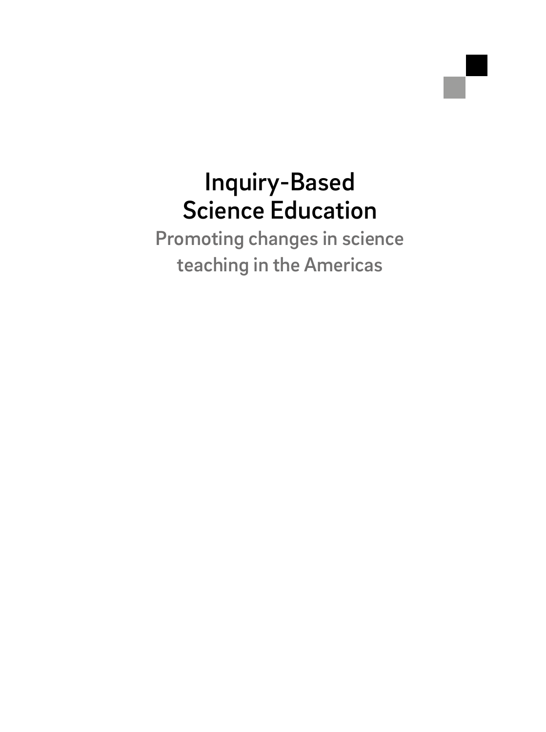### Inquiry-Based Science Education

Promoting changes in science teaching in the Americas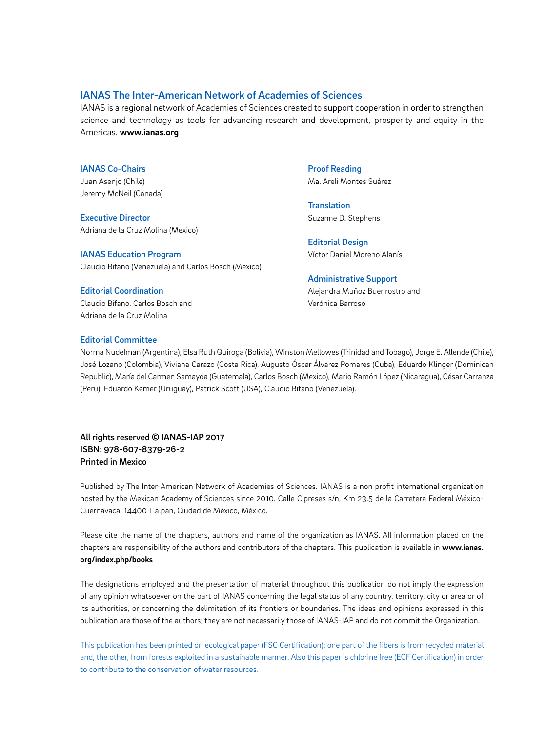### IANAS The Inter-American Network of Academies of Sciences

IANAS is a regional network of Academies of Sciences created to support cooperation in order to strengthen science and technology as tools for advancing research and development, prosperity and equity in the Americas. **www.ianas.org**

IANAS Co-Chairs Juan Asenjo (Chile) Jeremy McNeil (Canada)

Executive Director Adriana de la Cruz Molina (Mexico)

IANAS Education Program Claudio Bifano (Venezuela) and Carlos Bosch (Mexico)

#### Editorial Coordination

Claudio Bifano, Carlos Bosch and Adriana de la Cruz Molina

Proof Reading Ma. Areli Montes Suárez

**Translation** Suzanne D. Stephens

Editorial Design Víctor Daniel Moreno Alanís

### Administrative Support

Alejandra Muñoz Buenrostro and Verónica Barroso

### Editorial Committee

Norma Nudelman (Argentina), Elsa Ruth Quiroga (Bolivia), Winston Mellowes (Trinidad and Tobago), Jorge E. Allende (Chile), José Lozano (Colombia), Viviana Carazo (Costa Rica), Augusto Óscar Álvarez Pomares (Cuba), Eduardo Klinger (Dominican Republic), María del Carmen Samayoa (Guatemala), Carlos Bosch (Mexico), Mario Ramón López (Nicaragua), César Carranza (Peru), Eduardo Kemer (Uruguay), Patrick Scott (USA), Claudio Bifano (Venezuela).

All rights reserved © IANAS-IAP 2017 ISBN: 978-607-8379-26-2 Printed in Mexico

Published by The Inter-American Network of Academies of Sciences. IANAS is a non profit international organization hosted by the Mexican Academy of Sciences since 2010. Calle Cipreses s/n, Km 23.5 de la Carretera Federal México-Cuernavaca, 14400 Tlalpan, Ciudad de México, México.

Please cite the name of the chapters, authors and name of the organization as IANAS. All information placed on the chapters are responsibility of the authors and contributors of the chapters. This publication is available in **www.ianas. org/index.php/books** 

The designations employed and the presentation of material throughout this publication do not imply the expression of any opinion whatsoever on the part of IANAS concerning the legal status of any country, territory, city or area or of its authorities, or concerning the delimitation of its frontiers or boundaries. The ideas and opinions expressed in this publication are those of the authors; they are not necessarily those of IANAS-IAP and do not commit the Organization.

This publication has been printed on ecological paper (FSC Certification): one part of the fibers is from recycled material and, the other, from forests exploited in a sustainable manner. Also this paper is chlorine free (ECF Certification) in order to contribute to the conservation of water resources.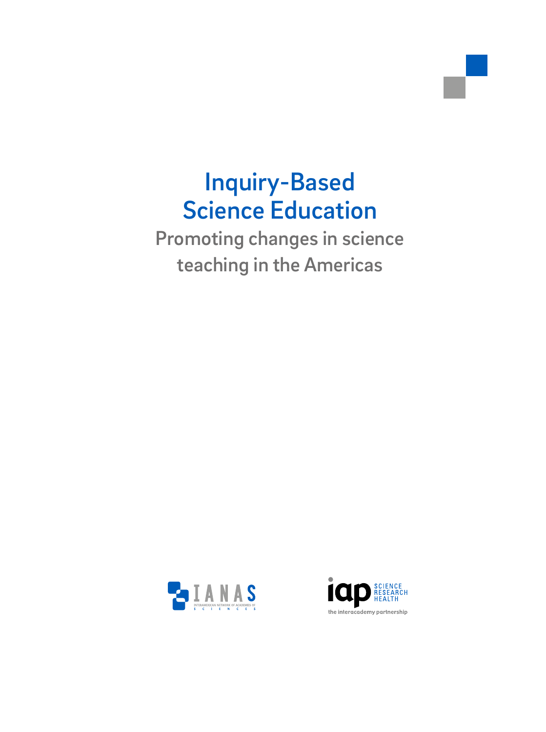### Inquiry-Based Science Education

Promoting changes in science teaching in the Americas



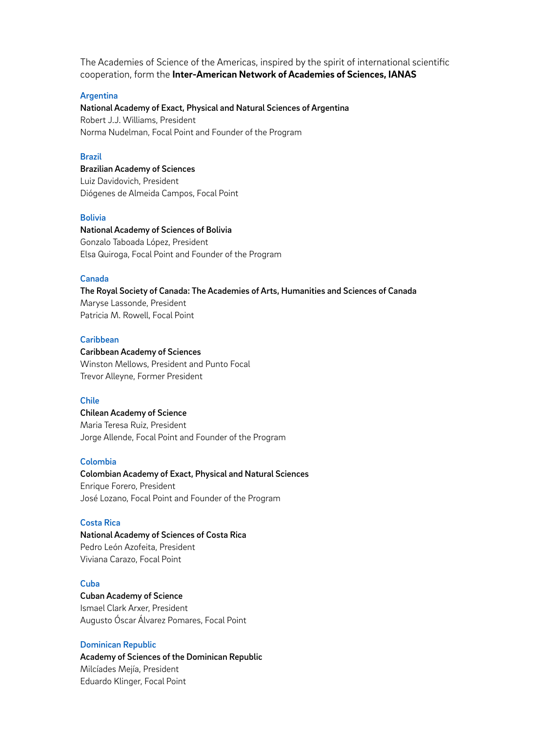The Academies of Science of the Americas, inspired by the spirit of international scientific cooperation, form the **Inter-American Network of Academies of Sciences, IANAS**

### **Argentina**

### National Academy of Exact, Physical and Natural Sciences of Argentina Robert J.J. Williams, President

Norma Nudelman, Focal Point and Founder of the Program

### Brazil

Brazilian Academy of Sciences Luiz Davidovich, President Diógenes de Almeida Campos, Focal Point

### Bolivia

### National Academy of Sciences of Bolivia Gonzalo Taboada López, President Elsa Quiroga, Focal Point and Founder of the Program

### Canada

The Royal Society of Canada: The Academies of Arts, Humanities and Sciences of Canada Maryse Lassonde, President Patricia M. Rowell, Focal Point

### **Caribbean**

#### Caribbean Academy of Sciences

Winston Mellows, President and Punto Focal Trevor Alleyne, Former President

### Chile

Chilean Academy of Science Maria Teresa Ruiz, President Jorge Allende, Focal Point and Founder of the Program

### Colombia

### Colombian Academy of Exact, Physical and Natural Sciences Enrique Forero, President José Lozano, Focal Point and Founder of the Program

### Costa Rica

National Academy of Sciences of Costa Rica Pedro León Azofeita, President Viviana Carazo, Focal Point

### Cuba

Cuban Academy of Science Ismael Clark Arxer, President Augusto Óscar Álvarez Pomares, Focal Point

### Dominican Republic

Academy of Sciences of the Dominican Republic Milcíades Mejía, President Eduardo Klinger, Focal Point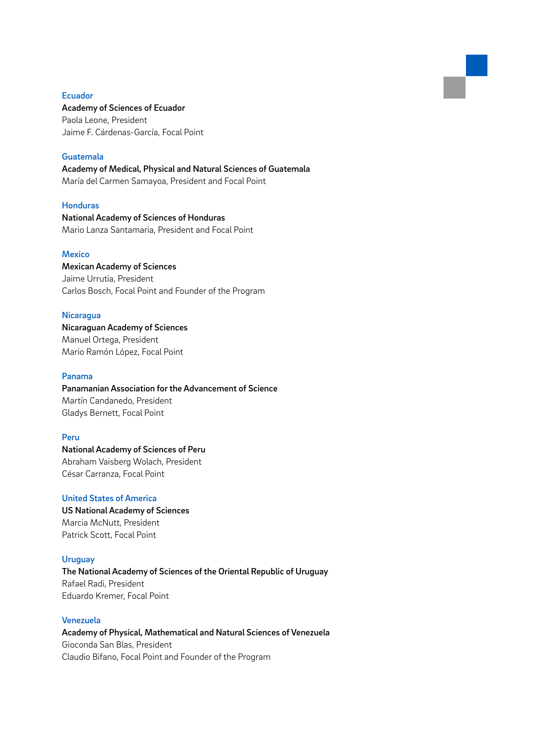### Ecuador

### Academy of Sciences of Ecuador

Paola Leone, President Jaime F. Cárdenas-García, Focal Point

### Guatemala

Academy of Medical, Physical and Natural Sciences of Guatemala María del Carmen Samayoa, President and Focal Point

### Honduras

National Academy of Sciences of Honduras Mario Lanza Santamaria, President and Focal Point

### **Mexico**

Mexican Academy of Sciences Jaime Urrutia, President Carlos Bosch, Focal Point and Founder of the Program

### **Nicaragua**

Nicaraguan Academy of Sciences Manuel Ortega, President Mario Ramón López, Focal Point

### Panama

Panamanian Association for the Advancement of Science Martín Candanedo, President Gladys Bernett, Focal Point

### Peru

National Academy of Sciences of Peru Abraham Vaisberg Wolach, President César Carranza, Focal Point

### United States of America

US National Academy of Sciences Marcia McNutt, President Patrick Scott, Focal Point

### **Uruguay**

The National Academy of Sciences of the Oriental Republic of Uruguay Rafael Radi, President Eduardo Kremer, Focal Point

### Venezuela

Academy of Physical, Mathematical and Natural Sciences of Venezuela Gioconda San Blas, President Claudio Bifano, Focal Point and Founder of the Program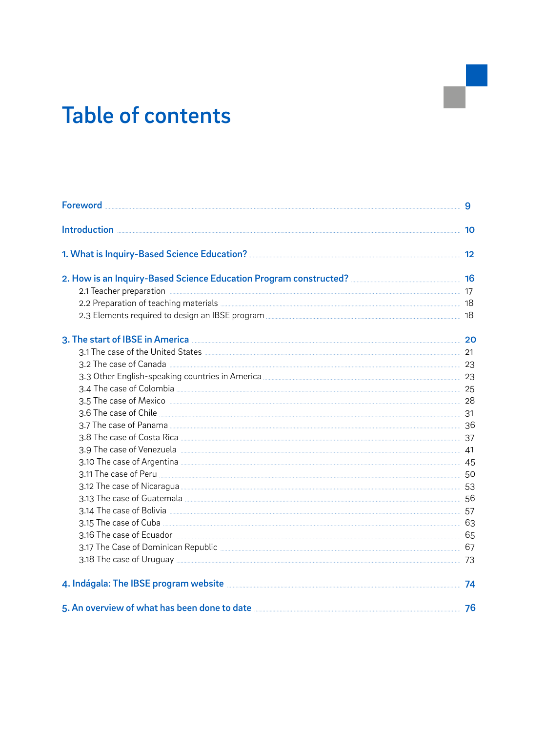### Table of contents

| 2.2 Preparation of teaching materials <b>Exercise Active 2.2</b> Preparation of teaching materials <b>Exercise 2.2</b>                                                                                                                     |  |
|--------------------------------------------------------------------------------------------------------------------------------------------------------------------------------------------------------------------------------------------|--|
|                                                                                                                                                                                                                                            |  |
| 3. The start of IBSE in America <b>Construction and Security America</b> 20                                                                                                                                                                |  |
| 3.1 The case of the United States <b>Manual According to the United States</b> 21                                                                                                                                                          |  |
|                                                                                                                                                                                                                                            |  |
|                                                                                                                                                                                                                                            |  |
|                                                                                                                                                                                                                                            |  |
|                                                                                                                                                                                                                                            |  |
|                                                                                                                                                                                                                                            |  |
|                                                                                                                                                                                                                                            |  |
|                                                                                                                                                                                                                                            |  |
| 3.9 The case of Venezuela <b>Manual According to the Contract Of Venezuela</b> 41                                                                                                                                                          |  |
|                                                                                                                                                                                                                                            |  |
|                                                                                                                                                                                                                                            |  |
|                                                                                                                                                                                                                                            |  |
|                                                                                                                                                                                                                                            |  |
|                                                                                                                                                                                                                                            |  |
| 3.15 The case of Cuba <u><b>2.000 Cuba 2.000 Cuba 2.000 Cuba 2.000 Cuba 2.000 Cuba 2.000 Cuba 2.000 Cuba 2.000 Cuba 2.000 Cuba 2.000 Cuba 2.000 Cuba 2.000 Cuba 2.000 Cuba 2.000 Cuba 2.000 Cuba 2.000 Cuba 2.000 Cuba 2.000 Cuba </b></u> |  |
|                                                                                                                                                                                                                                            |  |
|                                                                                                                                                                                                                                            |  |
|                                                                                                                                                                                                                                            |  |
|                                                                                                                                                                                                                                            |  |
| 5. An overview of what has been done to date <b>measure and the contract of the contract of the set of the contract of the set of the set of the set of the set of the set of the set of the set of the set of the set of the se</b>       |  |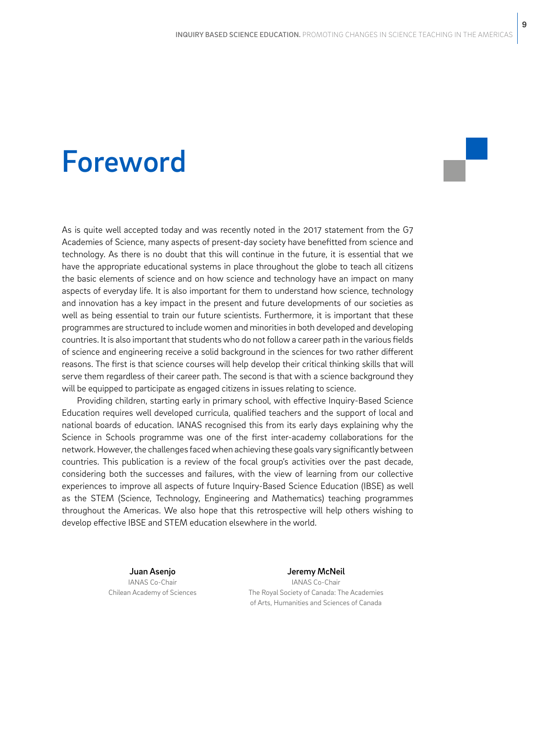### Foreword

As is quite well accepted today and was recently noted in the 2017 statement from the G7 Academies of Science, many aspects of present-day society have benefitted from science and technology. As there is no doubt that this will continue in the future, it is essential that we have the appropriate educational systems in place throughout the globe to teach all citizens the basic elements of science and on how science and technology have an impact on many aspects of everyday life. It is also important for them to understand how science, technology and innovation has a key impact in the present and future developments of our societies as well as being essential to train our future scientists. Furthermore, it is important that these programmes are structured to include women and minorities in both developed and developing countries. It is also important that students who do not follow a career path in the various fields of science and engineering receive a solid background in the sciences for two rather different reasons. The first is that science courses will help develop their critical thinking skills that will serve them regardless of their career path. The second is that with a science background they will be equipped to participate as engaged citizens in issues relating to science.

Providing children, starting early in primary school, with effective Inquiry-Based Science Education requires well developed curricula, qualified teachers and the support of local and national boards of education. IANAS recognised this from its early days explaining why the Science in Schools programme was one of the first inter-academy collaborations for the network. However, the challenges faced when achieving these goals vary significantly between countries. This publication is a review of the focal group's activities over the past decade, considering both the successes and failures, with the view of learning from our collective experiences to improve all aspects of future Inquiry-Based Science Education (IBSE) as well as the STEM (Science, Technology, Engineering and Mathematics) teaching programmes throughout the Americas. We also hope that this retrospective will help others wishing to develop effective IBSE and STEM education elsewhere in the world.

> Juan Asenjo IANAS Co-Chair Chilean Academy of Sciences

Jeremy McNeil IANAS Co-Chair The Royal Society of Canada: The Academies of Arts, Humanities and Sciences of Canada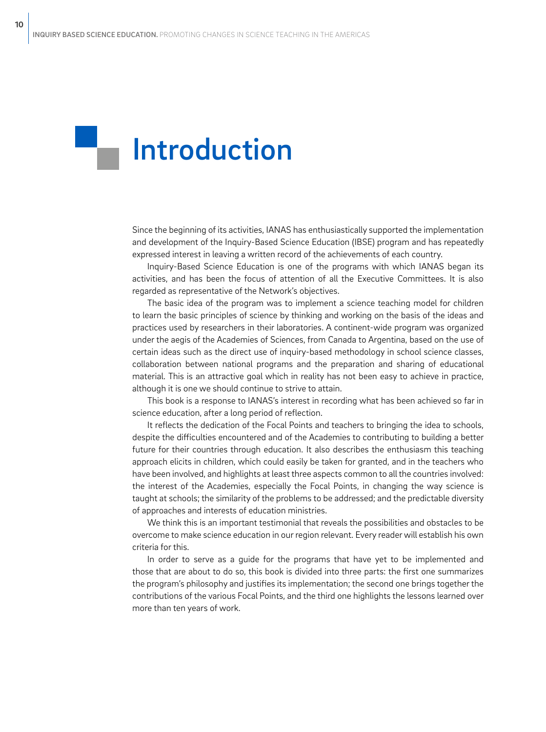# Introduction

Since the beginning of its activities, IANAS has enthusiastically supported the implementation and development of the Inquiry-Based Science Education (IBSE) program and has repeatedly expressed interest in leaving a written record of the achievements of each country.

Inquiry-Based Science Education is one of the programs with which IANAS began its activities, and has been the focus of attention of all the Executive Committees. It is also regarded as representative of the Network's objectives.

The basic idea of the program was to implement a science teaching model for children to learn the basic principles of science by thinking and working on the basis of the ideas and practices used by researchers in their laboratories. A continent-wide program was organized under the aegis of the Academies of Sciences, from Canada to Argentina, based on the use of certain ideas such as the direct use of inquiry-based methodology in school science classes, collaboration between national programs and the preparation and sharing of educational material. This is an attractive goal which in reality has not been easy to achieve in practice, although it is one we should continue to strive to attain.

This book is a response to IANAS's interest in recording what has been achieved so far in science education, after a long period of reflection.

It reflects the dedication of the Focal Points and teachers to bringing the idea to schools, despite the difficulties encountered and of the Academies to contributing to building a better future for their countries through education. It also describes the enthusiasm this teaching approach elicits in children, which could easily be taken for granted, and in the teachers who have been involved, and highlights at least three aspects common to all the countries involved: the interest of the Academies, especially the Focal Points, in changing the way science is taught at schools; the similarity of the problems to be addressed; and the predictable diversity of approaches and interests of education ministries.

We think this is an important testimonial that reveals the possibilities and obstacles to be overcome to make science education in our region relevant. Every reader will establish his own criteria for this.

In order to serve as a guide for the programs that have yet to be implemented and those that are about to do so, this book is divided into three parts: the first one summarizes the program's philosophy and justifies its implementation; the second one brings together the contributions of the various Focal Points, and the third one highlights the lessons learned over more than ten years of work.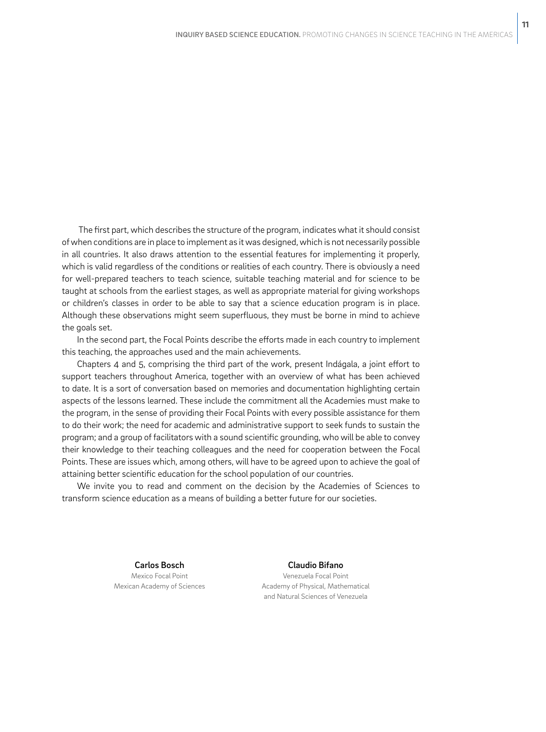The first part, which describes the structure of the program, indicates what it should consist of when conditions are in place to implement as it was designed, which is not necessarily possible in all countries. It also draws attention to the essential features for implementing it properly, which is valid regardless of the conditions or realities of each country. There is obviously a need for well-prepared teachers to teach science, suitable teaching material and for science to be taught at schools from the earliest stages, as well as appropriate material for giving workshops or children's classes in order to be able to say that a science education program is in place. Although these observations might seem superfluous, they must be borne in mind to achieve the goals set.

In the second part, the Focal Points describe the efforts made in each country to implement this teaching, the approaches used and the main achievements.

Chapters 4 and 5, comprising the third part of the work, present Indágala, a joint effort to support teachers throughout America, together with an overview of what has been achieved to date. It is a sort of conversation based on memories and documentation highlighting certain aspects of the lessons learned. These include the commitment all the Academies must make to the program, in the sense of providing their Focal Points with every possible assistance for them to do their work; the need for academic and administrative support to seek funds to sustain the program; and a group of facilitators with a sound scientific grounding, who will be able to convey their knowledge to their teaching colleagues and the need for cooperation between the Focal Points. These are issues which, among others, will have to be agreed upon to achieve the goal of attaining better scientific education for the school population of our countries.

We invite you to read and comment on the decision by the Academies of Sciences to transform science education as a means of building a better future for our societies.

> Carlos Bosch Mexico Focal Point Mexican Academy of Sciences

Claudio Bifano Venezuela Focal Point Academy of Physical, Mathematical and Natural Sciences of Venezuela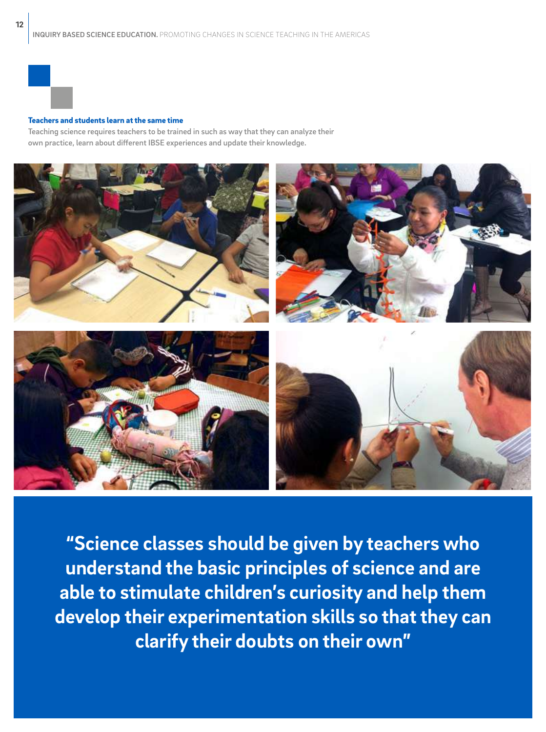

### Teachers and students learn at the same time

Teaching science requires teachers to be trained in such as way that they can analyze their own practice, learn about different IBSE experiences and update their knowledge.



**"Science classes should be given by teachers who understand the basic principles of science and are able to stimulate children's curiosity and help them develop their experimentation skills so that they can clarify their doubts on their own"**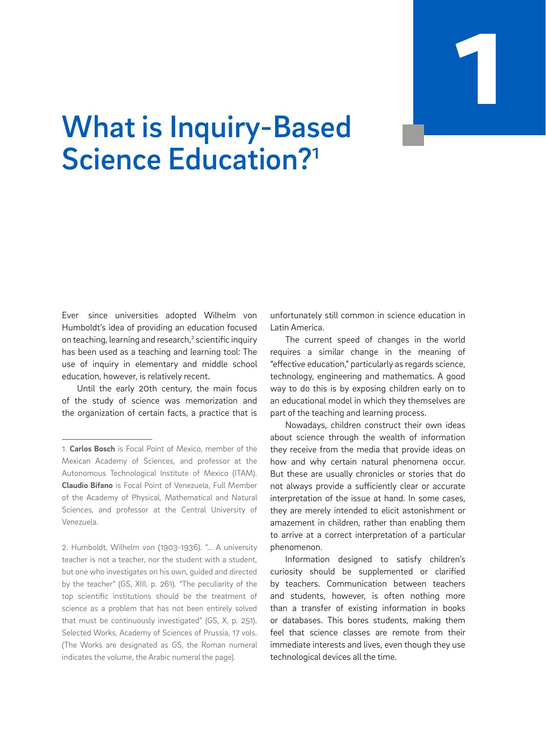

# What is Inquiry-Based Science Education?<sup>1</sup>

Ever since universities adopted Wilhelm von Humboldt's idea of providing an education focused on teaching, learning and research,<sup>2</sup> scientific inquiry has been used as a teaching and learning tool: The use of inquiry in elementary and middle school education, however, is relatively recent.

Until the early 20th century, the main focus of the study of science was memorization and the organization of certain facts, a practice that is

2. Humboldt, Wilhelm von (1903-1936). "... A university teacher is not a teacher, nor the student with a student, but one who investigates on his own, guided and directed by the teacher" (GS, XIII, p. 261). "The peculiarity of the top scientific institutions should be the treatment of science as a problem that has not been entirely solved that must be continuously investigated" (GS, X, p. 251). Selected Works, Academy of Sciences of Prussia, 17 vols. (The Works are designated as GS, the Roman numeral indicates the volume, the Arabic numeral the page).

unfortunately still common in science education in Latin America.

The current speed of changes in the world requires a similar change in the meaning of "effective education," particularly as regards science, technology, engineering and mathematics. A good way to do this is by exposing children early on to an educational model in which they themselves are part of the teaching and learning process.

Nowadays, children construct their own ideas about science through the wealth of information they receive from the media that provide ideas on how and why certain natural phenomena occur. But these are usually chronicles or stories that do not always provide a sufficiently clear or accurate interpretation of the issue at hand. In some cases, they are merely intended to elicit astonishment or amazement in children, rather than enabling them to arrive at a correct interpretation of a particular phenomenon.

Information designed to satisfy children's curiosity should be supplemented or clarified by teachers. Communication between teachers and students, however, is often nothing more than a transfer of existing information in books or databases. This bores students, making them feel that science classes are remote from their immediate interests and lives, even though they use technological devices all the time.

<sup>1.</sup> **Carlos Bosch** is Focal Point of Mexico, member of the Mexican Academy of Sciences, and professor at the Autonomous Technological Institute of Mexico (ITAM). **Claudio Bifano** is Focal Point of Venezuela, Full Member of the Academy of Physical, Mathematical and Natural Sciences, and professor at the Central University of Venezuela.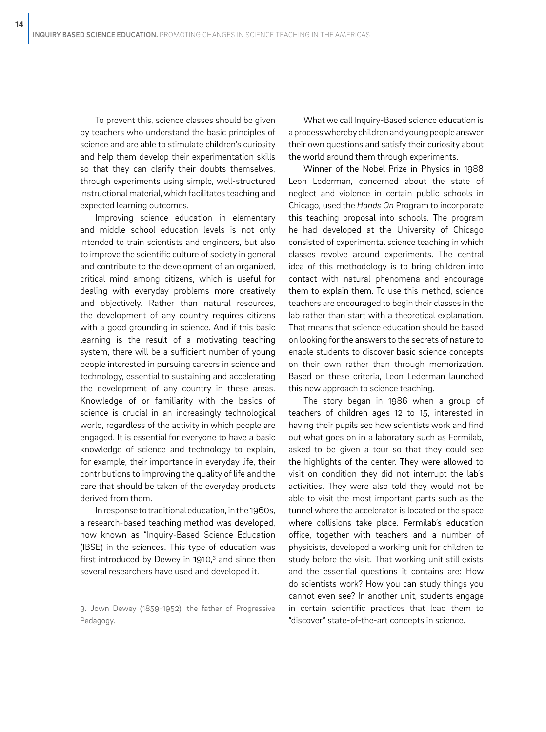To prevent this, science classes should be given by teachers who understand the basic principles of science and are able to stimulate children's curiosity and help them develop their experimentation skills so that they can clarify their doubts themselves, through experiments using simple, well-structured instructional material, which facilitates teaching and expected learning outcomes.

Improving science education in elementary and middle school education levels is not only intended to train scientists and engineers, but also to improve the scientific culture of society in general and contribute to the development of an organized, critical mind among citizens, which is useful for dealing with everyday problems more creatively and objectively. Rather than natural resources, the development of any country requires citizens with a good grounding in science. And if this basic learning is the result of a motivating teaching system, there will be a sufficient number of young people interested in pursuing careers in science and technology, essential to sustaining and accelerating the development of any country in these areas. Knowledge of or familiarity with the basics of science is crucial in an increasingly technological world, regardless of the activity in which people are engaged. It is essential for everyone to have a basic knowledge of science and technology to explain, for example, their importance in everyday life, their contributions to improving the quality of life and the care that should be taken of the everyday products derived from them.

In response to traditional education, in the 1960s, a research-based teaching method was developed, now known as "Inquiry-Based Science Education (IBSE) in the sciences. This type of education was first introduced by Dewey in  $1910<sub>1</sub><sup>3</sup>$  and since then several researchers have used and developed it.

What we call Inquiry-Based science education is a process whereby children and young people answer their own questions and satisfy their curiosity about the world around them through experiments.

Winner of the Nobel Prize in Physics in 1988 Leon Lederman, concerned about the state of neglect and violence in certain public schools in Chicago, used the *Hands On* Program to incorporate this teaching proposal into schools. The program he had developed at the University of Chicago consisted of experimental science teaching in which classes revolve around experiments. The central idea of this methodology is to bring children into contact with natural phenomena and encourage them to explain them. To use this method, science teachers are encouraged to begin their classes in the lab rather than start with a theoretical explanation. That means that science education should be based on looking for the answers to the secrets of nature to enable students to discover basic science concepts on their own rather than through memorization. Based on these criteria, Leon Lederman launched this new approach to science teaching.

The story began in 1986 when a group of teachers of children ages 12 to 15, interested in having their pupils see how scientists work and find out what goes on in a laboratory such as Fermilab, asked to be given a tour so that they could see the highlights of the center. They were allowed to visit on condition they did not interrupt the lab's activities. They were also told they would not be able to visit the most important parts such as the tunnel where the accelerator is located or the space where collisions take place. Fermilab's education office, together with teachers and a number of physicists, developed a working unit for children to study before the visit. That working unit still exists and the essential questions it contains are: How do scientists work? How you can study things you cannot even see? In another unit, students engage in certain scientific practices that lead them to "discover" state-of-the-art concepts in science.

<sup>3.</sup> Jown Dewey (1859-1952), the father of Progressive Pedagogy.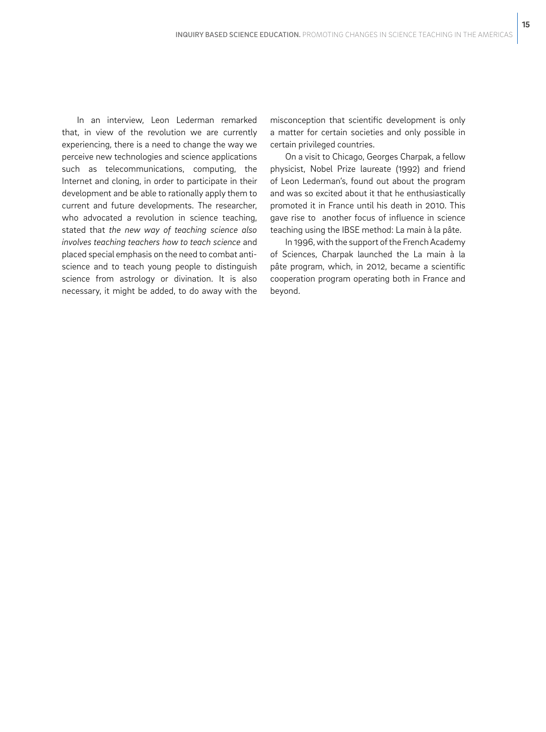In an interview, Leon Lederman remarked that, in view of the revolution we are currently experiencing, there is a need to change the way we perceive new technologies and science applications such as telecommunications, computing, the Internet and cloning, in order to participate in their development and be able to rationally apply them to current and future developments. The researcher, who advocated a revolution in science teaching, stated that *the new way of teaching science also involves teaching teachers how to teach science* and placed special emphasis on the need to combat antiscience and to teach young people to distinguish science from astrology or divination. It is also necessary, it might be added, to do away with the

misconception that scientific development is only a matter for certain societies and only possible in certain privileged countries.

**15**

On a visit to Chicago, Georges Charpak, a fellow physicist, Nobel Prize laureate (1992) and friend of Leon Lederman's, found out about the program and was so excited about it that he enthusiastically promoted it in France until his death in 2010. This gave rise to another focus of influence in science teaching using the IBSE method: La main à la pâte.

In 1996, with the support of the French Academy of Sciences, Charpak launched the La main à la pâte program, which, in 2012, became a scientific cooperation program operating both in France and beyond.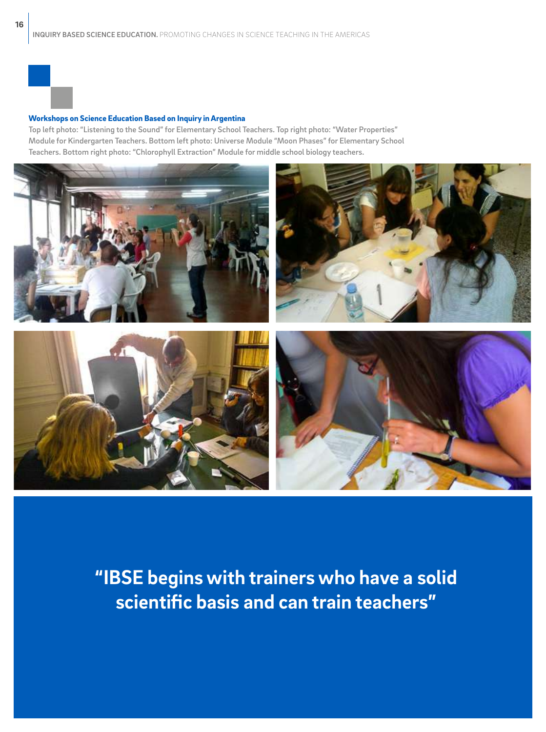### Workshops on Science Education Based on Inquiry in Argentina

Top left photo: "Listening to the Sound" for Elementary School Teachers. Top right photo: "Water Properties" Module for Kindergarten Teachers. Bottom left photo: Universe Module "Moon Phases" for Elementary School Teachers. Bottom right photo: "Chlorophyll Extraction" Module for middle school biology teachers.



**"IBSE begins with trainers who have a solid scientific basis and can train teachers"**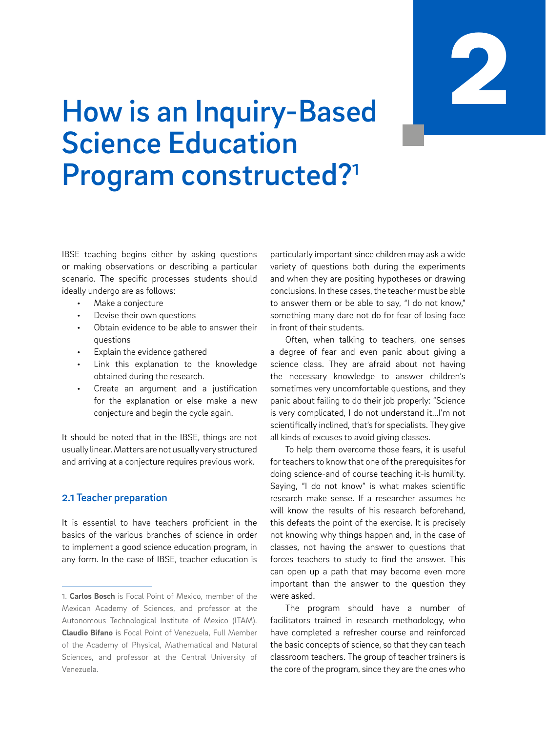

### How is an Inquiry-Based Science Education Program constructed?<sup>1</sup>

IBSE teaching begins either by asking questions or making observations or describing a particular scenario. The specific processes students should ideally undergo are as follows:

- Make a conjecture
- Devise their own questions
- Obtain evidence to be able to answer their questions
- Explain the evidence gathered
- Link this explanation to the knowledge obtained during the research.
- Create an argument and a justification for the explanation or else make a new conjecture and begin the cycle again.

It should be noted that in the IBSE, things are not usually linear. Matters are not usually very structured and arriving at a conjecture requires previous work.

### 2.1 Teacher preparation

It is essential to have teachers proficient in the basics of the various branches of science in order to implement a good science education program, in any form. In the case of IBSE, teacher education is

particularly important since children may ask a wide variety of questions both during the experiments and when they are positing hypotheses or drawing conclusions. In these cases, the teacher must be able to answer them or be able to say, "I do not know," something many dare not do for fear of losing face in front of their students.

Often, when talking to teachers, one senses a degree of fear and even panic about giving a science class. They are afraid about not having the necessary knowledge to answer children's sometimes very uncomfortable questions, and they panic about failing to do their job properly: "Science is very complicated, I do not understand it...I'm not scientifically inclined, that's for specialists. They give all kinds of excuses to avoid giving classes.

To help them overcome those fears, it is useful for teachers to know that one of the prerequisites for doing science-and of course teaching it-is humility. Saying, "I do not know" is what makes scientific research make sense. If a researcher assumes he will know the results of his research beforehand. this defeats the point of the exercise. It is precisely not knowing why things happen and, in the case of classes, not having the answer to questions that forces teachers to study to find the answer. This can open up a path that may become even more important than the answer to the question they were asked.

The program should have a number of facilitators trained in research methodology, who have completed a refresher course and reinforced the basic concepts of science, so that they can teach classroom teachers. The group of teacher trainers is the core of the program, since they are the ones who

<sup>1.</sup> **Carlos Bosch** is Focal Point of Mexico, member of the Mexican Academy of Sciences, and professor at the Autonomous Technological Institute of Mexico (ITAM). **Claudio Bifano** is Focal Point of Venezuela, Full Member of the Academy of Physical, Mathematical and Natural Sciences, and professor at the Central University of Venezuela.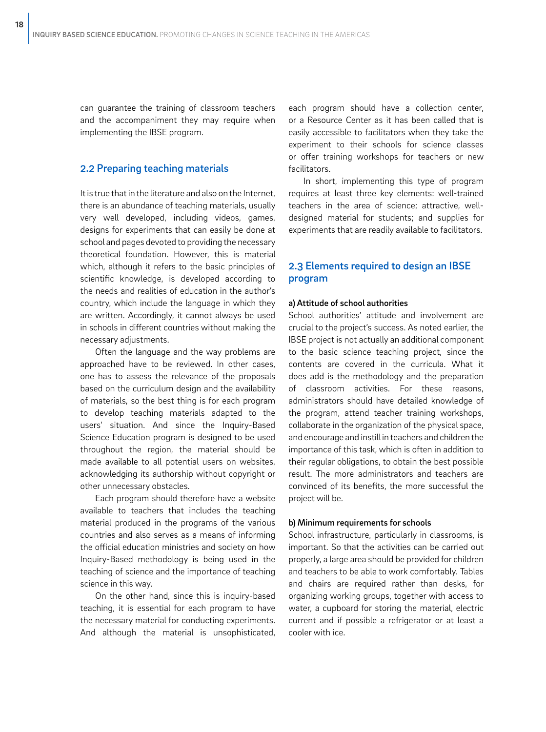can guarantee the training of classroom teachers and the accompaniment they may require when implementing the IBSE program.

### 2.2 Preparing teaching materials

It is true that in the literature and also on the Internet, there is an abundance of teaching materials, usually very well developed, including videos, games, designs for experiments that can easily be done at school and pages devoted to providing the necessary theoretical foundation. However, this is material which, although it refers to the basic principles of scientific knowledge, is developed according to the needs and realities of education in the author's country, which include the language in which they are written. Accordingly, it cannot always be used in schools in different countries without making the necessary adjustments.

Often the language and the way problems are approached have to be reviewed. In other cases, one has to assess the relevance of the proposals based on the curriculum design and the availability of materials, so the best thing is for each program to develop teaching materials adapted to the users' situation. And since the Inquiry-Based Science Education program is designed to be used throughout the region, the material should be made available to all potential users on websites, acknowledging its authorship without copyright or other unnecessary obstacles.

Each program should therefore have a website available to teachers that includes the teaching material produced in the programs of the various countries and also serves as a means of informing the official education ministries and society on how Inquiry-Based methodology is being used in the teaching of science and the importance of teaching science in this way.

On the other hand, since this is inquiry-based teaching, it is essential for each program to have the necessary material for conducting experiments. And although the material is unsophisticated, each program should have a collection center, or a Resource Center as it has been called that is easily accessible to facilitators when they take the experiment to their schools for science classes or offer training workshops for teachers or new facilitators.

In short, implementing this type of program requires at least three key elements: well-trained teachers in the area of science; attractive, welldesigned material for students; and supplies for experiments that are readily available to facilitators.

### 2.3 Elements required to design an IBSE program

### a) Attitude of school authorities

School authorities' attitude and involvement are crucial to the project's success. As noted earlier, the IBSE project is not actually an additional component to the basic science teaching project, since the contents are covered in the curricula. What it does add is the methodology and the preparation of classroom activities. For these reasons, administrators should have detailed knowledge of the program, attend teacher training workshops, collaborate in the organization of the physical space, and encourage and instill in teachers and children the importance of this task, which is often in addition to their regular obligations, to obtain the best possible result. The more administrators and teachers are convinced of its benefits, the more successful the project will be.

### b) Minimum requirements for schools

School infrastructure, particularly in classrooms, is important. So that the activities can be carried out properly, a large area should be provided for children and teachers to be able to work comfortably. Tables and chairs are required rather than desks, for organizing working groups, together with access to water, a cupboard for storing the material, electric current and if possible a refrigerator or at least a cooler with ice.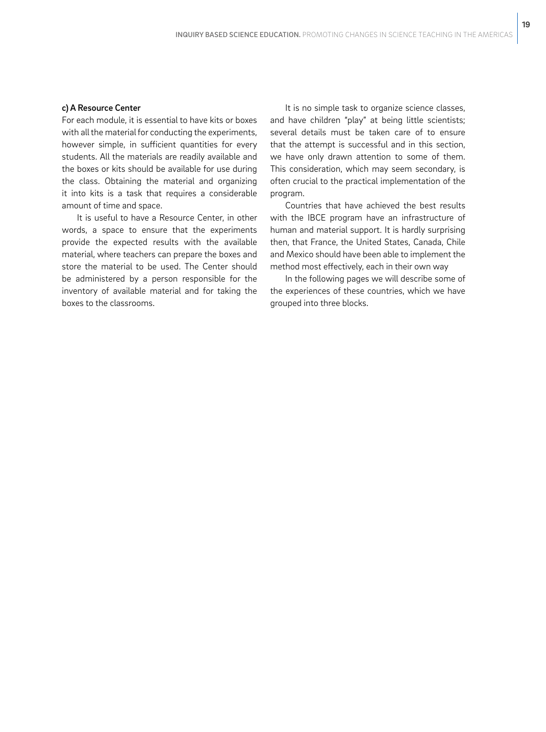### c) A Resource Center

For each module, it is essential to have kits or boxes with all the material for conducting the experiments, however simple, in sufficient quantities for every students. All the materials are readily available and the boxes or kits should be available for use during the class. Obtaining the material and organizing it into kits is a task that requires a considerable amount of time and space.

It is useful to have a Resource Center, in other words, a space to ensure that the experiments provide the expected results with the available material, where teachers can prepare the boxes and store the material to be used. The Center should be administered by a person responsible for the inventory of available material and for taking the boxes to the classrooms.

It is no simple task to organize science classes, and have children "play" at being little scientists; several details must be taken care of to ensure that the attempt is successful and in this section, we have only drawn attention to some of them. This consideration, which may seem secondary, is often crucial to the practical implementation of the program.

Countries that have achieved the best results with the IBCE program have an infrastructure of human and material support. It is hardly surprising then, that France, the United States, Canada, Chile and Mexico should have been able to implement the method most effectively, each in their own way

In the following pages we will describe some of the experiences of these countries, which we have grouped into three blocks.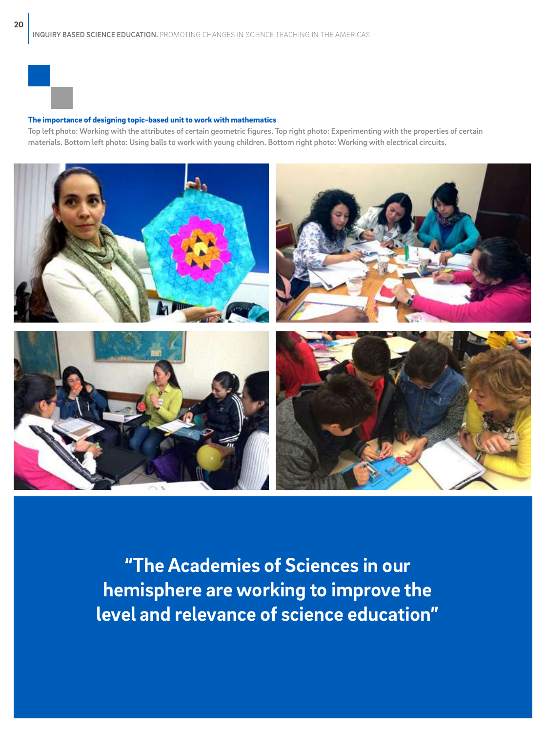### The importance of designing topic-based unit to work with mathematics

Top left photo: Working with the attributes of certain geometric figures. Top right photo: Experimenting with the properties of certain materials. Bottom left photo: Using balls to work with young children. Bottom right photo: Working with electrical circuits.



**"The Academies of Sciences in our hemisphere are working to improve the level and relevance of science education"**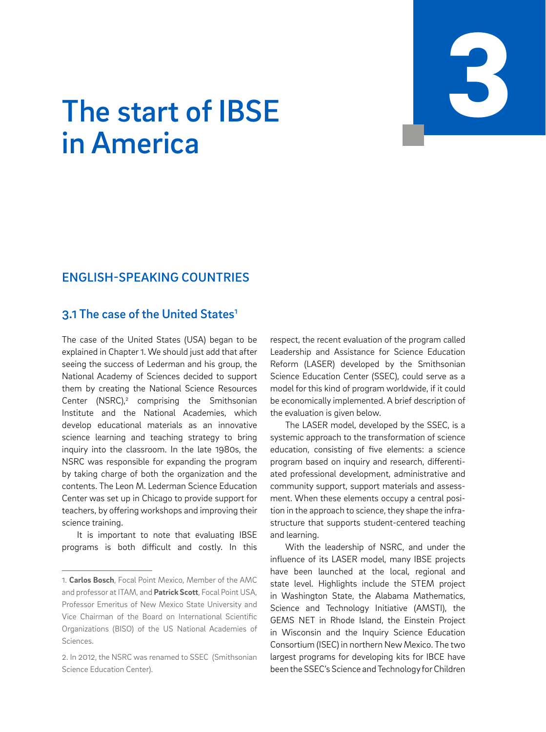# INQUIRY BASED SCIENCE EDUCATION. PROMOTING CHANGES IN SCIENCE TEACHING IN THE AMERICAS 3

# The start of IBSE in America

### ENGLISH-SPEAKING COUNTRIES

### 3.1 The case of the United States<sup>1</sup>

The case of the United States (USA) began to be explained in Chapter 1. We should just add that after seeing the success of Lederman and his group, the National Academy of Sciences decided to support them by creating the National Science Resources Center (NSRC), $^2$  comprising the Smithsonian Institute and the National Academies, which develop educational materials as an innovative science learning and teaching strategy to bring inquiry into the classroom. In the late 1980s, the NSRC was responsible for expanding the program by taking charge of both the organization and the contents. The Leon M. Lederman Science Education Center was set up in Chicago to provide support for teachers, by offering workshops and improving their science training.

It is important to note that evaluating IBSE programs is both difficult and costly. In this respect, the recent evaluation of the program called Leadership and Assistance for Science Education Reform (LASER) developed by the Smithsonian Science Education Center (SSEC), could serve as a model for this kind of program worldwide, if it could be economically implemented. A brief description of the evaluation is given below.

The LASER model, developed by the SSEC, is a systemic approach to the transformation of science education, consisting of five elements: a science program based on inquiry and research, differentiated professional development, administrative and community support, support materials and assessment. When these elements occupy a central position in the approach to science, they shape the infrastructure that supports student-centered teaching and learning.

With the leadership of NSRC, and under the influence of its LASER model, many IBSE projects have been launched at the local, regional and state level. Highlights include the STEM project in Washington State, the Alabama Mathematics, Science and Technology Initiative (AMSTI), the GEMS NET in Rhode Island, the Einstein Project in Wisconsin and the Inquiry Science Education Consortium (ISEC) in northern New Mexico. The two largest programs for developing kits for IBCE have been the SSEC's Science and Technology for Children

<sup>1.</sup> **Carlos Bosch**, Focal Point Mexico, Member of the AMC and professor at ITAM, and **Patrick Scott**, Focal Point USA, Professor Emeritus of New Mexico State University and Vice Chairman of the Board on International Scientific Organizations (BISO) of the US National Academies of Sciences.

<sup>2.</sup> In 2012, the NSRC was renamed to SSEC (Smithsonian Science Education Center).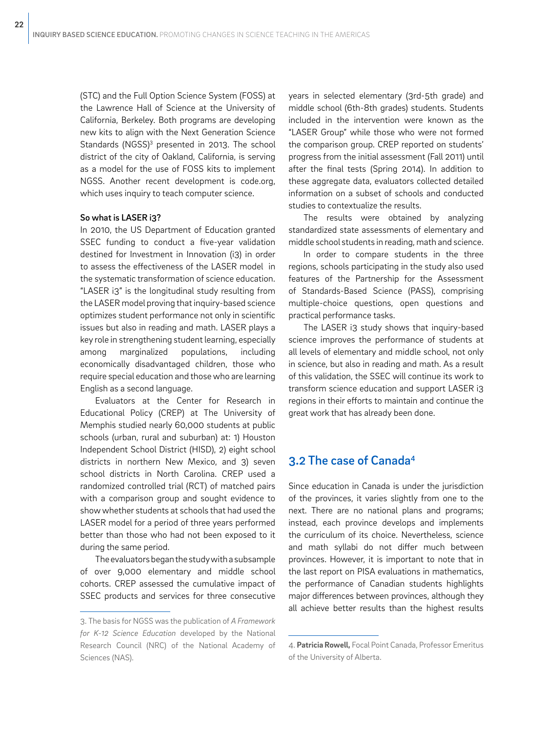(STC) and the Full Option Science System (FOSS) at the Lawrence Hall of Science at the University of California, Berkeley. Both programs are developing new kits to align with the Next Generation Science Standards (NGSS)<sup>3</sup> presented in 2013. The school district of the city of Oakland, California, is serving as a model for the use of FOSS kits to implement NGSS. Another recent development is code.org, which uses inquiry to teach computer science.

### So what is LASER i3?

In 2010, the US Department of Education granted SSEC funding to conduct a five-year validation destined for Investment in Innovation (i3) in order to assess the effectiveness of the LASER model in the systematic transformation of science education. "LASER i3" is the longitudinal study resulting from the LASER model proving that inquiry-based science optimizes student performance not only in scientific issues but also in reading and math. LASER plays a key role in strengthening student learning, especially among marginalized populations, including economically disadvantaged children, those who require special education and those who are learning English as a second language.

Evaluators at the Center for Research in Educational Policy (CREP) at The University of Memphis studied nearly 60,000 students at public schools (urban, rural and suburban) at: 1) Houston Independent School District (HISD), 2) eight school districts in northern New Mexico, and 3) seven school districts in North Carolina. CREP used a randomized controlled trial (RCT) of matched pairs with a comparison group and sought evidence to show whether students at schools that had used the LASER model for a period of three years performed better than those who had not been exposed to it during the same period.

The evaluators began the study with a subsample of over 9,000 elementary and middle school cohorts. CREP assessed the cumulative impact of SSEC products and services for three consecutive

years in selected elementary (3rd-5th grade) and middle school (6th-8th grades) students. Students included in the intervention were known as the "LASER Group" while those who were not formed the comparison group. CREP reported on students' progress from the initial assessment (Fall 2011) until after the final tests (Spring 2014). In addition to these aggregate data, evaluators collected detailed information on a subset of schools and conducted studies to contextualize the results.

The results were obtained by analyzing standardized state assessments of elementary and middle school students in reading, math and science.

In order to compare students in the three regions, schools participating in the study also used features of the Partnership for the Assessment of Standards-Based Science (PASS), comprising multiple-choice questions, open questions and practical performance tasks.

The LASER i3 study shows that inquiry-based science improves the performance of students at all levels of elementary and middle school, not only in science, but also in reading and math. As a result of this validation, the SSEC will continue its work to transform science education and support LASER i3 regions in their efforts to maintain and continue the great work that has already been done.

### 3.2 The case of Canada4

Since education in Canada is under the jurisdiction of the provinces, it varies slightly from one to the next. There are no national plans and programs; instead, each province develops and implements the curriculum of its choice. Nevertheless, science and math syllabi do not differ much between provinces. However, it is important to note that in the last report on PISA evaluations in mathematics, the performance of Canadian students highlights major differences between provinces, although they all achieve better results than the highest results

<sup>3.</sup> The basis for NGSS was the publication of *A Framework for K-12 Science Education* developed by the National Research Council (NRC) of the National Academy of Sciences (NAS).

<sup>4.</sup> **Patricia Rowell,** Focal Point Canada, Professor Emeritus of the University of Alberta.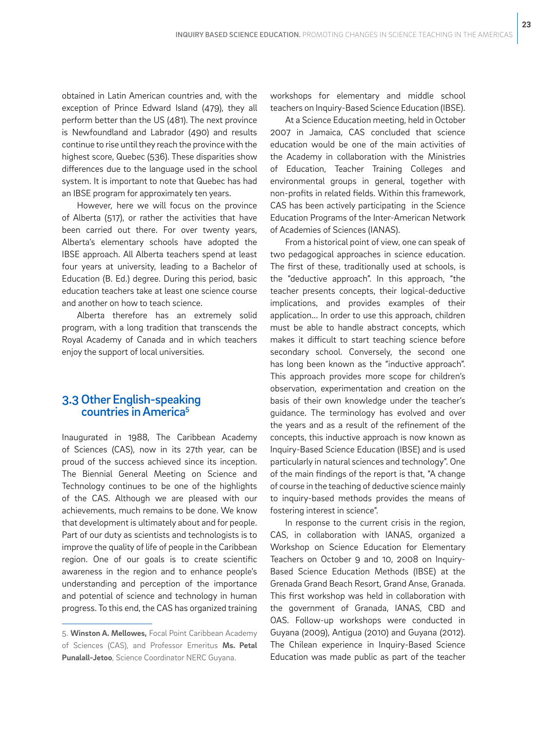obtained in Latin American countries and, with the exception of Prince Edward Island (479), they all perform better than the US (481). The next province is Newfoundland and Labrador (490) and results continue to rise until they reach the province with the highest score, Quebec (536). These disparities show differences due to the language used in the school system. It is important to note that Quebec has had an IBSE program for approximately ten years.

However, here we will focus on the province of Alberta (517), or rather the activities that have been carried out there. For over twenty years, Alberta's elementary schools have adopted the IBSE approach. All Alberta teachers spend at least four years at university, leading to a Bachelor of Education (B. Ed.) degree. During this period, basic education teachers take at least one science course and another on how to teach science.

Alberta therefore has an extremely solid program, with a long tradition that transcends the Royal Academy of Canada and in which teachers enjoy the support of local universities.

### 3.3 Other English-speaking countries in America5

Inaugurated in 1988, The Caribbean Academy of Sciences (CAS), now in its 27th year, can be proud of the success achieved since its inception. The Biennial General Meeting on Science and Technology continues to be one of the highlights of the CAS. Although we are pleased with our achievements, much remains to be done. We know that development is ultimately about and for people. Part of our duty as scientists and technologists is to improve the quality of life of people in the Caribbean region. One of our goals is to create scientific awareness in the region and to enhance people's understanding and perception of the importance and potential of science and technology in human progress. To this end, the CAS has organized training workshops for elementary and middle school teachers on Inquiry-Based Science Education (IBSE).

At a Science Education meeting, held in October 2007 in Jamaica, CAS concluded that science education would be one of the main activities of the Academy in collaboration with the Ministries of Education, Teacher Training Colleges and environmental groups in general, together with non-profits in related fields. Within this framework, CAS has been actively participating in the Science Education Programs of the Inter-American Network of Academies of Sciences (IANAS).

From a historical point of view, one can speak of two pedagogical approaches in science education. The first of these, traditionally used at schools, is the "deductive approach". In this approach, "the teacher presents concepts, their logical-deductive implications, and provides examples of their application... In order to use this approach, children must be able to handle abstract concepts, which makes it difficult to start teaching science before secondary school. Conversely, the second one has long been known as the "inductive approach". This approach provides more scope for children's observation, experimentation and creation on the basis of their own knowledge under the teacher's guidance. The terminology has evolved and over the years and as a result of the refinement of the concepts, this inductive approach is now known as Inquiry-Based Science Education (IBSE) and is used particularly in natural sciences and technology". One of the main findings of the report is that, "A change of course in the teaching of deductive science mainly to inquiry-based methods provides the means of fostering interest in science".

In response to the current crisis in the region, CAS, in collaboration with IANAS, organized a Workshop on Science Education for Elementary Teachers on October 9 and 10, 2008 on Inquiry-Based Science Education Methods (IBSE) at the Grenada Grand Beach Resort, Grand Anse, Granada. This first workshop was held in collaboration with the government of Granada, IANAS, CBD and OAS. Follow-up workshops were conducted in Guyana (2009), Antigua (2010) and Guyana (2012). The Chilean experience in Inquiry-Based Science Education was made public as part of the teacher

<sup>5.</sup> **Winston A. Mellowes,** Focal Point Caribbean Academy of Sciences (CAS), and Professor Emeritus **Ms. Petal Punalall-Jetoo**, Science Coordinator NERC Guyana.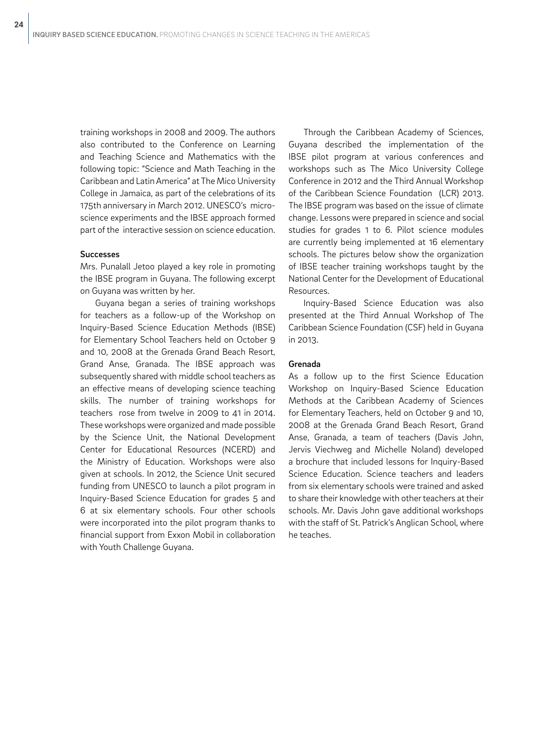training workshops in 2008 and 2009. The authors also contributed to the Conference on Learning and Teaching Science and Mathematics with the following topic: "Science and Math Teaching in the Caribbean and Latin America" at The Mico University College in Jamaica, as part of the celebrations of its 175th anniversary in March 2012. UNESCO's microscience experiments and the IBSE approach formed part of the interactive session on science education.

### Successes

Mrs. Punalall Jetoo played a key role in promoting the IBSE program in Guyana. The following excerpt on Guyana was written by her.

Guyana began a series of training workshops for teachers as a follow-up of the Workshop on Inquiry-Based Science Education Methods (IBSE) for Elementary School Teachers held on October 9 and 10, 2008 at the Grenada Grand Beach Resort, Grand Anse, Granada. The IBSE approach was subsequently shared with middle school teachers as an effective means of developing science teaching skills. The number of training workshops for teachers rose from twelve in 2009 to 41 in 2014. These workshops were organized and made possible by the Science Unit, the National Development Center for Educational Resources (NCERD) and the Ministry of Education. Workshops were also given at schools. In 2012, the Science Unit secured funding from UNESCO to launch a pilot program in Inquiry-Based Science Education for grades 5 and 6 at six elementary schools. Four other schools were incorporated into the pilot program thanks to financial support from Exxon Mobil in collaboration with Youth Challenge Guyana.

Through the Caribbean Academy of Sciences, Guyana described the implementation of the IBSE pilot program at various conferences and workshops such as The Mico University College Conference in 2012 and the Third Annual Workshop of the Caribbean Science Foundation (LCR) 2013. The IBSE program was based on the issue of climate change. Lessons were prepared in science and social studies for grades 1 to 6. Pilot science modules are currently being implemented at 16 elementary schools. The pictures below show the organization of IBSE teacher training workshops taught by the National Center for the Development of Educational Resources.

Inquiry-Based Science Education was also presented at the Third Annual Workshop of The Caribbean Science Foundation (CSF) held in Guyana in 2013.

### Grenada

As a follow up to the first Science Education Workshop on Inquiry-Based Science Education Methods at the Caribbean Academy of Sciences for Elementary Teachers, held on October 9 and 10, 2008 at the Grenada Grand Beach Resort, Grand Anse, Granada, a team of teachers (Davis John, Jervis Viechweg and Michelle Noland) developed a brochure that included lessons for Inquiry-Based Science Education. Science teachers and leaders from six elementary schools were trained and asked to share their knowledge with other teachers at their schools. Mr. Davis John gave additional workshops with the staff of St. Patrick's Anglican School, where he teaches.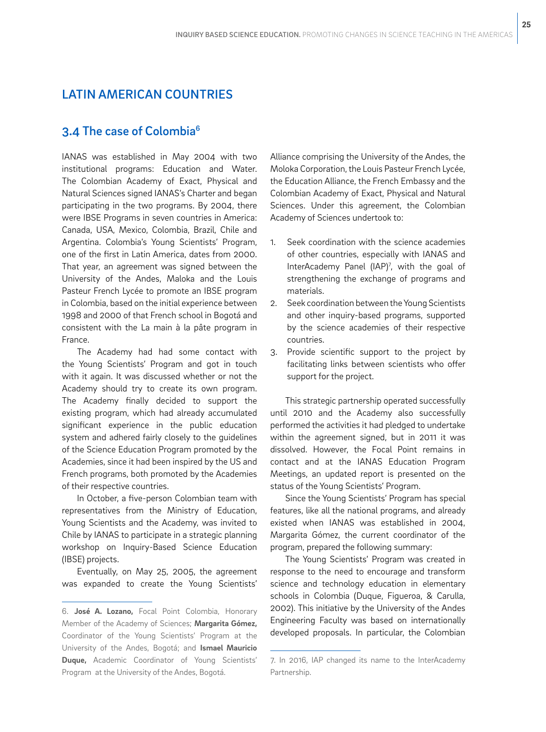### LATIN AMERICAN COUNTRIES

### 3.4 The case of Colombia<sup>6</sup>

IANAS was established in May 2004 with two institutional programs: Education and Water. The Colombian Academy of Exact, Physical and Natural Sciences signed IANAS's Charter and began participating in the two programs. By 2004, there were IBSE Programs in seven countries in America: Canada, USA, Mexico, Colombia, Brazil, Chile and Argentina. Colombia's Young Scientists' Program, one of the first in Latin America, dates from 2000. That year, an agreement was signed between the University of the Andes, Maloka and the Louis Pasteur French Lycée to promote an IBSE program in Colombia, based on the initial experience between 1998 and 2000 of that French school in Bogotá and consistent with the La main à la pâte program in France.

The Academy had had some contact with the Young Scientists' Program and got in touch with it again. It was discussed whether or not the Academy should try to create its own program. The Academy finally decided to support the existing program, which had already accumulated significant experience in the public education system and adhered fairly closely to the guidelines of the Science Education Program promoted by the Academies, since it had been inspired by the US and French programs, both promoted by the Academies of their respective countries.

In October, a five-person Colombian team with representatives from the Ministry of Education, Young Scientists and the Academy, was invited to Chile by IANAS to participate in a strategic planning workshop on Inquiry-Based Science Education (IBSE) projects.

Eventually, on May 25, 2005, the agreement was expanded to create the Young Scientists'

Alliance comprising the University of the Andes, the Moloka Corporation, the Louis Pasteur French Lycée, the Education Alliance, the French Embassy and the Colombian Academy of Exact, Physical and Natural Sciences. Under this agreement, the Colombian Academy of Sciences undertook to:

- 1. Seek coordination with the science academies of other countries, especially with IANAS and InterAcademy Panel (IAP)7 , with the goal of strengthening the exchange of programs and materials.
- 2. Seek coordination between the Young Scientists and other inquiry-based programs, supported by the science academies of their respective countries.
- 3. Provide scientific support to the project by facilitating links between scientists who offer support for the project.

This strategic partnership operated successfully until 2010 and the Academy also successfully performed the activities it had pledged to undertake within the agreement signed, but in 2011 it was dissolved. However, the Focal Point remains in contact and at the IANAS Education Program Meetings, an updated report is presented on the status of the Young Scientists' Program.

Since the Young Scientists' Program has special features, like all the national programs, and already existed when IANAS was established in 2004, Margarita Gómez, the current coordinator of the program, prepared the following summary:

The Young Scientists' Program was created in response to the need to encourage and transform science and technology education in elementary schools in Colombia (Duque, Figueroa, & Carulla, 2002). This initiative by the University of the Andes Engineering Faculty was based on internationally developed proposals. In particular, the Colombian

<sup>6.</sup> **José A. Lozano,** Focal Point Colombia, Honorary Member of the Academy of Sciences; **Margarita Gómez,** Coordinator of the Young Scientists' Program at the University of the Andes, Bogotá; and **Ismael Mauricio Duque,** Academic Coordinator of Young Scientists' Program at the University of the Andes, Bogotá.

<sup>7.</sup> In 2016, IAP changed its name to the InterAcademy Partnership.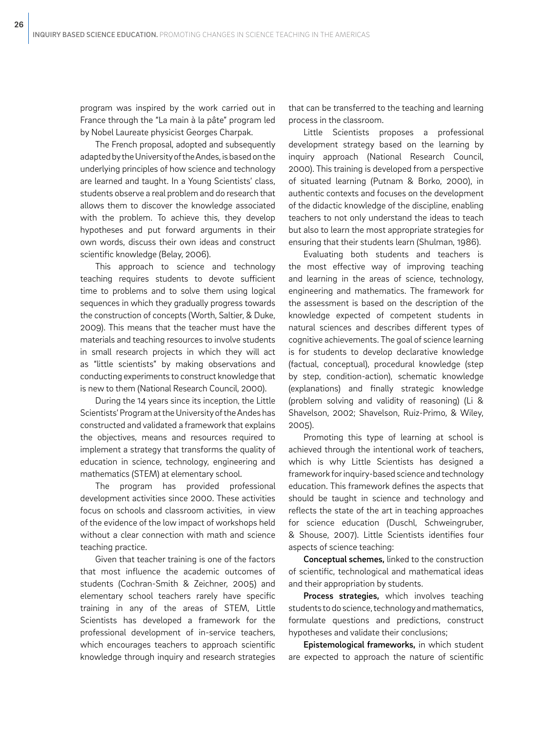program was inspired by the work carried out in France through the "La main à la pâte" program led by Nobel Laureate physicist Georges Charpak.

The French proposal, adopted and subsequently adapted by the University of the Andes, is based on the underlying principles of how science and technology are learned and taught. In a Young Scientists' class, students observe a real problem and do research that allows them to discover the knowledge associated with the problem. To achieve this, they develop hypotheses and put forward arguments in their own words, discuss their own ideas and construct scientific knowledge (Belay, 2006).

This approach to science and technology teaching requires students to devote sufficient time to problems and to solve them using logical sequences in which they gradually progress towards the construction of concepts (Worth, Saltier, & Duke, 2009). This means that the teacher must have the materials and teaching resources to involve students in small research projects in which they will act as "little scientists" by making observations and conducting experiments to construct knowledge that is new to them (National Research Council, 2000).

During the 14 years since its inception, the Little Scientists' Program at the University of the Andes has constructed and validated a framework that explains the objectives, means and resources required to implement a strategy that transforms the quality of education in science, technology, engineering and mathematics (STEM) at elementary school.

The program has provided professional development activities since 2000. These activities focus on schools and classroom activities, in view of the evidence of the low impact of workshops held without a clear connection with math and science teaching practice.

Given that teacher training is one of the factors that most influence the academic outcomes of students (Cochran-Smith & Zeichner, 2005) and elementary school teachers rarely have specific training in any of the areas of STEM, Little Scientists has developed a framework for the professional development of in-service teachers, which encourages teachers to approach scientific knowledge through inquiry and research strategies

that can be transferred to the teaching and learning process in the classroom.

Little Scientists proposes a professional development strategy based on the learning by inquiry approach (National Research Council, 2000). This training is developed from a perspective of situated learning (Putnam & Borko, 2000), in authentic contexts and focuses on the development of the didactic knowledge of the discipline, enabling teachers to not only understand the ideas to teach but also to learn the most appropriate strategies for ensuring that their students learn (Shulman, 1986).

Evaluating both students and teachers is the most effective way of improving teaching and learning in the areas of science, technology, engineering and mathematics. The framework for the assessment is based on the description of the knowledge expected of competent students in natural sciences and describes different types of cognitive achievements. The goal of science learning is for students to develop declarative knowledge (factual, conceptual), procedural knowledge (step by step, condition-action), schematic knowledge (explanations) and finally strategic knowledge (problem solving and validity of reasoning) (Li & Shavelson, 2002; Shavelson, Ruiz-Primo, & Wiley, 2005).

Promoting this type of learning at school is achieved through the intentional work of teachers, which is why Little Scientists has designed a framework for inquiry-based science and technology education. This framework defines the aspects that should be taught in science and technology and reflects the state of the art in teaching approaches for science education (Duschl, Schweingruber, & Shouse, 2007). Little Scientists identifies four aspects of science teaching:

Conceptual schemes, linked to the construction of scientific, technological and mathematical ideas and their appropriation by students.

Process strategies, which involves teaching students to do science, technology and mathematics, formulate questions and predictions, construct hypotheses and validate their conclusions;

Epistemological frameworks, in which student are expected to approach the nature of scientific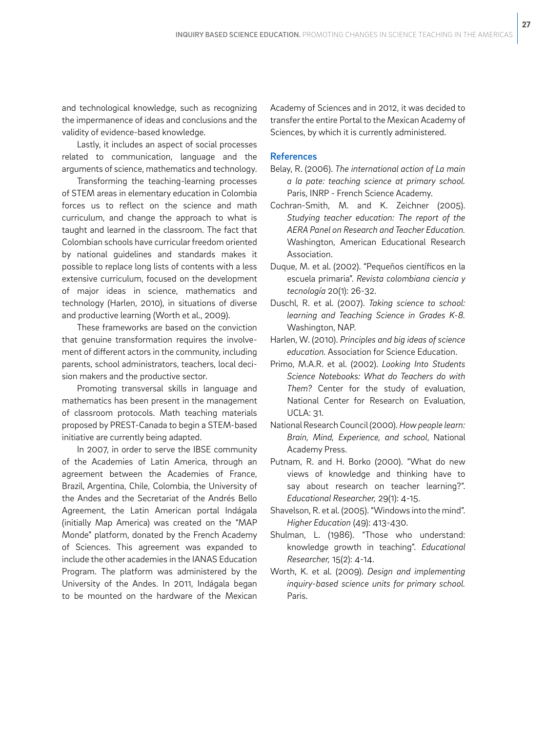and technological knowledge, such as recognizing the impermanence of ideas and conclusions and the validity of evidence-based knowledge.

Lastly, it includes an aspect of social processes related to communication, language and the arguments of science, mathematics and technology.

Transforming the teaching-learning processes of STEM areas in elementary education in Colombia forces us to reflect on the science and math curriculum, and change the approach to what is taught and learned in the classroom. The fact that Colombian schools have curricular freedom oriented by national guidelines and standards makes it possible to replace long lists of contents with a less extensive curriculum, focused on the development of major ideas in science, mathematics and technology (Harlen, 2010), in situations of diverse and productive learning (Worth et al., 2009).

These frameworks are based on the conviction that genuine transformation requires the involvement of different actors in the community, including parents, school administrators, teachers, local decision makers and the productive sector.

Promoting transversal skills in language and mathematics has been present in the management of classroom protocols. Math teaching materials proposed by PREST-Canada to begin a STEM-based initiative are currently being adapted.

In 2007, in order to serve the IBSE community of the Academies of Latin America, through an agreement between the Academies of France, Brazil, Argentina, Chile, Colombia, the University of the Andes and the Secretariat of the Andrés Bello Agreement, the Latin American portal Indágala (initially Map America) was created on the "MAP Monde" platform, donated by the French Academy of Sciences. This agreement was expanded to include the other academies in the IANAS Education Program. The platform was administered by the University of the Andes. In 2011, Indágala began to be mounted on the hardware of the Mexican

Academy of Sciences and in 2012, it was decided to transfer the entire Portal to the Mexican Academy of Sciences, by which it is currently administered.

### References

- Belay, R. (2006). *The international action of La main a la pate: teaching science at primary school.*  Paris, INRP - French Science Academy.
- Cochran-Smith, M. and K. Zeichner (2005). *Studying teacher education: The report of the AERA Panel on Research and Teacher Education.* Washington, American Educational Research Association.
- Duque, M. et al. (2002). "Pequeños científicos en la escuela primaria". *Revista colombiana ciencia y tecnología* 20(1): 26-32.
- Duschl, R. et al. (2007). *Taking science to school: learning and Teaching Science in Grades K-8.* Washington, NAP.
- Harlen, W. (2010). *Principles and big ideas of science education.* Association for Science Education.
- Primo, M.A.R. et al. (2002). *Looking Into Students Science Notebooks: What do Teachers do with Them?* Center for the study of evaluation, National Center for Research on Evaluation, UCLA: 31.
- National Research Council (2000). *How people learn: Brain, Mind, Experience, and school*, National Academy Press.
- Putnam, R. and H. Borko (2000). "What do new views of knowledge and thinking have to say about research on teacher learning?". *Educational Researcher,* 29(1): 4-15.
- Shavelson, R. et al. (2005). "Windows into the mind". *Higher Education* (49): 413-430.
- Shulman, L. (1986). "Those who understand: knowledge growth in teaching". *Educational Researcher,* 15(2): 4-14.
- Worth, K. et al. (2009). *Design and implementing inquiry-based science units for primary school.*  Paris.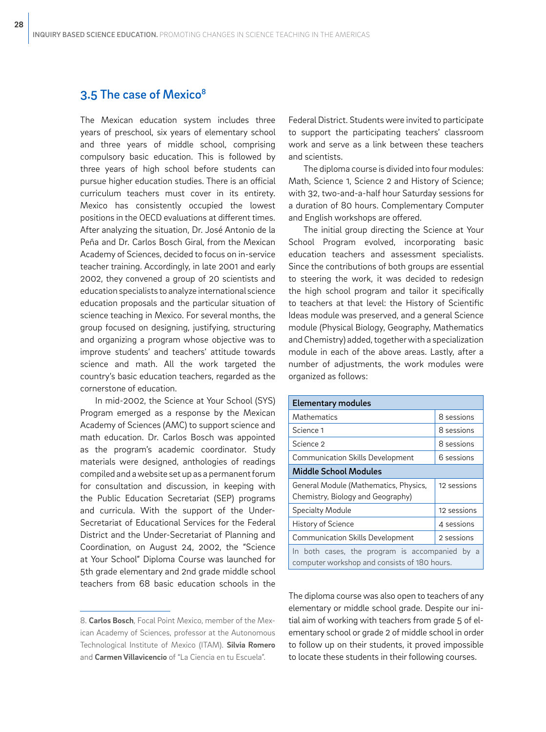### 3.5 The case of Mexico<sup>8</sup>

The Mexican education system includes three years of preschool, six years of elementary school and three years of middle school, comprising compulsory basic education. This is followed by three years of high school before students can pursue higher education studies. There is an official curriculum teachers must cover in its entirety. Mexico has consistently occupied the lowest positions in the OECD evaluations at different times. After analyzing the situation, Dr. José Antonio de la Peña and Dr. Carlos Bosch Giral, from the Mexican Academy of Sciences, decided to focus on in-service teacher training. Accordingly, in late 2001 and early 2002, they convened a group of 20 scientists and education specialists to analyze international science education proposals and the particular situation of science teaching in Mexico. For several months, the group focused on designing, justifying, structuring and organizing a program whose objective was to improve students' and teachers' attitude towards science and math. All the work targeted the country's basic education teachers, regarded as the cornerstone of education.

In mid-2002, the Science at Your School (SYS) Program emerged as a response by the Mexican Academy of Sciences (AMC) to support science and math education. Dr. Carlos Bosch was appointed as the program's academic coordinator. Study materials were designed, anthologies of readings compiled and a website set up as a permanent forum for consultation and discussion, in keeping with the Public Education Secretariat (SEP) programs and curricula. With the support of the Under-Secretariat of Educational Services for the Federal District and the Under-Secretariat of Planning and Coordination, on August 24, 2002, the "Science at Your School" Diploma Course was launched for 5th grade elementary and 2nd grade middle school teachers from 68 basic education schools in the Federal District. Students were invited to participate to support the participating teachers' classroom work and serve as a link between these teachers and scientists.

The diploma course is divided into four modules: Math, Science 1, Science 2 and History of Science; with 32, two-and-a-half hour Saturday sessions for a duration of 80 hours. Complementary Computer and English workshops are offered.

The initial group directing the Science at Your School Program evolved, incorporating basic education teachers and assessment specialists. Since the contributions of both groups are essential to steering the work, it was decided to redesign the high school program and tailor it specifically to teachers at that level: the History of Scientific Ideas module was preserved, and a general Science module (Physical Biology, Geography, Mathematics and Chemistry) added, together with a specialization module in each of the above areas. Lastly, after a number of adjustments, the work modules were organized as follows:

| <b>Elementary modules</b>                                                                         |             |  |
|---------------------------------------------------------------------------------------------------|-------------|--|
| Mathematics                                                                                       | 8 sessions  |  |
| Science 1                                                                                         | 8 sessions  |  |
| Science 2                                                                                         | 8 sessions  |  |
| <b>Communication Skills Development</b>                                                           | 6 sessions  |  |
| Middle School Modules                                                                             |             |  |
| General Module (Mathematics, Physics,<br>Chemistry, Biology and Geography)                        | 12 sessions |  |
| <b>Specialty Module</b>                                                                           | 12 sessions |  |
| History of Science                                                                                | 4 sessions  |  |
| <b>Communication Skills Development</b>                                                           | 2 sessions  |  |
| In both cases, the program is accompanied<br>by a<br>computer workshop and consists of 180 hours. |             |  |

The diploma course was also open to teachers of any elementary or middle school grade. Despite our initial aim of working with teachers from grade 5 of elementary school or grade 2 of middle school in order to follow up on their students, it proved impossible to locate these students in their following courses.

<sup>8.</sup> **Carlos Bosch**, Focal Point Mexico, member of the Mexican Academy of Sciences, professor at the Autonomous Technological Institute of Mexico (ITAM). **Silvia Romero** and **Carmen Villavicencio** of "La Ciencia en tu Escuela".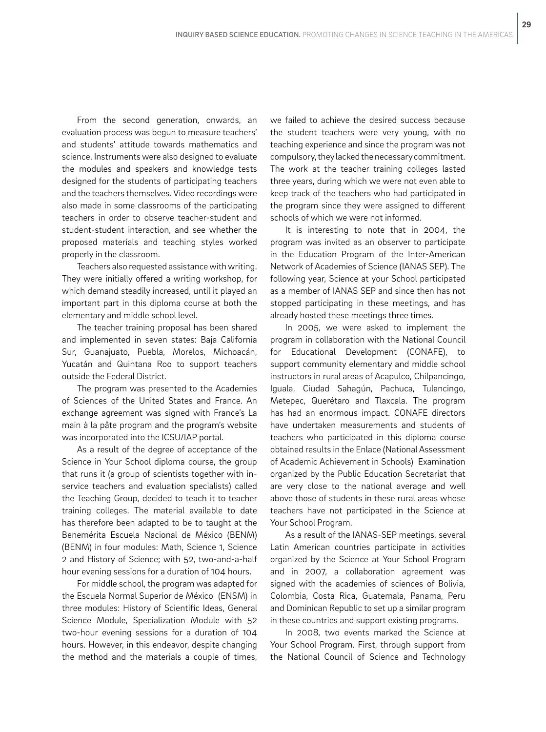From the second generation, onwards, an evaluation process was begun to measure teachers' and students' attitude towards mathematics and science. Instruments were also designed to evaluate the modules and speakers and knowledge tests designed for the students of participating teachers and the teachers themselves. Video recordings were also made in some classrooms of the participating teachers in order to observe teacher-student and student-student interaction, and see whether the proposed materials and teaching styles worked properly in the classroom.

Teachers also requested assistance with writing. They were initially offered a writing workshop, for which demand steadily increased, until it played an important part in this diploma course at both the elementary and middle school level.

The teacher training proposal has been shared and implemented in seven states: Baja California Sur, Guanajuato, Puebla, Morelos, Michoacán, Yucatán and Quintana Roo to support teachers outside the Federal District.

The program was presented to the Academies of Sciences of the United States and France. An exchange agreement was signed with France's La main à la pâte program and the program's website was incorporated into the ICSU/IAP portal.

As a result of the degree of acceptance of the Science in Your School diploma course, the group that runs it (a group of scientists together with inservice teachers and evaluation specialists) called the Teaching Group, decided to teach it to teacher training colleges. The material available to date has therefore been adapted to be to taught at the Benemérita Escuela Nacional de México (BENM) (BENM) in four modules: Math, Science 1, Science 2 and History of Science; with 52, two-and-a-half hour evening sessions for a duration of 104 hours.

For middle school, the program was adapted for the Escuela Normal Superior de México (ENSM) in three modules: History of Scientific Ideas, General Science Module, Specialization Module with 52 two-hour evening sessions for a duration of 104 hours. However, in this endeavor, despite changing the method and the materials a couple of times, we failed to achieve the desired success because the student teachers were very young, with no teaching experience and since the program was not compulsory, they lacked the necessary commitment. The work at the teacher training colleges lasted three years, during which we were not even able to keep track of the teachers who had participated in the program since they were assigned to different schools of which we were not informed.

It is interesting to note that in 2004, the program was invited as an observer to participate in the Education Program of the Inter-American Network of Academies of Science (IANAS SEP). The following year, Science at your School participated as a member of IANAS SEP and since then has not stopped participating in these meetings, and has already hosted these meetings three times.

In 2005, we were asked to implement the program in collaboration with the National Council for Educational Development (CONAFE), to support community elementary and middle school instructors in rural areas of Acapulco, Chilpancingo, Iguala, Ciudad Sahagún, Pachuca, Tulancingo, Metepec, Querétaro and Tlaxcala. The program has had an enormous impact. CONAFE directors have undertaken measurements and students of teachers who participated in this diploma course obtained results in the Enlace (National Assessment of Academic Achievement in Schools) Examination organized by the Public Education Secretariat that are very close to the national average and well above those of students in these rural areas whose teachers have not participated in the Science at Your School Program.

As a result of the IANAS-SEP meetings, several Latin American countries participate in activities organized by the Science at Your School Program and in 2007, a collaboration agreement was signed with the academies of sciences of Bolivia, Colombia, Costa Rica, Guatemala, Panama, Peru and Dominican Republic to set up a similar program in these countries and support existing programs.

In 2008, two events marked the Science at Your School Program. First, through support from the National Council of Science and Technology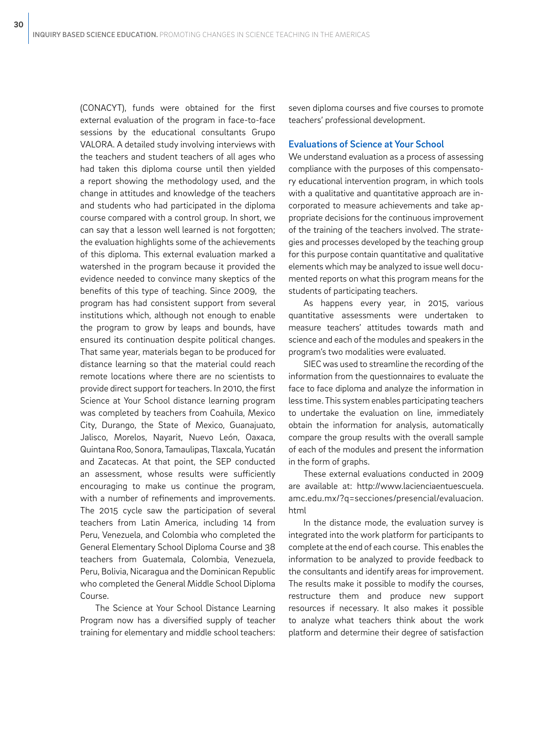(CONACYT), funds were obtained for the first external evaluation of the program in face-to-face sessions by the educational consultants Grupo VALORA. A detailed study involving interviews with the teachers and student teachers of all ages who had taken this diploma course until then yielded a report showing the methodology used, and the change in attitudes and knowledge of the teachers and students who had participated in the diploma course compared with a control group. In short, we can say that a lesson well learned is not forgotten; the evaluation highlights some of the achievements of this diploma. This external evaluation marked a watershed in the program because it provided the evidence needed to convince many skeptics of the benefits of this type of teaching. Since 2009, the program has had consistent support from several institutions which, although not enough to enable the program to grow by leaps and bounds, have ensured its continuation despite political changes. That same year, materials began to be produced for distance learning so that the material could reach remote locations where there are no scientists to provide direct support for teachers. In 2010, the first Science at Your School distance learning program was completed by teachers from Coahuila, Mexico City, Durango, the State of Mexico, Guanajuato, Jalisco, Morelos, Nayarit, Nuevo León, Oaxaca, Quintana Roo, Sonora, Tamaulipas, Tlaxcala, Yucatán and Zacatecas. At that point, the SEP conducted an assessment, whose results were sufficiently encouraging to make us continue the program, with a number of refinements and improvements. The 2015 cycle saw the participation of several teachers from Latin America, including 14 from Peru, Venezuela, and Colombia who completed the General Elementary School Diploma Course and 38 teachers from Guatemala, Colombia, Venezuela, Peru, Bolivia, Nicaragua and the Dominican Republic who completed the General Middle School Diploma Course.

The Science at Your School Distance Learning Program now has a diversified supply of teacher training for elementary and middle school teachers:

seven diploma courses and five courses to promote teachers' professional development.

### Evaluations of Science at Your School

We understand evaluation as a process of assessing compliance with the purposes of this compensatory educational intervention program, in which tools with a qualitative and quantitative approach are incorporated to measure achievements and take appropriate decisions for the continuous improvement of the training of the teachers involved. The strategies and processes developed by the teaching group for this purpose contain quantitative and qualitative elements which may be analyzed to issue well documented reports on what this program means for the students of participating teachers.

As happens every year, in 2015, various quantitative assessments were undertaken to measure teachers' attitudes towards math and science and each of the modules and speakers in the program's two modalities were evaluated.

SIEC was used to streamline the recording of the information from the questionnaires to evaluate the face to face diploma and analyze the information in less time. This system enables participating teachers to undertake the evaluation on line, immediately obtain the information for analysis, automatically compare the group results with the overall sample of each of the modules and present the information in the form of graphs.

These external evaluations conducted in 2009 are available at: http://www.lacienciaentuescuela. amc.edu.mx/?q=secciones/presencial/evaluacion. html

In the distance mode, the evaluation survey is integrated into the work platform for participants to complete at the end of each course. This enables the information to be analyzed to provide feedback to the consultants and identify areas for improvement. The results make it possible to modify the courses, restructure them and produce new support resources if necessary. It also makes it possible to analyze what teachers think about the work platform and determine their degree of satisfaction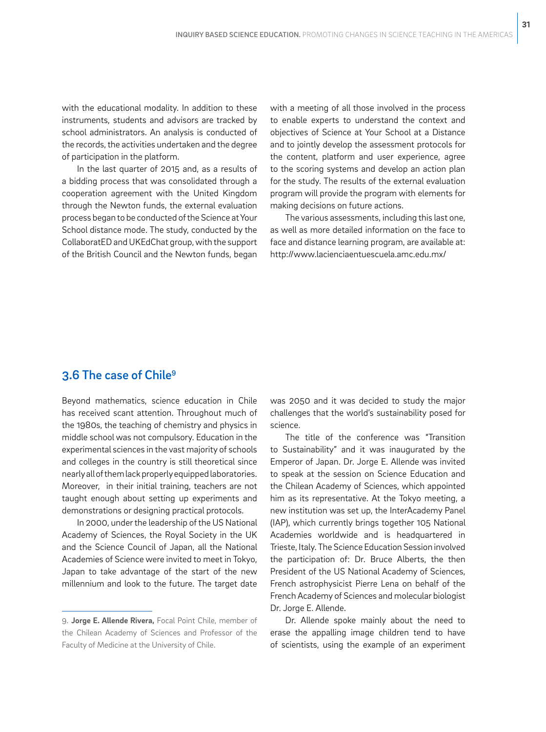with the educational modality. In addition to these instruments, students and advisors are tracked by school administrators. An analysis is conducted of the records, the activities undertaken and the degree of participation in the platform.

In the last quarter of 2015 and, as a results of a bidding process that was consolidated through a cooperation agreement with the United Kingdom through the Newton funds, the external evaluation process began to be conducted of the Science at Your School distance mode. The study, conducted by the CollaboratED and UKEdChat group, with the support of the British Council and the Newton funds, began

with a meeting of all those involved in the process to enable experts to understand the context and objectives of Science at Your School at a Distance and to jointly develop the assessment protocols for the content, platform and user experience, agree to the scoring systems and develop an action plan for the study. The results of the external evaluation program will provide the program with elements for making decisions on future actions.

The various assessments, including this last one, as well as more detailed information on the face to face and distance learning program, are available at: http://www.lacienciaentuescuela.amc.edu.mx/

### 3.6 The case of Chile9

Beyond mathematics, science education in Chile has received scant attention. Throughout much of the 1980s, the teaching of chemistry and physics in middle school was not compulsory. Education in the experimental sciences in the vast majority of schools and colleges in the country is still theoretical since nearly all of them lack properly equipped laboratories. Moreover, in their initial training, teachers are not taught enough about setting up experiments and demonstrations or designing practical protocols.

In 2000, under the leadership of the US National Academy of Sciences, the Royal Society in the UK and the Science Council of Japan, all the National Academies of Science were invited to meet in Tokyo, Japan to take advantage of the start of the new millennium and look to the future. The target date

was 2050 and it was decided to study the major challenges that the world's sustainability posed for science.

The title of the conference was "Transition to Sustainability" and it was inaugurated by the Emperor of Japan. Dr. Jorge E. Allende was invited to speak at the session on Science Education and the Chilean Academy of Sciences, which appointed him as its representative. At the Tokyo meeting, a new institution was set up, the InterAcademy Panel (IAP), which currently brings together 105 National Academies worldwide and is headquartered in Trieste, Italy. The Science Education Session involved the participation of: Dr. Bruce Alberts, the then President of the US National Academy of Sciences, French astrophysicist Pierre Lena on behalf of the French Academy of Sciences and molecular biologist Dr. Jorge E. Allende.

Dr. Allende spoke mainly about the need to erase the appalling image children tend to have of scientists, using the example of an experiment

<sup>9.</sup> **Jorge E. Allende Rivera,** Focal Point Chile, member of the Chilean Academy of Sciences and Professor of the Faculty of Medicine at the University of Chile.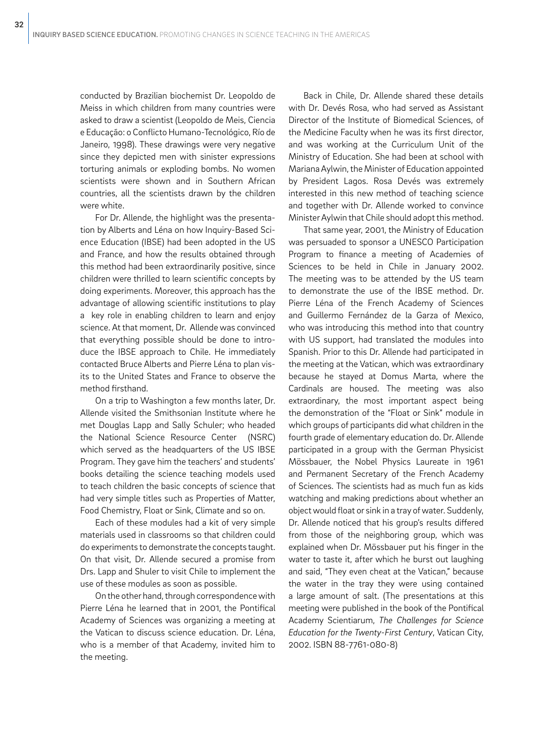conducted by Brazilian biochemist Dr. Leopoldo de Meiss in which children from many countries were asked to draw a scientist (Leopoldo de Meis, Ciencia e Educação: o Conflicto Humano-Tecnológico, Río de Janeiro, 1998). These drawings were very negative since they depicted men with sinister expressions torturing animals or exploding bombs. No women scientists were shown and in Southern African countries, all the scientists drawn by the children were white.

For Dr. Allende, the highlight was the presentation by Alberts and Léna on how Inquiry-Based Science Education (IBSE) had been adopted in the US and France, and how the results obtained through this method had been extraordinarily positive, since children were thrilled to learn scientific concepts by doing experiments. Moreover, this approach has the advantage of allowing scientific institutions to play a key role in enabling children to learn and enjoy science. At that moment, Dr. Allende was convinced that everything possible should be done to introduce the IBSE approach to Chile. He immediately contacted Bruce Alberts and Pierre Léna to plan visits to the United States and France to observe the method firsthand.

On a trip to Washington a few months later, Dr. Allende visited the Smithsonian Institute where he met Douglas Lapp and Sally Schuler; who headed the National Science Resource Center (NSRC) which served as the headquarters of the US IBSE Program. They gave him the teachers' and students' books detailing the science teaching models used to teach children the basic concepts of science that had very simple titles such as Properties of Matter, Food Chemistry, Float or Sink, Climate and so on.

Each of these modules had a kit of very simple materials used in classrooms so that children could do experiments to demonstrate the concepts taught. On that visit, Dr. Allende secured a promise from Drs. Lapp and Shuler to visit Chile to implement the use of these modules as soon as possible.

On the other hand, through correspondence with Pierre Léna he learned that in 2001, the Pontifical Academy of Sciences was organizing a meeting at the Vatican to discuss science education. Dr. Léna, who is a member of that Academy, invited him to the meeting.

Back in Chile, Dr. Allende shared these details with Dr. Devés Rosa, who had served as Assistant Director of the Institute of Biomedical Sciences, of the Medicine Faculty when he was its first director, and was working at the Curriculum Unit of the Ministry of Education. She had been at school with Mariana Aylwin, the Minister of Education appointed by President Lagos. Rosa Devés was extremely interested in this new method of teaching science and together with Dr. Allende worked to convince Minister Aylwin that Chile should adopt this method.

That same year, 2001, the Ministry of Education was persuaded to sponsor a UNESCO Participation Program to finance a meeting of Academies of Sciences to be held in Chile in January 2002. The meeting was to be attended by the US team to demonstrate the use of the IBSE method. Dr. Pierre Léna of the French Academy of Sciences and Guillermo Fernández de la Garza of Mexico, who was introducing this method into that country with US support, had translated the modules into Spanish. Prior to this Dr. Allende had participated in the meeting at the Vatican, which was extraordinary because he stayed at Domus Marta, where the Cardinals are housed. The meeting was also extraordinary, the most important aspect being the demonstration of the "Float or Sink" module in which groups of participants did what children in the fourth grade of elementary education do. Dr. Allende participated in a group with the German Physicist Mössbauer, the Nobel Physics Laureate in 1961 and Permanent Secretary of the French Academy of Sciences. The scientists had as much fun as kids watching and making predictions about whether an object would float or sink in a tray of water. Suddenly, Dr. Allende noticed that his group's results differed from those of the neighboring group, which was explained when Dr. Mössbauer put his finger in the water to taste it, after which he burst out laughing and said, "They even cheat at the Vatican," because the water in the tray they were using contained a large amount of salt. (The presentations at this meeting were published in the book of the Pontifical Academy Scientiarum, *The Challenges for Science Education for the Twenty-First Century*, Vatican City, 2002. ISBN 88-7761-080-8)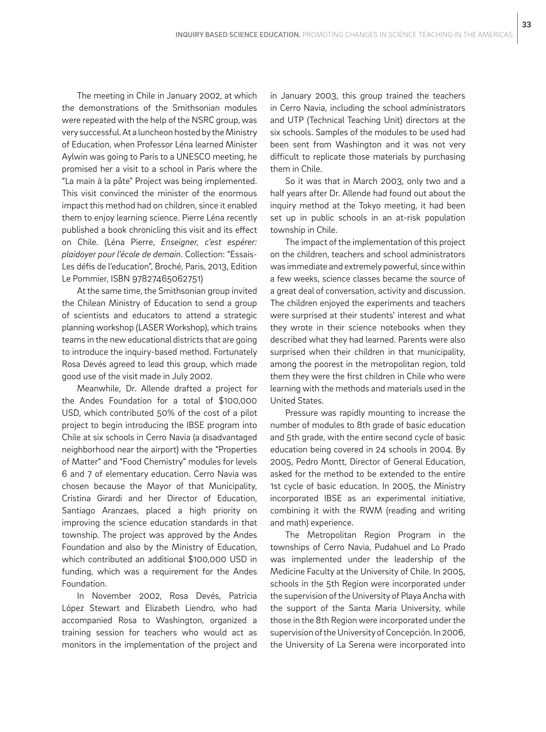The meeting in Chile in January 2002, at which the demonstrations of the Smithsonian modules were repeated with the help of the NSRC group, was very successful. At a luncheon hosted by the Ministry of Education, when Professor Léna learned Minister Aylwin was going to Paris to a UNESCO meeting, he promised her a visit to a school in Paris where the "La main à la pâte" Project was being implemented. This visit convinced the minister of the enormous impact this method had on children, since it enabled them to enjoy learning science. Pierre Léna recently published a book chronicling this visit and its effect on Chile. (Léna Pierre, *Enseigner, c'est espérer: plaidoyer pour l'école de demain*. Collection: "Essais-Les défis de l'education", Broché, Paris, 2013, Edition Le Pommier, ISBN 97827465062751)

At the same time, the Smithsonian group invited the Chilean Ministry of Education to send a group of scientists and educators to attend a strategic planning workshop (LASER Workshop), which trains teams in the new educational districts that are going to introduce the inquiry-based method. Fortunately Rosa Devés agreed to lead this group, which made good use of the visit made in July 2002.

Meanwhile, Dr. Allende drafted a project for the Andes Foundation for a total of \$100,000 USD, which contributed 50% of the cost of a pilot project to begin introducing the IBSE program into Chile at six schools in Cerro Navia (a disadvantaged neighborhood near the airport) with the "Properties of Matter" and "Food Chemistry" modules for levels 6 and 7 of elementary education. Cerro Navia was chosen because the Mayor of that Municipality, Cristina Girardi and her Director of Education, Santiago Aranzaes, placed a high priority on improving the science education standards in that township. The project was approved by the Andes Foundation and also by the Ministry of Education, which contributed an additional \$100,000 USD in funding, which was a requirement for the Andes Foundation.

In November 2002, Rosa Devés, Patricia López Stewart and Elizabeth Liendro, who had accompanied Rosa to Washington, organized a training session for teachers who would act as monitors in the implementation of the project and in January 2003, this group trained the teachers in Cerro Navia, including the school administrators and UTP (Technical Teaching Unit) directors at the six schools. Samples of the modules to be used had been sent from Washington and it was not very difficult to replicate those materials by purchasing them in Chile.

So it was that in March 2003, only two and a half years after Dr. Allende had found out about the inquiry method at the Tokyo meeting, it had been set up in public schools in an at-risk population township in Chile.

The impact of the implementation of this project on the children, teachers and school administrators was immediate and extremely powerful, since within a few weeks, science classes became the source of a great deal of conversation, activity and discussion. The children enjoyed the experiments and teachers were surprised at their students' interest and what they wrote in their science notebooks when they described what they had learned. Parents were also surprised when their children in that municipality, among the poorest in the metropolitan region, told them they were the first children in Chile who were learning with the methods and materials used in the United States.

Pressure was rapidly mounting to increase the number of modules to 8th grade of basic education and 5th grade, with the entire second cycle of basic education being covered in 24 schools in 2004. By 2005, Pedro Montt, Director of General Education, asked for the method to be extended to the entire 1st cycle of basic education. In 2005, the Ministry incorporated IBSE as an experimental initiative, combining it with the RWM (reading and writing and math) experience.

The Metropolitan Region Program in the townships of Cerro Navia, Pudahuel and Lo Prado was implemented under the leadership of the Medicine Faculty at the University of Chile. In 2005, schools in the 5th Region were incorporated under the supervision of the University of Playa Ancha with the support of the Santa Maria University, while those in the 8th Region were incorporated under the supervision of the University of Concepción. In 2006, the University of La Serena were incorporated into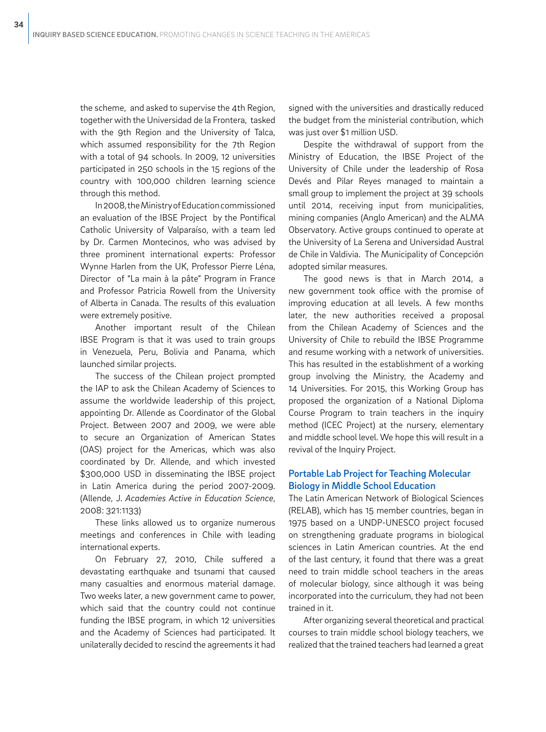the scheme, and asked to supervise the 4th Region, together with the Universidad de la Frontera, tasked with the 9th Region and the University of Talca, which assumed responsibility for the 7th Region with a total of 94 schools. In 2009, 12 universities participated in 250 schools in the 15 regions of the country with 100,000 children learning science through this method.

In 2008, the Ministry of Education commissioned an evaluation of the IBSE Project by the Pontifical Catholic University of Valparaíso, with a team led by Dr. Carmen Montecinos, who was advised by three prominent international experts: Professor Wynne Harlen from the UK, Professor Pierre Léna, Director of "La main à la pâte" Program in France and Professor Patricia Rowell from the University of Alberta in Canada. The results of this evaluation were extremely positive.

Another important result of the Chilean IBSE Program is that it was used to train groups in Venezuela, Peru, Bolivia and Panama, which launched similar projects.

The success of the Chilean project prompted the IAP to ask the Chilean Academy of Sciences to assume the worldwide leadership of this project, appointing Dr. Allende as Coordinator of the Global Project. Between 2007 and 2009, we were able to secure an Organization of American States (OAS) project for the Americas, which was also coordinated by Dr. Allende, and which invested \$300,000 USD in disseminating the IBSE project in Latin America during the period 2007-2009. (Allende, J. *Academies Active in Education Science*, 2008: 321:1133)

These links allowed us to organize numerous meetings and conferences in Chile with leading international experts.

On February 27, 2010, Chile suffered a devastating earthquake and tsunami that caused many casualties and enormous material damage. Two weeks later, a new government came to power, which said that the country could not continue funding the IBSE program, in which 12 universities and the Academy of Sciences had participated. It unilaterally decided to rescind the agreements it had signed with the universities and drastically reduced the budget from the ministerial contribution, which was just over \$1 million USD.

Despite the withdrawal of support from the Ministry of Education, the IBSE Project of the University of Chile under the leadership of Rosa Devés and Pilar Reyes managed to maintain a small group to implement the project at 39 schools until 2014, receiving input from municipalities, mining companies (Anglo American) and the ALMA Observatory. Active groups continued to operate at the University of La Serena and Universidad Austral de Chile in Valdivia. The Municipality of Concepción adopted similar measures.

The good news is that in March 2014, a new government took office with the promise of improving education at all levels. A few months later, the new authorities received a proposal from the Chilean Academy of Sciences and the University of Chile to rebuild the IBSE Programme and resume working with a network of universities. This has resulted in the establishment of a working group involving the Ministry, the Academy and 14 Universities. For 2015, this Working Group has proposed the organization of a National Diploma Course Program to train teachers in the inquiry method (ICEC Project) at the nursery, elementary and middle school level. We hope this will result in a revival of the Inquiry Project.

### Portable Lab Project for Teaching Molecular Biology in Middle School Education

The Latin American Network of Biological Sciences (RELAB), which has 15 member countries, began in 1975 based on a UNDP-UNESCO project focused on strengthening graduate programs in biological sciences in Latin American countries. At the end of the last century, it found that there was a great need to train middle school teachers in the areas of molecular biology, since although it was being incorporated into the curriculum, they had not been trained in it.

After organizing several theoretical and practical courses to train middle school biology teachers, we realized that the trained teachers had learned a great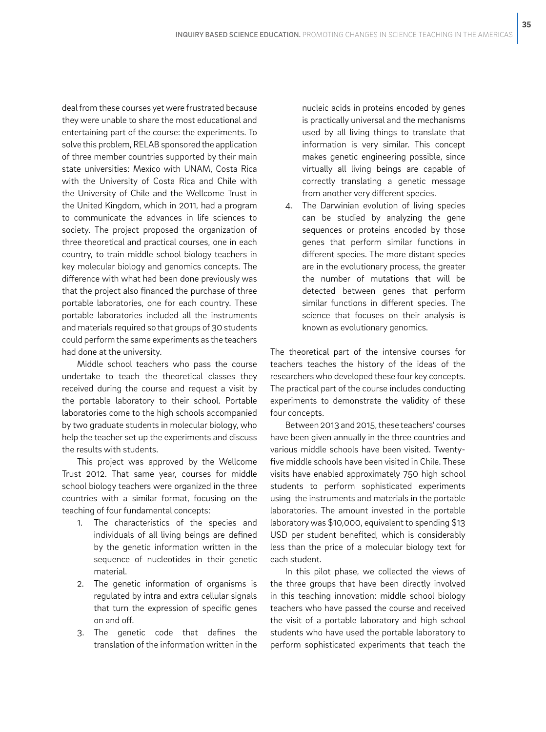deal from these courses yet were frustrated because they were unable to share the most educational and entertaining part of the course: the experiments. To solve this problem, RELAB sponsored the application of three member countries supported by their main state universities: Mexico with UNAM, Costa Rica with the University of Costa Rica and Chile with the University of Chile and the Wellcome Trust in the United Kingdom, which in 2011, had a program to communicate the advances in life sciences to society. The project proposed the organization of three theoretical and practical courses, one in each country, to train middle school biology teachers in key molecular biology and genomics concepts. The difference with what had been done previously was that the project also financed the purchase of three portable laboratories, one for each country. These portable laboratories included all the instruments and materials required so that groups of 30 students could perform the same experiments as the teachers had done at the university.

Middle school teachers who pass the course undertake to teach the theoretical classes they received during the course and request a visit by the portable laboratory to their school. Portable laboratories come to the high schools accompanied by two graduate students in molecular biology, who help the teacher set up the experiments and discuss the results with students.

This project was approved by the Wellcome Trust 2012. That same year, courses for middle school biology teachers were organized in the three countries with a similar format, focusing on the teaching of four fundamental concepts:

- 1. The characteristics of the species and individuals of all living beings are defined by the genetic information written in the sequence of nucleotides in their genetic material.
- 2. The genetic information of organisms is regulated by intra and extra cellular signals that turn the expression of specific genes on and off.
- 3. The genetic code that defines the translation of the information written in the

nucleic acids in proteins encoded by genes is practically universal and the mechanisms used by all living things to translate that information is very similar. This concept makes genetic engineering possible, since virtually all living beings are capable of correctly translating a genetic message from another very different species.

4. The Darwinian evolution of living species can be studied by analyzing the gene sequences or proteins encoded by those genes that perform similar functions in different species. The more distant species are in the evolutionary process, the greater the number of mutations that will be detected between genes that perform similar functions in different species. The science that focuses on their analysis is known as evolutionary genomics.

The theoretical part of the intensive courses for teachers teaches the history of the ideas of the researchers who developed these four key concepts. The practical part of the course includes conducting experiments to demonstrate the validity of these four concepts.

Between 2013 and 2015, these teachers' courses have been given annually in the three countries and various middle schools have been visited. Twentyfive middle schools have been visited in Chile. These visits have enabled approximately 750 high school students to perform sophisticated experiments using the instruments and materials in the portable laboratories. The amount invested in the portable laboratory was \$10,000, equivalent to spending \$13 USD per student benefited, which is considerably less than the price of a molecular biology text for each student.

In this pilot phase, we collected the views of the three groups that have been directly involved in this teaching innovation: middle school biology teachers who have passed the course and received the visit of a portable laboratory and high school students who have used the portable laboratory to perform sophisticated experiments that teach the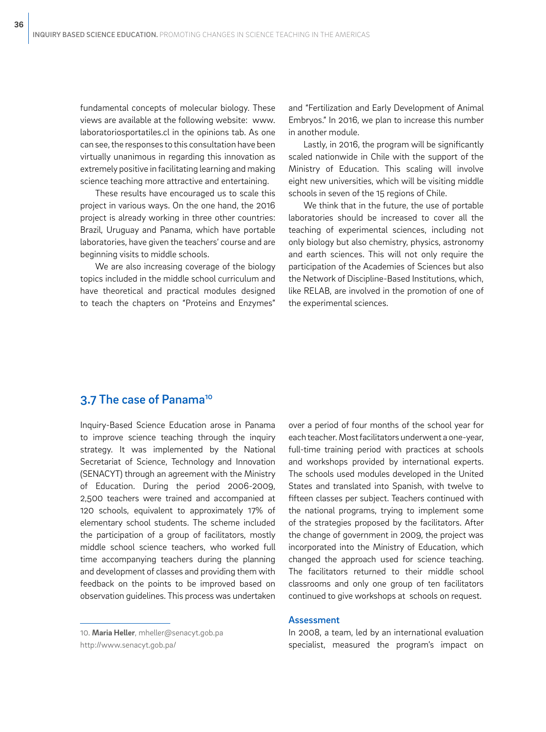fundamental concepts of molecular biology. These views are available at the following website: www. laboratoriosportatiles.cl in the opinions tab. As one can see, the responses to this consultation have been virtually unanimous in regarding this innovation as extremely positive in facilitating learning and making science teaching more attractive and entertaining.

These results have encouraged us to scale this project in various ways. On the one hand, the 2016 project is already working in three other countries: Brazil, Uruguay and Panama, which have portable laboratories, have given the teachers' course and are beginning visits to middle schools.

We are also increasing coverage of the biology topics included in the middle school curriculum and have theoretical and practical modules designed to teach the chapters on "Proteins and Enzymes"

and "Fertilization and Early Development of Animal Embryos." In 2016, we plan to increase this number in another module.

Lastly, in 2016, the program will be significantly scaled nationwide in Chile with the support of the Ministry of Education. This scaling will involve eight new universities, which will be visiting middle schools in seven of the 15 regions of Chile.

We think that in the future, the use of portable laboratories should be increased to cover all the teaching of experimental sciences, including not only biology but also chemistry, physics, astronomy and earth sciences. This will not only require the participation of the Academies of Sciences but also the Network of Discipline-Based Institutions, which, like RELAB, are involved in the promotion of one of the experimental sciences.

# 3.7 The case of Panama<sup>10</sup>

Inquiry-Based Science Education arose in Panama to improve science teaching through the inquiry strategy. It was implemented by the National Secretariat of Science, Technology and Innovation (SENACYT) through an agreement with the Ministry of Education. During the period 2006-2009, 2,500 teachers were trained and accompanied at 120 schools, equivalent to approximately 17% of elementary school students. The scheme included the participation of a group of facilitators, mostly middle school science teachers, who worked full time accompanying teachers during the planning and development of classes and providing them with feedback on the points to be improved based on observation guidelines. This process was undertaken

over a period of four months of the school year for each teacher. Most facilitators underwent a one-year, full-time training period with practices at schools and workshops provided by international experts. The schools used modules developed in the United States and translated into Spanish, with twelve to fifteen classes per subject. Teachers continued with the national programs, trying to implement some of the strategies proposed by the facilitators. After the change of government in 2009, the project was incorporated into the Ministry of Education, which changed the approach used for science teaching. The facilitators returned to their middle school classrooms and only one group of ten facilitators continued to give workshops at schools on request.

#### Assessment

10. **Maria Heller**, mheller@senacyt.gob.pa

In 2008, a team, led by an international evaluation specialist, measured the program's impact on

http://www.senacyt.gob.pa/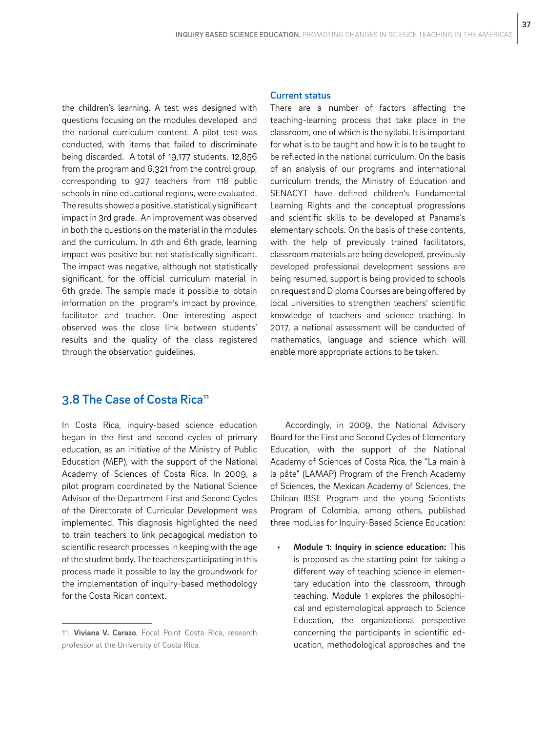the children's learning. A test was designed with questions focusing on the modules developed and the national curriculum content. A pilot test was conducted, with items that failed to discriminate being discarded. A total of 19,177 students, 12,856 from the program and 6,321 from the control group, corresponding to 927 teachers from 118 public schools in nine educational regions, were evaluated. The results showed a positive, statistically significant impact in 3rd grade. An improvement was observed in both the questions on the material in the modules and the curriculum. In 4th and 6th grade, learning impact was positive but not statistically significant. The impact was negative, although not statistically significant, for the official curriculum material in 6th grade. The sample made it possible to obtain information on the program's impact by province, facilitator and teacher. One interesting aspect observed was the close link between students' results and the quality of the class registered through the observation guidelines.

#### Current status

There are a number of factors affecting the teaching-learning process that take place in the classroom, one of which is the syllabi. It is important for what is to be taught and how it is to be taught to be reflected in the national curriculum. On the basis of an analysis of our programs and international curriculum trends, the Ministry of Education and SENACYT have defined children's Fundamental Learning Rights and the conceptual progressions and scientific skills to be developed at Panama's elementary schools. On the basis of these contents, with the help of previously trained facilitators, classroom materials are being developed, previously developed professional development sessions are being resumed, support is being provided to schools on request and Diploma Courses are being offered by local universities to strengthen teachers' scientific knowledge of teachers and science teaching. In 2017, a national assessment will be conducted of mathematics, language and science which will enable more appropriate actions to be taken.

# 3.8 The Case of Costa Rica<sup>11</sup>

In Costa Rica, inquiry-based science education began in the first and second cycles of primary education, as an initiative of the Ministry of Public Education (MEP), with the support of the National Academy of Sciences of Costa Rica. In 2009, a pilot program coordinated by the National Science Advisor of the Department First and Second Cycles of the Directorate of Curricular Development was implemented. This diagnosis highlighted the need to train teachers to link pedagogical mediation to scientific research processes in keeping with the age of the student body. The teachers participating in this process made it possible to lay the groundwork for the implementation of inquiry-based methodology for the Costa Rican context.

Accordingly, in 2009, the National Advisory Board for the First and Second Cycles of Elementary Education, with the support of the National Academy of Sciences of Costa Rica, the "La main à la pâte" (LAMAP) Program of the French Academy of Sciences, the Mexican Academy of Sciences, the Chilean IBSE Program and the young Scientists Program of Colombia, among others, published three modules for Inquiry-Based Science Education:

Module 1: Inquiry in science education: This is proposed as the starting point for taking a different way of teaching science in elementary education into the classroom, through teaching. Module 1 explores the philosophical and epistemological approach to Science Education, the organizational perspective concerning the participants in scientific education, methodological approaches and the

<sup>11.</sup> **Viviana V. Carazo**, Focal Point Costa Rica, research professor at the University of Costa Rica.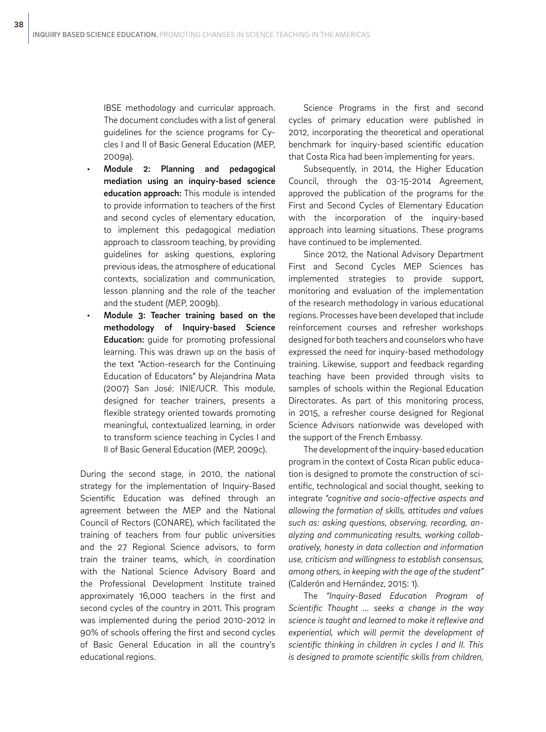IBSE methodology and curricular approach. The document concludes with a list of general guidelines for the science programs for Cycles I and II of Basic General Education (MEP, 2009a).

- Module 2: Planning and pedagogical mediation using an inquiry-based science education approach: This module is intended to provide information to teachers of the first and second cycles of elementary education, to implement this pedagogical mediation approach to classroom teaching, by providing guidelines for asking questions, exploring previous ideas, the atmosphere of educational contexts, socialization and communication, lesson planning and the role of the teacher and the student (MEP, 2009b).
- Module 3: Teacher training based on the methodology of Inquiry-based Science Education: guide for promoting professional learning. This was drawn up on the basis of the text "Action-research for the Continuing Education of Educators" by Alejandrina Mata (2007) San José: INIE/UCR. This module, designed for teacher trainers, presents a flexible strategy oriented towards promoting meaningful, contextualized learning, in order to transform science teaching in Cycles I and II of Basic General Education (MEP, 2009c).

During the second stage, in 2010, the national strategy for the implementation of Inquiry-Based Scientific Education was defined through an agreement between the MEP and the National Council of Rectors (CONARE), which facilitated the training of teachers from four public universities and the 27 Regional Science advisors, to form train the trainer teams, which, in coordination with the National Science Advisory Board and the Professional Development Institute trained approximately 16,000 teachers in the first and second cycles of the country in 2011. This program was implemented during the period 2010-2012 in 90% of schools offering the first and second cycles of Basic General Education in all the country's educational regions.

Science Programs in the first and second cycles of primary education were published in 2012, incorporating the theoretical and operational benchmark for inquiry-based scientific education that Costa Rica had been implementing for years.

Subsequently, in 2014, the Higher Education Council, through the 03-15-2014 Agreement, approved the publication of the programs for the First and Second Cycles of Elementary Education with the incorporation of the inquiry-based approach into learning situations. These programs have continued to be implemented.

Since 2012, the National Advisory Department First and Second Cycles MEP Sciences has implemented strategies to provide support, monitoring and evaluation of the implementation of the research methodology in various educational regions. Processes have been developed that include reinforcement courses and refresher workshops designed for both teachers and counselors who have expressed the need for inquiry-based methodology training. Likewise, support and feedback regarding teaching have been provided through visits to samples of schools within the Regional Education Directorates. As part of this monitoring process, in 2015, a refresher course designed for Regional Science Advisors nationwide was developed with the support of the French Embassy.

The development of the inquiry-based education program in the context of Costa Rican public education is designed to promote the construction of scientific, technological and social thought, seeking to integrate *"cognitive and socio-affective aspects and allowing the formation of skills, attitudes and values such as: asking questions, observing, recording, analyzing and communicating results, working collaboratively, honesty in data collection and information use, criticism and willingness to establish consensus, among others, in keeping with the age of the student"* (Calderón and Hernández, 2015: 1).

The *"Inquiry-Based Education Program of Scientific Thought ... seeks a change in the way science is taught and learned to make it reflexive and experiential, which will permit the development of scientific thinking in children in cycles I and II. This is designed to promote scientific skills from children,*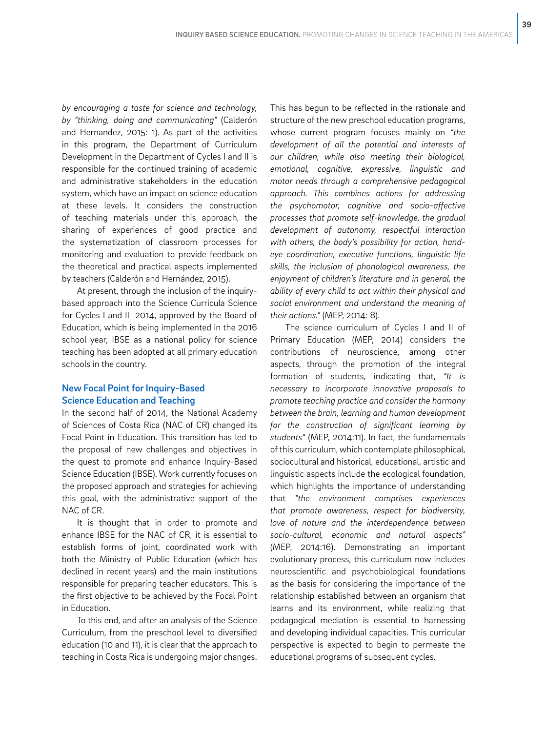*by encouraging a taste for science and technology, by "thinking, doing and communicating"* (Calderón and Hernandez, 2015: 1). As part of the activities in this program, the Department of Curriculum Development in the Department of Cycles I and II is responsible for the continued training of academic and administrative stakeholders in the education system, which have an impact on science education at these levels. It considers the construction of teaching materials under this approach, the sharing of experiences of good practice and the systematization of classroom processes for monitoring and evaluation to provide feedback on the theoretical and practical aspects implemented by teachers (Calderón and Hernández, 2015).

At present, through the inclusion of the inquirybased approach into the Science Curricula Science for Cycles I and II 2014, approved by the Board of Education, which is being implemented in the 2016 school year, IBSE as a national policy for science teaching has been adopted at all primary education schools in the country.

## New Focal Point for Inquiry-Based Science Education and Teaching

In the second half of 2014, the National Academy of Sciences of Costa Rica (NAC of CR) changed its Focal Point in Education. This transition has led to the proposal of new challenges and objectives in the quest to promote and enhance Inquiry-Based Science Education (IBSE). Work currently focuses on the proposed approach and strategies for achieving this goal, with the administrative support of the NAC of CR.

It is thought that in order to promote and enhance IBSE for the NAC of CR, it is essential to establish forms of joint, coordinated work with both the Ministry of Public Education (which has declined in recent years) and the main institutions responsible for preparing teacher educators. This is the first objective to be achieved by the Focal Point in Education.

To this end, and after an analysis of the Science Curriculum, from the preschool level to diversified education (10 and 11), it is clear that the approach to teaching in Costa Rica is undergoing major changes. This has begun to be reflected in the rationale and structure of the new preschool education programs, whose current program focuses mainly on *"the development of all the potential and interests of our children, while also meeting their biological, emotional, cognitive, expressive, linguistic and motor needs through a comprehensive pedagogical approach. This combines actions for addressing the psychomotor, cognitive and socio-affective processes that promote self-knowledge, the gradual development of autonomy, respectful interaction with others, the body's possibility for action, handeye coordination, executive functions, linguistic life skills, the inclusion of phonological awareness, the enjoyment of children's literature and in general, the ability of every child to act within their physical and social environment and understand the meaning of their actions."* (MEP, 2014: 8).

The science curriculum of Cycles I and II of Primary Education (MEP, 2014) considers the contributions of neuroscience, among other aspects, through the promotion of the integral formation of students, indicating that, *"It is necessary to incorporate innovative proposals to promote teaching practice and consider the harmony between the brain, learning and human development for the construction of significant learning by students"* (MEP, 2014:11). In fact, the fundamentals of this curriculum, which contemplate philosophical, sociocultural and historical, educational, artistic and linguistic aspects include the ecological foundation, which highlights the importance of understanding that *"the environment comprises experiences that promote awareness, respect for biodiversity, love of nature and the interdependence between socio-cultural, economic and natural aspects"*  (MEP, 2014:16). Demonstrating an important evolutionary process, this curriculum now includes neuroscientific and psychobiological foundations as the basis for considering the importance of the relationship established between an organism that learns and its environment, while realizing that pedagogical mediation is essential to harnessing and developing individual capacities. This curricular perspective is expected to begin to permeate the educational programs of subsequent cycles.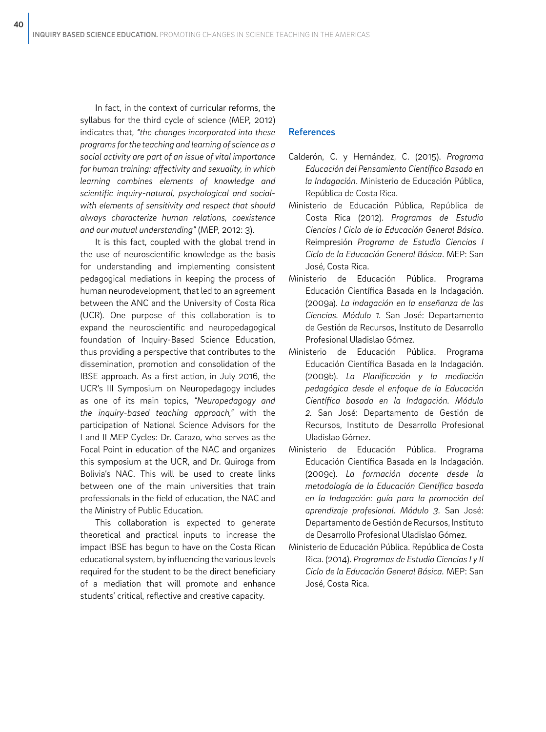In fact, in the context of curricular reforms, the syllabus for the third cycle of science (MEP, 2012) indicates that, *"the changes incorporated into these programs for the teaching and learning of science as a social activity are part of an issue of vital importance for human training: affectivity and sexuality, in which learning combines elements of knowledge and scientific inquiry-natural, psychological and socialwith elements of sensitivity and respect that should always characterize human relations, coexistence and our mutual understanding"* (MEP, 2012: 3).

It is this fact, coupled with the global trend in the use of neuroscientific knowledge as the basis for understanding and implementing consistent pedagogical mediations in keeping the process of human neurodevelopment, that led to an agreement between the ANC and the University of Costa Rica (UCR). One purpose of this collaboration is to expand the neuroscientific and neuropedagogical foundation of Inquiry-Based Science Education, thus providing a perspective that contributes to the dissemination, promotion and consolidation of the IBSE approach. As a first action, in July 2016, the UCR's III Symposium on Neuropedagogy includes as one of its main topics, *"Neuropedagogy and the inquiry-based teaching approach,"* with the participation of National Science Advisors for the I and II MEP Cycles: Dr. Carazo, who serves as the Focal Point in education of the NAC and organizes this symposium at the UCR, and Dr. Quiroga from Bolivia's NAC. This will be used to create links between one of the main universities that train professionals in the field of education, the NAC and the Ministry of Public Education.

This collaboration is expected to generate theoretical and practical inputs to increase the impact IBSE has begun to have on the Costa Rican educational system, by influencing the various levels required for the student to be the direct beneficiary of a mediation that will promote and enhance students' critical, reflective and creative capacity.

## References

- Calderón, C. y Hernández, C. (2015). *Programa Educación del Pensamiento Científico Basado en la Indagación*. Ministerio de Educación Pública, República de Costa Rica.
- Ministerio de Educación Pública, República de Costa Rica (2012). *Programas de Estudio Ciencias I Ciclo de la Educación General Básica*. Reimpresión *Programa de Estudio Ciencias I Ciclo de la Educación General Básica*. MEP: San José, Costa Rica.
- Ministerio de Educación Pública. Programa Educación Científica Basada en la Indagación. (2009a). *La indagación en la enseñanza de las Ciencias. Módulo 1.* San José: Departamento de Gestión de Recursos, Instituto de Desarrollo Profesional Uladislao Gómez.
- Ministerio de Educación Pública. Programa Educación Científica Basada en la Indagación. (2009b). *La Planificación y la mediación pedagógica desde el enfoque de la Educación Científica basada en la Indagación. Módulo 2.* San José: Departamento de Gestión de Recursos, Instituto de Desarrollo Profesional Uladislao Gómez.
- Ministerio de Educación Pública. Programa Educación Científica Basada en la Indagación. (2009c). *La formación docente desde la metodología de la Educación Científica basada en la Indagación: guía para la promoción del aprendizaje profesional. Módulo 3.* San José: Departamento de Gestión de Recursos, Instituto de Desarrollo Profesional Uladislao Gómez.
- Ministerio de Educación Pública. República de Costa Rica. (2014). *Programas de Estudio Ciencias I y II Ciclo de la Educación General Básica.* MEP: San José, Costa Rica.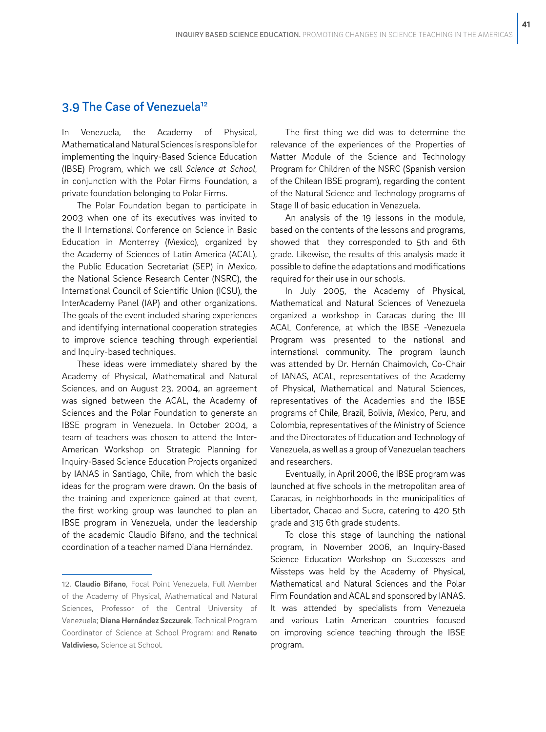# 3.9 The Case of Venezuela<sup>12</sup>

In Venezuela, the Academy of Physical, Mathematical and Natural Sciences is responsible for implementing the Inquiry-Based Science Education (IBSE) Program, which we call *Science at School*, in conjunction with the Polar Firms Foundation, a private foundation belonging to Polar Firms.

The Polar Foundation began to participate in 2003 when one of its executives was invited to the II International Conference on Science in Basic Education in Monterrey (Mexico), organized by the Academy of Sciences of Latin America (ACAL), the Public Education Secretariat (SEP) in Mexico, the National Science Research Center (NSRC), the International Council of Scientific Union (ICSU), the InterAcademy Panel (IAP) and other organizations. The goals of the event included sharing experiences and identifying international cooperation strategies to improve science teaching through experiential and Inquiry-based techniques.

These ideas were immediately shared by the Academy of Physical, Mathematical and Natural Sciences, and on August 23, 2004, an agreement was signed between the ACAL, the Academy of Sciences and the Polar Foundation to generate an IBSE program in Venezuela. In October 2004, a team of teachers was chosen to attend the Inter-American Workshop on Strategic Planning for Inquiry-Based Science Education Projects organized by IANAS in Santiago, Chile, from which the basic ideas for the program were drawn. On the basis of the training and experience gained at that event, the first working group was launched to plan an IBSE program in Venezuela, under the leadership of the academic Claudio Bifano, and the technical coordination of a teacher named Diana Hernández.

The first thing we did was to determine the relevance of the experiences of the Properties of Matter Module of the Science and Technology Program for Children of the NSRC (Spanish version of the Chilean IBSE program), regarding the content of the Natural Science and Technology programs of Stage II of basic education in Venezuela.

An analysis of the 19 lessons in the module, based on the contents of the lessons and programs, showed that they corresponded to 5th and 6th grade. Likewise, the results of this analysis made it possible to define the adaptations and modifications required for their use in our schools.

In July 2005, the Academy of Physical, Mathematical and Natural Sciences of Venezuela organized a workshop in Caracas during the III ACAL Conference, at which the IBSE -Venezuela Program was presented to the national and international community. The program launch was attended by Dr. Hernán Chaimovich, Co-Chair of IANAS, ACAL, representatives of the Academy of Physical, Mathematical and Natural Sciences, representatives of the Academies and the IBSE programs of Chile, Brazil, Bolivia, Mexico, Peru, and Colombia, representatives of the Ministry of Science and the Directorates of Education and Technology of Venezuela, as well as a group of Venezuelan teachers and researchers.

Eventually, in April 2006, the IBSE program was launched at five schools in the metropolitan area of Caracas, in neighborhoods in the municipalities of Libertador, Chacao and Sucre, catering to 420 5th grade and 315 6th grade students.

To close this stage of launching the national program, in November 2006, an Inquiry-Based Science Education Workshop on Successes and Missteps was held by the Academy of Physical, Mathematical and Natural Sciences and the Polar Firm Foundation and ACAL and sponsored by IANAS. It was attended by specialists from Venezuela and various Latin American countries focused on improving science teaching through the IBSE program.

<sup>12.</sup> **Claudio Bifano**, Focal Point Venezuela, Full Member of the Academy of Physical, Mathematical and Natural Sciences, Professor of the Central University of Venezuela; **Diana Hernández Szczurek**, Technical Program Coordinator of Science at School Program; and **Renato Valdivieso,** Science at School.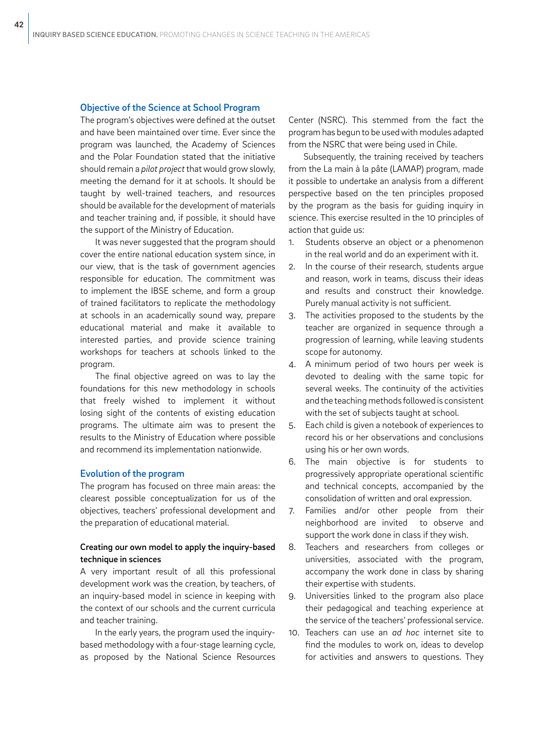#### Objective of the Science at School Program

The program's objectives were defined at the outset and have been maintained over time. Ever since the program was launched, the Academy of Sciences and the Polar Foundation stated that the initiative should remain a *pilot project* that would grow slowly, meeting the demand for it at schools. It should be taught by well-trained teachers, and resources should be available for the development of materials and teacher training and, if possible, it should have the support of the Ministry of Education.

It was never suggested that the program should cover the entire national education system since, in our view, that is the task of government agencies responsible for education. The commitment was to implement the IBSE scheme, and form a group of trained facilitators to replicate the methodology at schools in an academically sound way, prepare educational material and make it available to interested parties, and provide science training workshops for teachers at schools linked to the program.

The final objective agreed on was to lay the foundations for this new methodology in schools that freely wished to implement it without losing sight of the contents of existing education programs. The ultimate aim was to present the results to the Ministry of Education where possible and recommend its implementation nationwide.

#### Evolution of the program

The program has focused on three main areas: the clearest possible conceptualization for us of the objectives, teachers' professional development and the preparation of educational material.

## Creating our own model to apply the inquiry-based technique in sciences

A very important result of all this professional development work was the creation, by teachers, of an inquiry-based model in science in keeping with the context of our schools and the current curricula and teacher training.

In the early years, the program used the inquirybased methodology with a four-stage learning cycle, as proposed by the National Science Resources Center (NSRC). This stemmed from the fact the program has begun to be used with modules adapted from the NSRC that were being used in Chile.

Subsequently, the training received by teachers from the La main à la pâte (LAMAP) program, made it possible to undertake an analysis from a different perspective based on the ten principles proposed by the program as the basis for guiding inquiry in science. This exercise resulted in the 10 principles of action that guide us:

- 1. Students observe an object or a phenomenon in the real world and do an experiment with it.
- 2. In the course of their research, students argue and reason, work in teams, discuss their ideas and results and construct their knowledge. Purely manual activity is not sufficient.
- 3. The activities proposed to the students by the teacher are organized in sequence through a progression of learning, while leaving students scope for autonomy.
- 4. A minimum period of two hours per week is devoted to dealing with the same topic for several weeks. The continuity of the activities and the teaching methods followed is consistent with the set of subjects taught at school.
- 5. Each child is given a notebook of experiences to record his or her observations and conclusions using his or her own words.
- 6. The main objective is for students to progressively appropriate operational scientific and technical concepts, accompanied by the consolidation of written and oral expression.
- 7. Families and/or other people from their neighborhood are invited to observe and support the work done in class if they wish.
- 8. Teachers and researchers from colleges or universities, associated with the program, accompany the work done in class by sharing their expertise with students.
- 9. Universities linked to the program also place their pedagogical and teaching experience at the service of the teachers' professional service.
- 10. Teachers can use an *ad hoc* internet site to find the modules to work on, ideas to develop for activities and answers to questions. They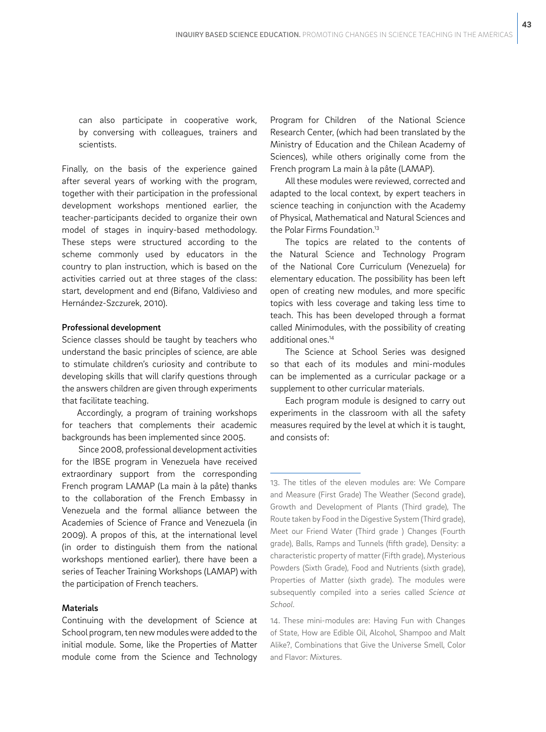can also participate in cooperative work, by conversing with colleagues, trainers and scientists.

Finally, on the basis of the experience gained after several years of working with the program, together with their participation in the professional development workshops mentioned earlier, the teacher-participants decided to organize their own model of stages in inquiry-based methodology. These steps were structured according to the scheme commonly used by educators in the country to plan instruction, which is based on the activities carried out at three stages of the class: start, development and end (Bifano, Valdivieso and Hernández-Szczurek, 2010).

#### Professional development

Science classes should be taught by teachers who understand the basic principles of science, are able to stimulate children's curiosity and contribute to developing skills that will clarify questions through the answers children are given through experiments that facilitate teaching.

Accordingly, a program of training workshops for teachers that complements their academic backgrounds has been implemented since 2005.

 Since 2008, professional development activities for the IBSE program in Venezuela have received extraordinary support from the corresponding French program LAMAP (La main à la pâte) thanks to the collaboration of the French Embassy in Venezuela and the formal alliance between the Academies of Science of France and Venezuela (in 2009). A propos of this, at the international level (in order to distinguish them from the national workshops mentioned earlier), there have been a series of Teacher Training Workshops (LAMAP) with the participation of French teachers.

## **Materials**

Continuing with the development of Science at School program, ten new modules were added to the initial module. Some, like the Properties of Matter module come from the Science and Technology Program for Children of the National Science Research Center, (which had been translated by the Ministry of Education and the Chilean Academy of Sciences), while others originally come from the French program La main à la pâte (LAMAP).

All these modules were reviewed, corrected and adapted to the local context, by expert teachers in science teaching in conjunction with the Academy of Physical, Mathematical and Natural Sciences and the Polar Firms Foundation.<sup>13</sup>

The topics are related to the contents of the Natural Science and Technology Program of the National Core Curriculum (Venezuela) for elementary education. The possibility has been left open of creating new modules, and more specific topics with less coverage and taking less time to teach. This has been developed through a format called Minimodules, with the possibility of creating additional ones.14

The Science at School Series was designed so that each of its modules and mini-modules can be implemented as a curricular package or a supplement to other curricular materials.

Each program module is designed to carry out experiments in the classroom with all the safety measures required by the level at which it is taught, and consists of:

13. The titles of the eleven modules are: We Compare and Measure (First Grade) The Weather (Second grade), Growth and Development of Plants (Third grade), The Route taken by Food in the Digestive System (Third grade), Meet our Friend Water (Third grade ) Changes (Fourth grade), Balls, Ramps and Tunnels (fifth grade), Density: a characteristic property of matter (Fifth grade), Mysterious Powders (Sixth Grade), Food and Nutrients (sixth grade), Properties of Matter (sixth grade). The modules were subsequently compiled into a series called *Science at School*.

14. These mini-modules are: Having Fun with Changes of State, How are Edible Oil, Alcohol, Shampoo and Malt Alike?, Combinations that Give the Universe Smell, Color and Flavor: Mixtures.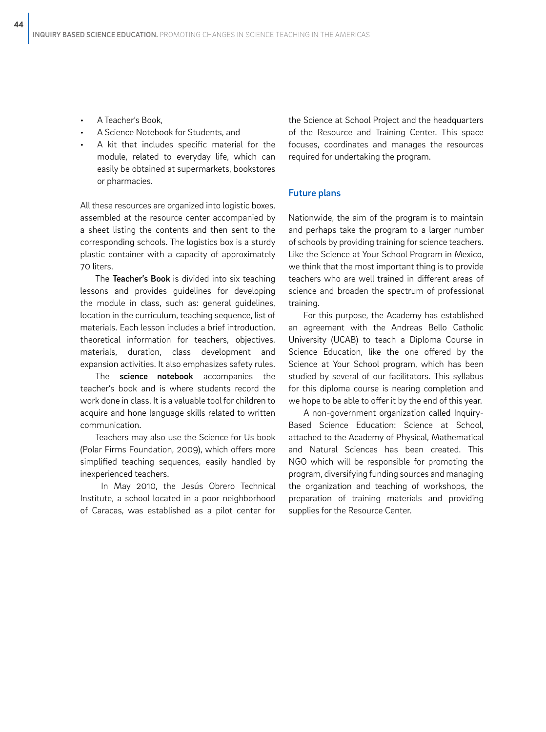- A Teacher's Book,
- A Science Notebook for Students, and
- A kit that includes specific material for the module, related to everyday life, which can easily be obtained at supermarkets, bookstores or pharmacies.

All these resources are organized into logistic boxes, assembled at the resource center accompanied by a sheet listing the contents and then sent to the corresponding schools. The logistics box is a sturdy plastic container with a capacity of approximately 70 liters.

The Teacher's Book is divided into six teaching lessons and provides guidelines for developing the module in class, such as: general guidelines, location in the curriculum, teaching sequence, list of materials. Each lesson includes a brief introduction, theoretical information for teachers, objectives, materials, duration, class development and expansion activities. It also emphasizes safety rules.

The science notebook accompanies the teacher's book and is where students record the work done in class. It is a valuable tool for children to acquire and hone language skills related to written communication.

Teachers may also use the Science for Us book (Polar Firms Foundation, 2009), which offers more simplified teaching sequences, easily handled by inexperienced teachers.

 In May 2010, the Jesús Obrero Technical Institute, a school located in a poor neighborhood of Caracas, was established as a pilot center for

the Science at School Project and the headquarters of the Resource and Training Center. This space focuses, coordinates and manages the resources required for undertaking the program.

### Future plans

Nationwide, the aim of the program is to maintain and perhaps take the program to a larger number of schools by providing training for science teachers. Like the Science at Your School Program in Mexico, we think that the most important thing is to provide teachers who are well trained in different areas of science and broaden the spectrum of professional training.

For this purpose, the Academy has established an agreement with the Andreas Bello Catholic University (UCAB) to teach a Diploma Course in Science Education, like the one offered by the Science at Your School program, which has been studied by several of our facilitators. This syllabus for this diploma course is nearing completion and we hope to be able to offer it by the end of this year.

A non-government organization called Inquiry-Based Science Education: Science at School, attached to the Academy of Physical, Mathematical and Natural Sciences has been created. This NGO which will be responsible for promoting the program, diversifying funding sources and managing the organization and teaching of workshops, the preparation of training materials and providing supplies for the Resource Center.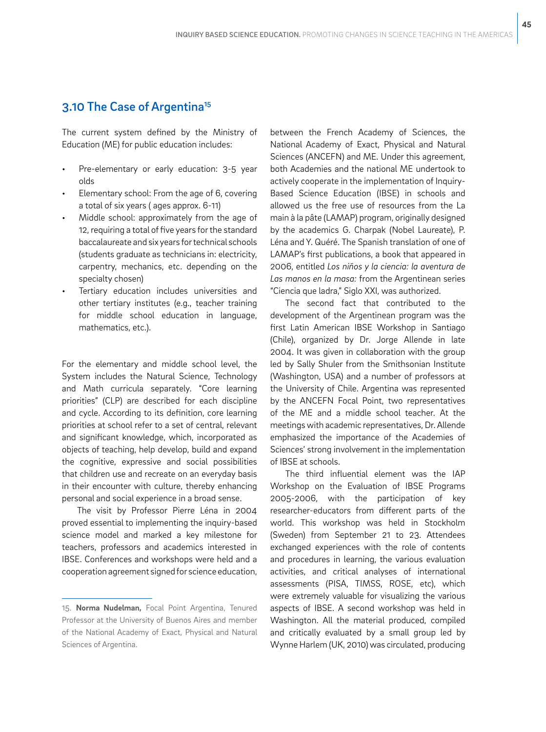# 3.10 The Case of Argentina<sup>15</sup>

The current system defined by the Ministry of Education (ME) for public education includes:

- Pre-elementary or early education: 3-5 year olds
- Elementary school: From the age of 6, covering a total of six years ( ages approx. 6-11)
- Middle school: approximately from the age of 12, requiring a total of five years for the standard baccalaureate and six years for technical schools (students graduate as technicians in: electricity, carpentry, mechanics, etc. depending on the specialty chosen)
- Tertiary education includes universities and other tertiary institutes (e.g., teacher training for middle school education in language, mathematics, etc.).

For the elementary and middle school level, the System includes the Natural Science, Technology and Math curricula separately. "Core learning priorities" (CLP) are described for each discipline and cycle. According to its definition, core learning priorities at school refer to a set of central, relevant and significant knowledge, which, incorporated as objects of teaching, help develop, build and expand the cognitive, expressive and social possibilities that children use and recreate on an everyday basis in their encounter with culture, thereby enhancing personal and social experience in a broad sense.

The visit by Professor Pierre Léna in 2004 proved essential to implementing the inquiry-based science model and marked a key milestone for teachers, professors and academics interested in IBSE. Conferences and workshops were held and a cooperation agreement signed for science education, between the French Academy of Sciences, the National Academy of Exact, Physical and Natural Sciences (ANCEFN) and ME. Under this agreement, both Academies and the national ME undertook to actively cooperate in the implementation of Inquiry-Based Science Education (IBSE) in schools and allowed us the free use of resources from the La main à la pâte (LAMAP) program, originally designed by the academics G. Charpak (Nobel Laureate), P. Léna and Y. Quéré. The Spanish translation of one of LAMAP's first publications, a book that appeared in 2006, entitled *Los niños y la ciencia: la aventura de Las manos en la masa:* from the Argentinean series "Ciencia que ladra," Siglo XXI, was authorized.

The second fact that contributed to the development of the Argentinean program was the first Latin American IBSE Workshop in Santiago (Chile), organized by Dr. Jorge Allende in late 2004. It was given in collaboration with the group led by Sally Shuler from the Smithsonian Institute (Washington, USA) and a number of professors at the University of Chile. Argentina was represented by the ANCEFN Focal Point, two representatives of the ME and a middle school teacher. At the meetings with academic representatives, Dr. Allende emphasized the importance of the Academies of Sciences' strong involvement in the implementation of IBSE at schools.

The third influential element was the IAP Workshop on the Evaluation of IBSE Programs 2005-2006, with the participation of key researcher-educators from different parts of the world. This workshop was held in Stockholm (Sweden) from September 21 to 23. Attendees exchanged experiences with the role of contents and procedures in learning, the various evaluation activities, and critical analyses of international assessments (PISA, TIMSS, ROSE, etc), which were extremely valuable for visualizing the various aspects of IBSE. A second workshop was held in Washington. All the material produced, compiled and critically evaluated by a small group led by Wynne Harlem (UK, 2010) was circulated, producing

<sup>15.</sup> **Norma Nudelman,** Focal Point Argentina, Tenured Professor at the University of Buenos Aires and member of the National Academy of Exact, Physical and Natural Sciences of Argentina.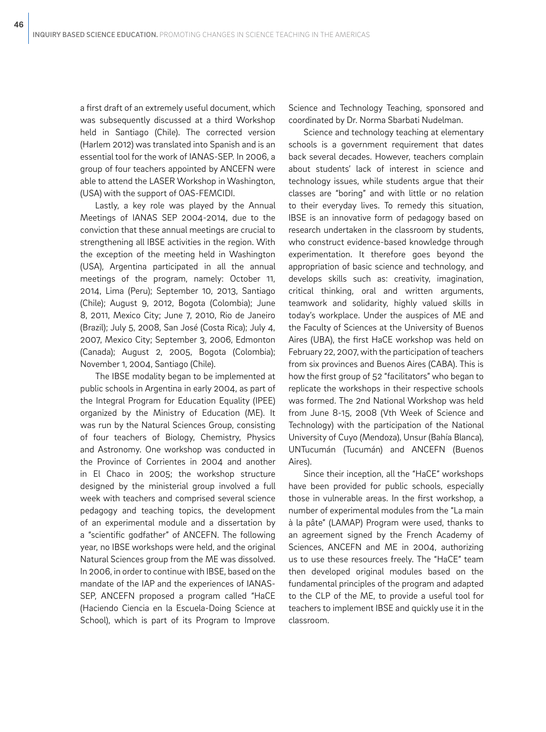a first draft of an extremely useful document, which was subsequently discussed at a third Workshop held in Santiago (Chile). The corrected version (Harlem 2012) was translated into Spanish and is an essential tool for the work of IANAS-SEP. In 2006, a group of four teachers appointed by ANCEFN were able to attend the LASER Workshop in Washington, (USA) with the support of OAS-FEMCIDI.

Lastly, a key role was played by the Annual Meetings of IANAS SEP 2004-2014, due to the conviction that these annual meetings are crucial to strengthening all IBSE activities in the region. With the exception of the meeting held in Washington (USA), Argentina participated in all the annual meetings of the program, namely: October 11, 2014, Lima (Peru); September 10, 2013, Santiago (Chile); August 9, 2012, Bogota (Colombia); June 8, 2011, Mexico City; June 7, 2010, Rio de Janeiro (Brazil); July 5, 2008, San José (Costa Rica); July 4, 2007, Mexico City; September 3, 2006, Edmonton (Canada); August 2, 2005, Bogota (Colombia); November 1, 2004, Santiago (Chile).

The IBSE modality began to be implemented at public schools in Argentina in early 2004, as part of the Integral Program for Education Equality (IPEE) organized by the Ministry of Education (ME). It was run by the Natural Sciences Group, consisting of four teachers of Biology, Chemistry, Physics and Astronomy. One workshop was conducted in the Province of Corrientes in 2004 and another in El Chaco in 2005; the workshop structure designed by the ministerial group involved a full week with teachers and comprised several science pedagogy and teaching topics, the development of an experimental module and a dissertation by a "scientific godfather" of ANCEFN. The following year, no IBSE workshops were held, and the original Natural Sciences group from the ME was dissolved. In 2006, in order to continue with IBSE, based on the mandate of the IAP and the experiences of IANAS-SEP, ANCEFN proposed a program called "HaCE (Haciendo Ciencia en la Escuela-Doing Science at School), which is part of its Program to Improve

Science and Technology Teaching, sponsored and coordinated by Dr. Norma Sbarbati Nudelman.

Science and technology teaching at elementary schools is a government requirement that dates back several decades. However, teachers complain about students' lack of interest in science and technology issues, while students argue that their classes are "boring" and with little or no relation to their everyday lives. To remedy this situation, IBSE is an innovative form of pedagogy based on research undertaken in the classroom by students, who construct evidence-based knowledge through experimentation. It therefore goes beyond the appropriation of basic science and technology, and develops skills such as: creativity, imagination, critical thinking, oral and written arguments, teamwork and solidarity, highly valued skills in today's workplace. Under the auspices of ME and the Faculty of Sciences at the University of Buenos Aires (UBA), the first HaCE workshop was held on February 22, 2007, with the participation of teachers from six provinces and Buenos Aires (CABA). This is how the first group of 52 "facilitators" who began to replicate the workshops in their respective schools was formed. The 2nd National Workshop was held from June 8-15, 2008 (Vth Week of Science and Technology) with the participation of the National University of Cuyo (Mendoza), Unsur (Bahía Blanca), UNTucumán (Tucumán) and ANCEFN (Buenos Aires).

Since their inception, all the "HaCE" workshops have been provided for public schools, especially those in vulnerable areas. In the first workshop, a number of experimental modules from the "La main à la pâte" (LAMAP) Program were used, thanks to an agreement signed by the French Academy of Sciences, ANCEFN and ME in 2004, authorizing us to use these resources freely. The "HaCE" team then developed original modules based on the fundamental principles of the program and adapted to the CLP of the ME, to provide a useful tool for teachers to implement IBSE and quickly use it in the classroom.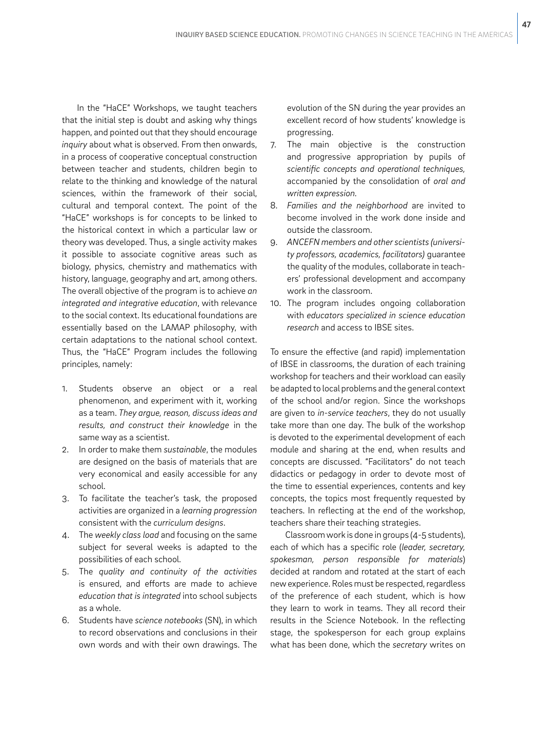In the "HaCE" Workshops, we taught teachers that the initial step is doubt and asking why things happen, and pointed out that they should encourage *inquiry* about what is observed. From then onwards, in a process of cooperative conceptual construction between teacher and students, children begin to relate to the thinking and knowledge of the natural sciences, within the framework of their social, cultural and temporal context. The point of the "HaCE" workshops is for concepts to be linked to the historical context in which a particular law or theory was developed. Thus, a single activity makes it possible to associate cognitive areas such as biology, physics, chemistry and mathematics with history, language, geography and art, among others. The overall objective of the program is to achieve *an integrated and integrative education*, with relevance to the social context. Its educational foundations are essentially based on the LAMAP philosophy, with certain adaptations to the national school context. Thus, the "HaCE" Program includes the following principles, namely:

- 1. Students observe an object or a real phenomenon, and experiment with it, working as a team. *They argue, reason, discuss ideas and results, and construct their knowledge* in the same way as a scientist.
- 2. In order to make them *sustainable*, the modules are designed on the basis of materials that are very economical and easily accessible for any school.
- 3. To facilitate the teacher's task, the proposed activities are organized in a *learning progression* consistent with the *curriculum designs*.
- 4. The *weekly class load* and focusing on the same subject for several weeks is adapted to the possibilities of each school.
- 5. The *quality and continuity of the activities* is ensured, and efforts are made to achieve *education that is integrated* into school subjects as a whole.
- 6. Students have *science notebooks* (SN), in which to record observations and conclusions in their own words and with their own drawings. The

evolution of the SN during the year provides an excellent record of how students' knowledge is progressing.

- 7. The main objective is the construction and progressive appropriation by pupils of *scientific concepts and operational techniques,* accompanied by the consolidation of *oral and written expression.*
- 8. *Families and the neighborhood* are invited to become involved in the work done inside and outside the classroom.
- 9. *ANCEFN members and other scientists (university professors, academics, facilitators)* guarantee the quality of the modules, collaborate in teachers' professional development and accompany work in the classroom.
- 10. The program includes ongoing collaboration with *educators specialized in science education research* and access to IBSE sites.

To ensure the effective (and rapid) implementation of IBSE in classrooms, the duration of each training workshop for teachers and their workload can easily be adapted to local problems and the general context of the school and/or region. Since the workshops are given to *in-service teachers*, they do not usually take more than one day. The bulk of the workshop is devoted to the experimental development of each module and sharing at the end, when results and concepts are discussed. "Facilitators" do not teach didactics or pedagogy in order to devote most of the time to essential experiences, contents and key concepts, the topics most frequently requested by teachers. In reflecting at the end of the workshop, teachers share their teaching strategies.

Classroom work is done in groups (4-5 students), each of which has a specific role (*leader, secretary, spokesman, person responsible for materials*) decided at random and rotated at the start of each new experience. Roles must be respected, regardless of the preference of each student, which is how they learn to work in teams. They all record their results in the Science Notebook. In the reflecting stage, the spokesperson for each group explains what has been done, which the *secretary* writes on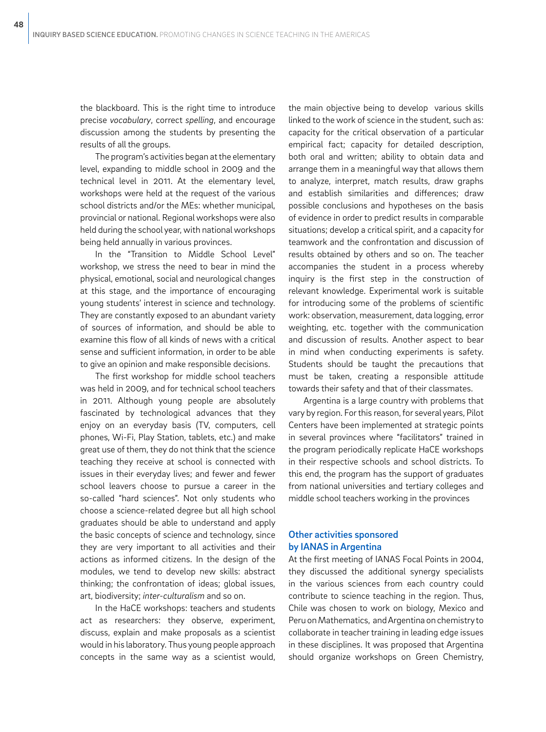the blackboard. This is the right time to introduce precise *vocabulary*, correct *spelling*, and encourage discussion among the students by presenting the results of all the groups.

The program's activities began at the elementary level, expanding to middle school in 2009 and the technical level in 2011. At the elementary level, workshops were held at the request of the various school districts and/or the MEs: whether municipal, provincial or national. Regional workshops were also held during the school year, with national workshops being held annually in various provinces.

In the "Transition to Middle School Level" workshop, we stress the need to bear in mind the physical, emotional, social and neurological changes at this stage, and the importance of encouraging young students' interest in science and technology. They are constantly exposed to an abundant variety of sources of information, and should be able to examine this flow of all kinds of news with a critical sense and sufficient information, in order to be able to give an opinion and make responsible decisions.

The first workshop for middle school teachers was held in 2009, and for technical school teachers in 2011. Although young people are absolutely fascinated by technological advances that they enjoy on an everyday basis (TV, computers, cell phones, Wi-Fi, Play Station, tablets, etc.) and make great use of them, they do not think that the science teaching they receive at school is connected with issues in their everyday lives; and fewer and fewer school leavers choose to pursue a career in the so-called "hard sciences". Not only students who choose a science-related degree but all high school graduates should be able to understand and apply the basic concepts of science and technology, since they are very important to all activities and their actions as informed citizens. In the design of the modules, we tend to develop new skills: abstract thinking; the confrontation of ideas; global issues, art, biodiversity; *inter-culturalism* and so on.

In the HaCE workshops: teachers and students act as researchers: they observe, experiment, discuss, explain and make proposals as a scientist would in his laboratory. Thus young people approach concepts in the same way as a scientist would,

the main objective being to develop various skills linked to the work of science in the student, such as: capacity for the critical observation of a particular empirical fact; capacity for detailed description, both oral and written; ability to obtain data and arrange them in a meaningful way that allows them to analyze, interpret, match results, draw graphs and establish similarities and differences; draw possible conclusions and hypotheses on the basis of evidence in order to predict results in comparable situations; develop a critical spirit, and a capacity for teamwork and the confrontation and discussion of results obtained by others and so on. The teacher accompanies the student in a process whereby inquiry is the first step in the construction of relevant knowledge. Experimental work is suitable for introducing some of the problems of scientific work: observation, measurement, data logging, error weighting, etc. together with the communication and discussion of results. Another aspect to bear in mind when conducting experiments is safety. Students should be taught the precautions that must be taken, creating a responsible attitude towards their safety and that of their classmates.

Argentina is a large country with problems that vary by region. For this reason, for several years, Pilot Centers have been implemented at strategic points in several provinces where "facilitators" trained in the program periodically replicate HaCE workshops in their respective schools and school districts. To this end, the program has the support of graduates from national universities and tertiary colleges and middle school teachers working in the provinces

## Other activities sponsored by IANAS in Argentina

At the first meeting of IANAS Focal Points in 2004, they discussed the additional synergy specialists in the various sciences from each country could contribute to science teaching in the region. Thus, Chile was chosen to work on biology, Mexico and Peru on Mathematics, and Argentina on chemistry to collaborate in teacher training in leading edge issues in these disciplines. It was proposed that Argentina should organize workshops on Green Chemistry,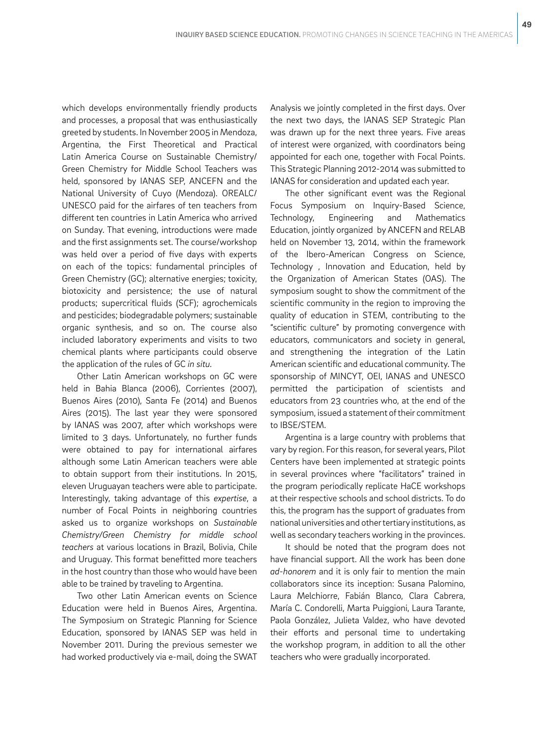which develops environmentally friendly products and processes, a proposal that was enthusiastically greeted by students. In November 2005 in Mendoza, Argentina, the First Theoretical and Practical Latin America Course on Sustainable Chemistry/ Green Chemistry for Middle School Teachers was held, sponsored by IANAS SEP, ANCEFN and the National University of Cuyo (Mendoza). OREALC/ UNESCO paid for the airfares of ten teachers from different ten countries in Latin America who arrived on Sunday. That evening, introductions were made and the first assignments set. The course/workshop was held over a period of five days with experts on each of the topics: fundamental principles of Green Chemistry (GC); alternative energies; toxicity, biotoxicity and persistence; the use of natural products; supercritical fluids (SCF); agrochemicals and pesticides; biodegradable polymers; sustainable organic synthesis, and so on. The course also included laboratory experiments and visits to two chemical plants where participants could observe the application of the rules of GC *in situ.*

Other Latin American workshops on GC were held in Bahia Blanca (2006), Corrientes (2007), Buenos Aires (2010), Santa Fe (2014) and Buenos Aires (2015). The last year they were sponsored by IANAS was 2007, after which workshops were limited to 3 days. Unfortunately, no further funds were obtained to pay for international airfares although some Latin American teachers were able to obtain support from their institutions. In 2015, eleven Uruguayan teachers were able to participate. Interestingly, taking advantage of this *expertise*, a number of Focal Points in neighboring countries asked us to organize workshops on *Sustainable Chemistry/Green Chemistry for middle school teachers* at various locations in Brazil, Bolivia, Chile and Uruguay. This format benefitted more teachers in the host country than those who would have been able to be trained by traveling to Argentina.

Two other Latin American events on Science Education were held in Buenos Aires, Argentina. The Symposium on Strategic Planning for Science Education, sponsored by IANAS SEP was held in November 2011. During the previous semester we had worked productively via e-mail, doing the SWAT Analysis we jointly completed in the first days. Over the next two days, the IANAS SEP Strategic Plan was drawn up for the next three years. Five areas of interest were organized, with coordinators being appointed for each one, together with Focal Points. This Strategic Planning 2012-2014 was submitted to IANAS for consideration and updated each year.

The other significant event was the Regional Focus Symposium on Inquiry-Based Science, Technology, Engineering and Mathematics Education, jointly organized by ANCEFN and RELAB held on November 13, 2014, within the framework of the Ibero-American Congress on Science, Technology , Innovation and Education, held by the Organization of American States (OAS). The symposium sought to show the commitment of the scientific community in the region to improving the quality of education in STEM, contributing to the "scientific culture" by promoting convergence with educators, communicators and society in general, and strengthening the integration of the Latin American scientific and educational community. The sponsorship of MINCYT, OEI, IANAS and UNESCO permitted the participation of scientists and educators from 23 countries who, at the end of the symposium, issued a statement of their commitment to IBSE/STEM.

Argentina is a large country with problems that vary by region. For this reason, for several years, Pilot Centers have been implemented at strategic points in several provinces where "facilitators" trained in the program periodically replicate HaCE workshops at their respective schools and school districts. To do this, the program has the support of graduates from national universities and other tertiary institutions, as well as secondary teachers working in the provinces.

It should be noted that the program does not have financial support. All the work has been done *ad-honorem* and it is only fair to mention the main collaborators since its inception: Susana Palomino, Laura Melchiorre, Fabián Blanco, Clara Cabrera, María C. Condorelli, Marta Puiggioni, Laura Tarante, Paola González, Julieta Valdez, who have devoted their efforts and personal time to undertaking the workshop program, in addition to all the other teachers who were gradually incorporated.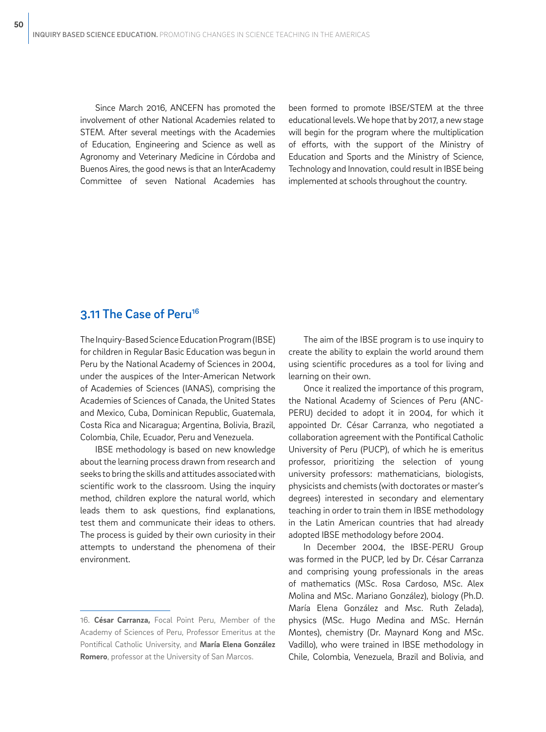Since March 2016, ANCEFN has promoted the involvement of other National Academies related to STEM. After several meetings with the Academies of Education, Engineering and Science as well as Agronomy and Veterinary Medicine in Córdoba and Buenos Aires, the good news is that an InterAcademy Committee of seven National Academies has

been formed to promote IBSE/STEM at the three educational levels. We hope that by 2017, a new stage will begin for the program where the multiplication of efforts, with the support of the Ministry of Education and Sports and the Ministry of Science, Technology and Innovation, could result in IBSE being implemented at schools throughout the country.

# 3.11 The Case of Peru<sup>16</sup>

The Inquiry-Based Science Education Program (IBSE) for children in Regular Basic Education was begun in Peru by the National Academy of Sciences in 2004, under the auspices of the Inter-American Network of Academies of Sciences (IANAS), comprising the Academies of Sciences of Canada, the United States and Mexico, Cuba, Dominican Republic, Guatemala, Costa Rica and Nicaragua; Argentina, Bolivia, Brazil, Colombia, Chile, Ecuador, Peru and Venezuela.

IBSE methodology is based on new knowledge about the learning process drawn from research and seeks to bring the skills and attitudes associated with scientific work to the classroom. Using the inquiry method, children explore the natural world, which leads them to ask questions, find explanations, test them and communicate their ideas to others. The process is guided by their own curiosity in their attempts to understand the phenomena of their environment.

The aim of the IBSE program is to use inquiry to create the ability to explain the world around them using scientific procedures as a tool for living and learning on their own.

Once it realized the importance of this program, the National Academy of Sciences of Peru (ANC-PERU) decided to adopt it in 2004, for which it appointed Dr. César Carranza, who negotiated a collaboration agreement with the Pontifical Catholic University of Peru (PUCP), of which he is emeritus professor, prioritizing the selection of young university professors: mathematicians, biologists, physicists and chemists (with doctorates or master's degrees) interested in secondary and elementary teaching in order to train them in IBSE methodology in the Latin American countries that had already adopted IBSE methodology before 2004.

In December 2004, the IBSE-PERU Group was formed in the PUCP, led by Dr. César Carranza and comprising young professionals in the areas of mathematics (MSc. Rosa Cardoso, MSc. Alex Molina and MSc. Mariano González), biology (Ph.D. María Elena González and Msc. Ruth Zelada), physics (MSc. Hugo Medina and MSc. Hernán Montes), chemistry (Dr. Maynard Kong and MSc. Vadillo), who were trained in IBSE methodology in Chile, Colombia, Venezuela, Brazil and Bolivia, and

<sup>16.</sup> **César Carranza,** Focal Point Peru, Member of the Academy of Sciences of Peru, Professor Emeritus at the Pontifical Catholic University, and **María Elena González Romero**, professor at the University of San Marcos.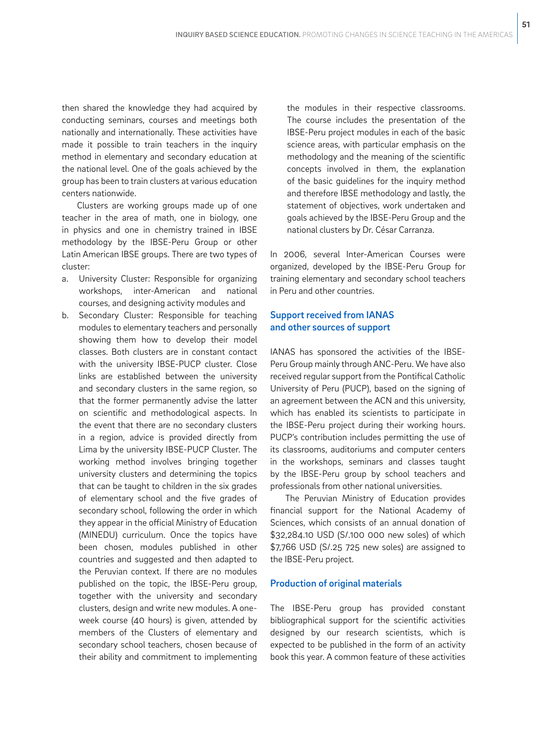then shared the knowledge they had acquired by conducting seminars, courses and meetings both nationally and internationally. These activities have made it possible to train teachers in the inquiry method in elementary and secondary education at the national level. One of the goals achieved by the group has been to train clusters at various education centers nationwide.

Clusters are working groups made up of one teacher in the area of math, one in biology, one in physics and one in chemistry trained in IBSE methodology by the IBSE-Peru Group or other Latin American IBSE groups. There are two types of cluster:

- a. University Cluster: Responsible for organizing workshops, inter-American and national courses, and designing activity modules and
- b. Secondary Cluster: Responsible for teaching modules to elementary teachers and personally showing them how to develop their model classes. Both clusters are in constant contact with the university IBSE-PUCP cluster. Close links are established between the university and secondary clusters in the same region, so that the former permanently advise the latter on scientific and methodological aspects. In the event that there are no secondary clusters in a region, advice is provided directly from Lima by the university IBSE-PUCP Cluster. The working method involves bringing together university clusters and determining the topics that can be taught to children in the six grades of elementary school and the five grades of secondary school, following the order in which they appear in the official Ministry of Education (MINEDU) curriculum. Once the topics have been chosen, modules published in other countries and suggested and then adapted to the Peruvian context. If there are no modules published on the topic, the IBSE-Peru group, together with the university and secondary clusters, design and write new modules. A oneweek course (40 hours) is given, attended by members of the Clusters of elementary and secondary school teachers, chosen because of their ability and commitment to implementing

the modules in their respective classrooms. The course includes the presentation of the IBSE-Peru project modules in each of the basic science areas, with particular emphasis on the methodology and the meaning of the scientific concepts involved in them, the explanation of the basic guidelines for the inquiry method and therefore IBSE methodology and lastly, the statement of objectives, work undertaken and goals achieved by the IBSE-Peru Group and the national clusters by Dr. César Carranza.

In 2006, several Inter-American Courses were organized, developed by the IBSE-Peru Group for training elementary and secondary school teachers in Peru and other countries.

## Support received from IANAS and other sources of support

IANAS has sponsored the activities of the IBSE-Peru Group mainly through ANC-Peru. We have also received regular support from the Pontifical Catholic University of Peru (PUCP), based on the signing of an agreement between the ACN and this university, which has enabled its scientists to participate in the IBSE-Peru project during their working hours. PUCP's contribution includes permitting the use of its classrooms, auditoriums and computer centers in the workshops, seminars and classes taught by the IBSE-Peru group by school teachers and professionals from other national universities.

The Peruvian Ministry of Education provides financial support for the National Academy of Sciences, which consists of an annual donation of \$32,284.10 USD (S/.100 000 new soles) of which \$7,766 USD (S/.25 725 new soles) are assigned to the IBSE-Peru project.

#### Production of original materials

The IBSE-Peru group has provided constant bibliographical support for the scientific activities designed by our research scientists, which is expected to be published in the form of an activity book this year. A common feature of these activities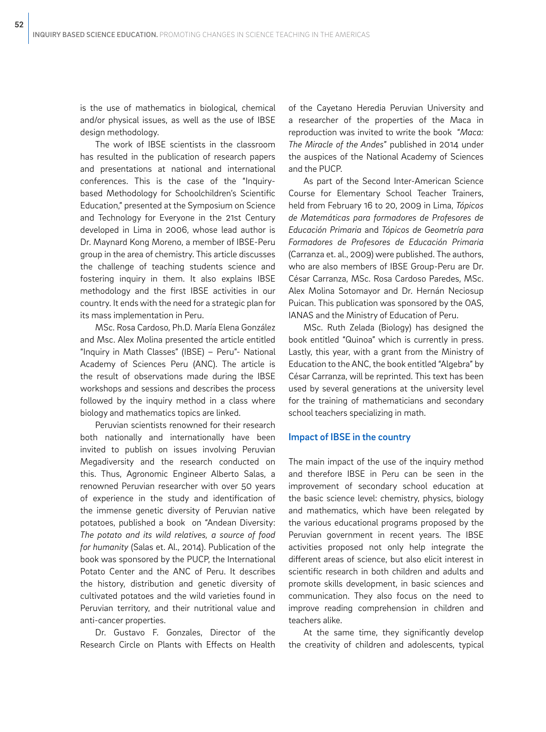is the use of mathematics in biological, chemical and/or physical issues, as well as the use of IBSE design methodology.

The work of IBSE scientists in the classroom has resulted in the publication of research papers and presentations at national and international conferences. This is the case of the "Inquirybased Methodology for Schoolchildren's Scientific Education," presented at the Symposium on Science and Technology for Everyone in the 21st Century developed in Lima in 2006, whose lead author is Dr. Maynard Kong Moreno, a member of IBSE-Peru group in the area of chemistry. This article discusses the challenge of teaching students science and fostering inquiry in them. It also explains IBSE methodology and the first IBSE activities in our country. It ends with the need for a strategic plan for its mass implementation in Peru.

MSc. Rosa Cardoso, Ph.D. María Elena González and Msc. Alex Molina presented the article entitled "Inquiry in Math Classes" (IBSE) – Peru"- National Academy of Sciences Peru (ANC). The article is the result of observations made during the IBSE workshops and sessions and describes the process followed by the inquiry method in a class where biology and mathematics topics are linked.

Peruvian scientists renowned for their research both nationally and internationally have been invited to publish on issues involving Peruvian Megadiversity and the research conducted on this. Thus, Agronomic Engineer Alberto Salas, a renowned Peruvian researcher with over 50 years of experience in the study and identification of the immense genetic diversity of Peruvian native potatoes, published a book on "Andean Diversity: *The potato and its wild relatives, a source of food for humanity* (Salas et. Al., 2014). Publication of the book was sponsored by the PUCP, the International Potato Center and the ANC of Peru. It describes the history, distribution and genetic diversity of cultivated potatoes and the wild varieties found in Peruvian territory, and their nutritional value and anti-cancer properties.

Dr. Gustavo F. Gonzales, Director of the Research Circle on Plants with Effects on Health

of the Cayetano Heredia Peruvian University and a researcher of the properties of the Maca in reproduction was invited to write the book "*Maca: The Miracle of the Andes*" published in 2014 under the auspices of the National Academy of Sciences and the PUCP.

As part of the Second Inter-American Science Course for Elementary School Teacher Trainers, held from February 16 to 20, 2009 in Lima, *Tópicos de Matemáticas para formadores de Profesores de Educación Primaria* and *Tópicos de Geometría para Formadores de Profesores de Educación Primaria*  (Carranza et. al., 2009) were published. The authors, who are also members of IBSE Group-Peru are Dr. César Carranza, MSc. Rosa Cardoso Paredes, MSc. Alex Molina Sotomayor and Dr. Hernán Neciosup Puican. This publication was sponsored by the OAS, IANAS and the Ministry of Education of Peru.

MSc. Ruth Zelada (Biology) has designed the book entitled "Quinoa" which is currently in press. Lastly, this year, with a grant from the Ministry of Education to the ANC, the book entitled "Algebra" by César Carranza, will be reprinted. This text has been used by several generations at the university level for the training of mathematicians and secondary school teachers specializing in math.

### Impact of IBSE in the country

The main impact of the use of the inquiry method and therefore IBSE in Peru can be seen in the improvement of secondary school education at the basic science level: chemistry, physics, biology and mathematics, which have been relegated by the various educational programs proposed by the Peruvian government in recent years. The IBSE activities proposed not only help integrate the different areas of science, but also elicit interest in scientific research in both children and adults and promote skills development, in basic sciences and communication. They also focus on the need to improve reading comprehension in children and teachers alike.

At the same time, they significantly develop the creativity of children and adolescents, typical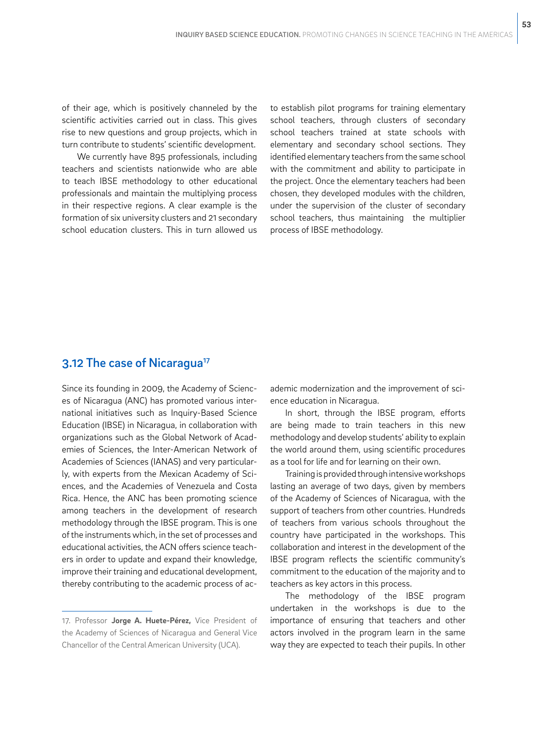of their age, which is positively channeled by the scientific activities carried out in class. This gives rise to new questions and group projects, which in turn contribute to students' scientific development.

We currently have 895 professionals, including teachers and scientists nationwide who are able to teach IBSE methodology to other educational professionals and maintain the multiplying process in their respective regions. A clear example is the formation of six university clusters and 21 secondary school education clusters. This in turn allowed us to establish pilot programs for training elementary school teachers, through clusters of secondary school teachers trained at state schools with elementary and secondary school sections. They identified elementary teachers from the same school with the commitment and ability to participate in the project. Once the elementary teachers had been chosen, they developed modules with the children, under the supervision of the cluster of secondary school teachers, thus maintaining the multiplier process of IBSE methodology.

## 3.12 The case of Nicaragua<sup>17</sup>

Since its founding in 2009, the Academy of Sciences of Nicaragua (ANC) has promoted various international initiatives such as Inquiry-Based Science Education (IBSE) in Nicaragua, in collaboration with organizations such as the Global Network of Academies of Sciences, the Inter-American Network of Academies of Sciences (IANAS) and very particularly, with experts from the Mexican Academy of Sciences, and the Academies of Venezuela and Costa Rica. Hence, the ANC has been promoting science among teachers in the development of research methodology through the IBSE program. This is one of the instruments which, in the set of processes and educational activities, the ACN offers science teachers in order to update and expand their knowledge, improve their training and educational development, thereby contributing to the academic process of academic modernization and the improvement of science education in Nicaragua.

In short, through the IBSE program, efforts are being made to train teachers in this new methodology and develop students' ability to explain the world around them, using scientific procedures as a tool for life and for learning on their own.

Training is provided through intensive workshops lasting an average of two days, given by members of the Academy of Sciences of Nicaragua, with the support of teachers from other countries. Hundreds of teachers from various schools throughout the country have participated in the workshops. This collaboration and interest in the development of the IBSE program reflects the scientific community's commitment to the education of the majority and to teachers as key actors in this process.

The methodology of the IBSE program undertaken in the workshops is due to the importance of ensuring that teachers and other actors involved in the program learn in the same way they are expected to teach their pupils. In other

<sup>17.</sup> Professor **Jorge A. Huete-Pérez,** Vice President of the Academy of Sciences of Nicaragua and General Vice Chancellor of the Central American University (UCA).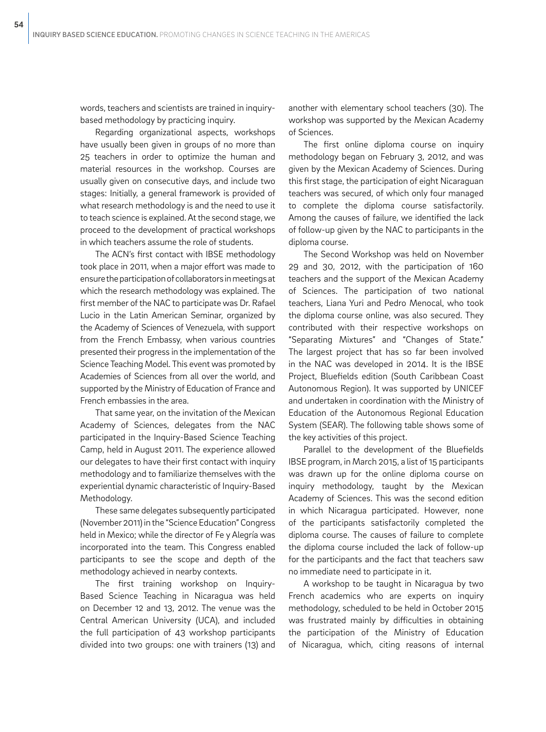words, teachers and scientists are trained in inquirybased methodology by practicing inquiry.

Regarding organizational aspects, workshops have usually been given in groups of no more than 25 teachers in order to optimize the human and material resources in the workshop. Courses are usually given on consecutive days, and include two stages: Initially, a general framework is provided of what research methodology is and the need to use it to teach science is explained. At the second stage, we proceed to the development of practical workshops in which teachers assume the role of students.

The ACN's first contact with IBSE methodology took place in 2011, when a major effort was made to ensure the participation of collaborators in meetings at which the research methodology was explained. The first member of the NAC to participate was Dr. Rafael Lucio in the Latin American Seminar, organized by the Academy of Sciences of Venezuela, with support from the French Embassy, when various countries presented their progress in the implementation of the Science Teaching Model. This event was promoted by Academies of Sciences from all over the world, and supported by the Ministry of Education of France and French embassies in the area.

That same year, on the invitation of the Mexican Academy of Sciences, delegates from the NAC participated in the Inquiry-Based Science Teaching Camp, held in August 2011. The experience allowed our delegates to have their first contact with inquiry methodology and to familiarize themselves with the experiential dynamic characteristic of Inquiry-Based Methodology.

These same delegates subsequently participated (November 2011) in the "Science Education" Congress held in Mexico; while the director of Fe y Alegría was incorporated into the team. This Congress enabled participants to see the scope and depth of the methodology achieved in nearby contexts.

The first training workshop on Inquiry-Based Science Teaching in Nicaragua was held on December 12 and 13, 2012. The venue was the Central American University (UCA), and included the full participation of 43 workshop participants divided into two groups: one with trainers (13) and

another with elementary school teachers (30). The workshop was supported by the Mexican Academy of Sciences.

The first online diploma course on inquiry methodology began on February 3, 2012, and was given by the Mexican Academy of Sciences. During this first stage, the participation of eight Nicaraguan teachers was secured, of which only four managed to complete the diploma course satisfactorily. Among the causes of failure, we identified the lack of follow-up given by the NAC to participants in the diploma course.

The Second Workshop was held on November 29 and 30, 2012, with the participation of 160 teachers and the support of the Mexican Academy of Sciences. The participation of two national teachers, Liana Yuri and Pedro Menocal, who took the diploma course online, was also secured. They contributed with their respective workshops on "Separating Mixtures" and "Changes of State." The largest project that has so far been involved in the NAC was developed in 2014. It is the IBSE Project, Bluefields edition (South Caribbean Coast Autonomous Region). It was supported by UNICEF and undertaken in coordination with the Ministry of Education of the Autonomous Regional Education System (SEAR). The following table shows some of the key activities of this project.

Parallel to the development of the Bluefields IBSE program, in March 2015, a list of 15 participants was drawn up for the online diploma course on inquiry methodology, taught by the Mexican Academy of Sciences. This was the second edition in which Nicaragua participated. However, none of the participants satisfactorily completed the diploma course. The causes of failure to complete the diploma course included the lack of follow-up for the participants and the fact that teachers saw no immediate need to participate in it.

A workshop to be taught in Nicaragua by two French academics who are experts on inquiry methodology, scheduled to be held in October 2015 was frustrated mainly by difficulties in obtaining the participation of the Ministry of Education of Nicaragua, which, citing reasons of internal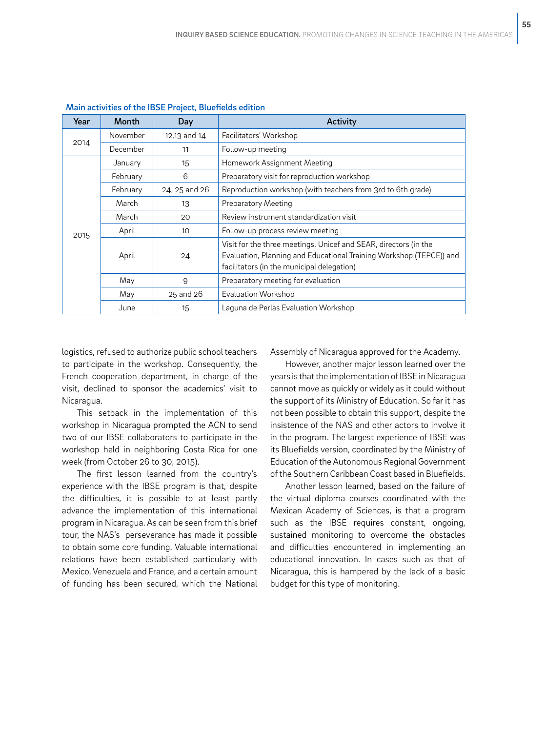| Year | Month    | Day           | Activity                                                                                                                                                                              |
|------|----------|---------------|---------------------------------------------------------------------------------------------------------------------------------------------------------------------------------------|
| 2014 | November | 12,13 and 14  | Facilitators' Workshop                                                                                                                                                                |
|      | December | 11            | Follow-up meeting                                                                                                                                                                     |
| 2015 | January  | 15            | Homework Assignment Meeting                                                                                                                                                           |
|      | February | 6             | Preparatory visit for reproduction workshop                                                                                                                                           |
|      | February | 24, 25 and 26 | Reproduction workshop (with teachers from 3rd to 6th grade)                                                                                                                           |
|      | March    | 13            | <b>Preparatory Meeting</b>                                                                                                                                                            |
|      | March    | 20            | Review instrument standardization visit                                                                                                                                               |
|      | April    | 10            | Follow-up process review meeting                                                                                                                                                      |
|      | April    | 24            | Visit for the three meetings. Unicef and SEAR, directors (in the<br>Evaluation, Planning and Educational Training Workshop (TEPCE)) and<br>facilitators (in the municipal delegation) |
|      | May      | 9             | Preparatory meeting for evaluation                                                                                                                                                    |
|      | May      | 25 and 26     | <b>Evaluation Workshop</b>                                                                                                                                                            |
|      | June     | 15            | Laguna de Perlas Evaluation Workshop                                                                                                                                                  |

Main activities of the IBSE Project, Bluefields edition

logistics, refused to authorize public school teachers to participate in the workshop. Consequently, the French cooperation department, in charge of the visit, declined to sponsor the academics' visit to Nicaragua.

This setback in the implementation of this workshop in Nicaragua prompted the ACN to send two of our IBSE collaborators to participate in the workshop held in neighboring Costa Rica for one week (from October 26 to 30, 2015).

The first lesson learned from the country's experience with the IBSE program is that, despite the difficulties, it is possible to at least partly advance the implementation of this international program in Nicaragua. As can be seen from this brief tour, the NAS's perseverance has made it possible to obtain some core funding. Valuable international relations have been established particularly with Mexico, Venezuela and France, and a certain amount of funding has been secured, which the National

Assembly of Nicaragua approved for the Academy.

However, another major lesson learned over the years is that the implementation of IBSE in Nicaragua cannot move as quickly or widely as it could without the support of its Ministry of Education. So far it has not been possible to obtain this support, despite the insistence of the NAS and other actors to involve it in the program. The largest experience of IBSE was its Bluefields version, coordinated by the Ministry of Education of the Autonomous Regional Government of the Southern Caribbean Coast based in Bluefields.

Another lesson learned, based on the failure of the virtual diploma courses coordinated with the Mexican Academy of Sciences, is that a program such as the IBSE requires constant, ongoing, sustained monitoring to overcome the obstacles and difficulties encountered in implementing an educational innovation. In cases such as that of Nicaragua, this is hampered by the lack of a basic budget for this type of monitoring.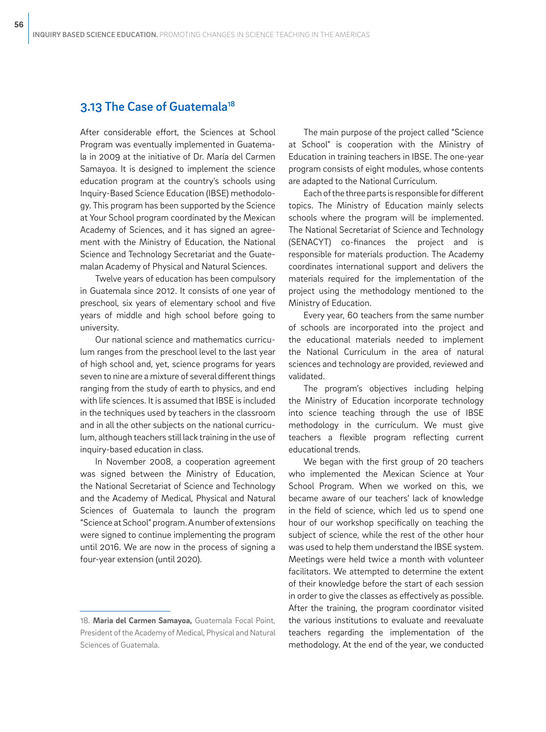# 3.13 The Case of Guatemala18

After considerable effort, the Sciences at School Program was eventually implemented in Guatemala in 2009 at the initiative of Dr. María del Carmen Samayoa. It is designed to implement the science education program at the country's schools using Inquiry-Based Science Education (IBSE) methodology. This program has been supported by the Science at Your School program coordinated by the Mexican Academy of Sciences, and it has signed an agreement with the Ministry of Education, the National Science and Technology Secretariat and the Guatemalan Academy of Physical and Natural Sciences.

Twelve years of education has been compulsory in Guatemala since 2012. It consists of one year of preschool, six years of elementary school and five years of middle and high school before going to university.

Our national science and mathematics curriculum ranges from the preschool level to the last year of high school and, yet, science programs for years seven to nine are a mixture of several different things ranging from the study of earth to physics, and end with life sciences. It is assumed that IBSE is included in the techniques used by teachers in the classroom and in all the other subjects on the national curriculum, although teachers still lack training in the use of inquiry-based education in class.

In November 2008, a cooperation agreement was signed between the Ministry of Education, the National Secretariat of Science and Technology and the Academy of Medical, Physical and Natural Sciences of Guatemala to launch the program "Science at School" program. A number of extensions were signed to continue implementing the program until 2016. We are now in the process of signing a four-year extension (until 2020).

18. **Maria del Carmen Samayoa,** Guatemala Focal Point, President of the Academy of Medical, Physical and Natural Sciences of Guatemala.

The main purpose of the project called "Science at School" is cooperation with the Ministry of Education in training teachers in IBSE. The one-year program consists of eight modules, whose contents are adapted to the National Curriculum.

Each of the three parts is responsible for different topics. The Ministry of Education mainly selects schools where the program will be implemented. The National Secretariat of Science and Technology (SENACYT) co-finances the project and is responsible for materials production. The Academy coordinates international support and delivers the materials required for the implementation of the project using the methodology mentioned to the Ministry of Education.

Every year, 60 teachers from the same number of schools are incorporated into the project and the educational materials needed to implement the National Curriculum in the area of natural sciences and technology are provided, reviewed and validated.

The program's objectives including helping the Ministry of Education incorporate technology into science teaching through the use of IBSE methodology in the curriculum. We must give teachers a flexible program reflecting current educational trends.

We began with the first group of 20 teachers who implemented the Mexican Science at Your School Program. When we worked on this, we became aware of our teachers' lack of knowledge in the field of science, which led us to spend one hour of our workshop specifically on teaching the subject of science, while the rest of the other hour was used to help them understand the IBSE system. Meetings were held twice a month with volunteer facilitators. We attempted to determine the extent of their knowledge before the start of each session in order to give the classes as effectively as possible. After the training, the program coordinator visited the various institutions to evaluate and reevaluate teachers regarding the implementation of the methodology. At the end of the year, we conducted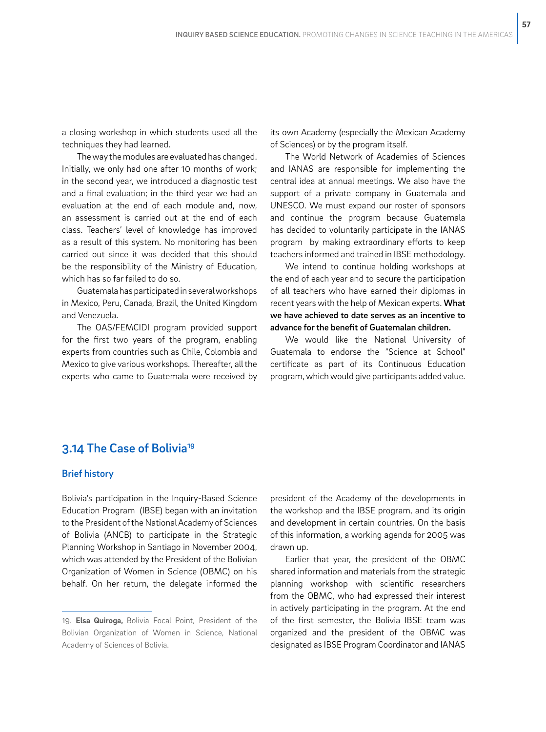a closing workshop in which students used all the techniques they had learned.

The way the modules are evaluated has changed. Initially, we only had one after 10 months of work; in the second year, we introduced a diagnostic test and a final evaluation; in the third year we had an evaluation at the end of each module and, now, an assessment is carried out at the end of each class. Teachers' level of knowledge has improved as a result of this system. No monitoring has been carried out since it was decided that this should be the responsibility of the Ministry of Education, which has so far failed to do so.

Guatemala has participated in several workshops in Mexico, Peru, Canada, Brazil, the United Kingdom and Venezuela.

The OAS/FEMCIDI program provided support for the first two years of the program, enabling experts from countries such as Chile, Colombia and Mexico to give various workshops. Thereafter, all the experts who came to Guatemala were received by

its own Academy (especially the Mexican Academy of Sciences) or by the program itself.

The World Network of Academies of Sciences and IANAS are responsible for implementing the central idea at annual meetings. We also have the support of a private company in Guatemala and UNESCO. We must expand our roster of sponsors and continue the program because Guatemala has decided to voluntarily participate in the IANAS program by making extraordinary efforts to keep teachers informed and trained in IBSE methodology.

We intend to continue holding workshops at the end of each year and to secure the participation of all teachers who have earned their diplomas in recent years with the help of Mexican experts. What we have achieved to date serves as an incentive to advance for the benefit of Guatemalan children.

We would like the National University of Guatemala to endorse the "Science at School" certificate as part of its Continuous Education program, which would give participants added value.

## 3.14 The Case of Bolivia19

#### Brief history

Bolivia's participation in the Inquiry-Based Science Education Program (IBSE) began with an invitation to the President of the National Academy of Sciences of Bolivia (ANCB) to participate in the Strategic Planning Workshop in Santiago in November 2004, which was attended by the President of the Bolivian Organization of Women in Science (OBMC) on his behalf. On her return, the delegate informed the president of the Academy of the developments in the workshop and the IBSE program, and its origin and development in certain countries. On the basis of this information, a working agenda for 2005 was drawn up.

Earlier that year, the president of the OBMC shared information and materials from the strategic planning workshop with scientific researchers from the OBMC, who had expressed their interest in actively participating in the program. At the end of the first semester, the Bolivia IBSE team was organized and the president of the OBMC was designated as IBSE Program Coordinator and IANAS

<sup>19.</sup> **Elsa Quiroga,** Bolivia Focal Point, President of the Bolivian Organization of Women in Science, National Academy of Sciences of Bolivia.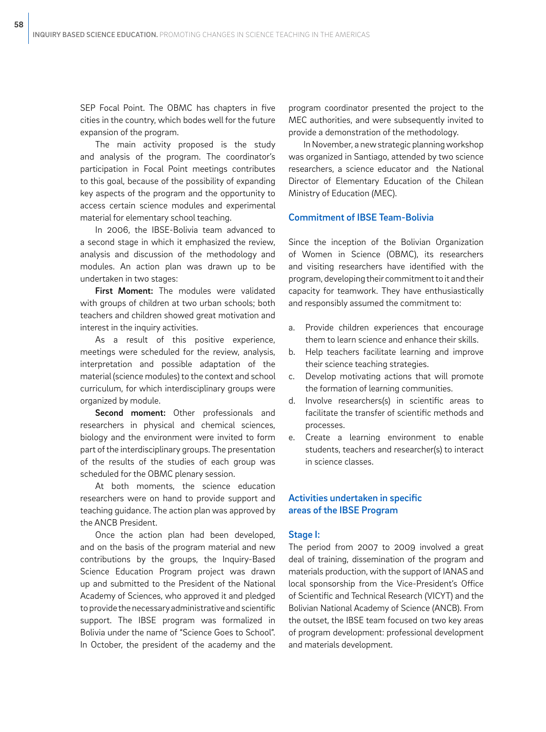SEP Focal Point. The OBMC has chapters in five cities in the country, which bodes well for the future expansion of the program.

The main activity proposed is the study and analysis of the program. The coordinator's participation in Focal Point meetings contributes to this goal, because of the possibility of expanding key aspects of the program and the opportunity to access certain science modules and experimental material for elementary school teaching.

In 2006, the IBSE-Bolivia team advanced to a second stage in which it emphasized the review, analysis and discussion of the methodology and modules. An action plan was drawn up to be undertaken in two stages:

First Moment: The modules were validated with groups of children at two urban schools; both teachers and children showed great motivation and interest in the inquiry activities.

As a result of this positive experience, meetings were scheduled for the review, analysis, interpretation and possible adaptation of the material (science modules) to the context and school curriculum, for which interdisciplinary groups were organized by module.

Second moment: Other professionals and researchers in physical and chemical sciences, biology and the environment were invited to form part of the interdisciplinary groups. The presentation of the results of the studies of each group was scheduled for the OBMC plenary session.

At both moments, the science education researchers were on hand to provide support and teaching guidance. The action plan was approved by the ANCB President.

Once the action plan had been developed, and on the basis of the program material and new contributions by the groups, the Inquiry-Based Science Education Program project was drawn up and submitted to the President of the National Academy of Sciences, who approved it and pledged to provide the necessary administrative and scientific support. The IBSE program was formalized in Bolivia under the name of "Science Goes to School". In October, the president of the academy and the

program coordinator presented the project to the MEC authorities, and were subsequently invited to provide a demonstration of the methodology.

In November, a new strategic planning workshop was organized in Santiago, attended by two science researchers, a science educator and the National Director of Elementary Education of the Chilean Ministry of Education (MEC).

## Commitment of IBSE Team-Bolivia

Since the inception of the Bolivian Organization of Women in Science (OBMC), its researchers and visiting researchers have identified with the program, developing their commitment to it and their capacity for teamwork. They have enthusiastically and responsibly assumed the commitment to:

- a. Provide children experiences that encourage them to learn science and enhance their skills.
- b. Help teachers facilitate learning and improve their science teaching strategies.
- c. Develop motivating actions that will promote the formation of learning communities.
- d. Involve researchers(s) in scientific areas to facilitate the transfer of scientific methods and processes.
- e. Create a learning environment to enable students, teachers and researcher(s) to interact in science classes.

## Activities undertaken in specific areas of the IBSE Program

### Stage I:

The period from 2007 to 2009 involved a great deal of training, dissemination of the program and materials production, with the support of IANAS and local sponsorship from the Vice-President's Office of Scientific and Technical Research (VICYT) and the Bolivian National Academy of Science (ANCB). From the outset, the IBSE team focused on two key areas of program development: professional development and materials development.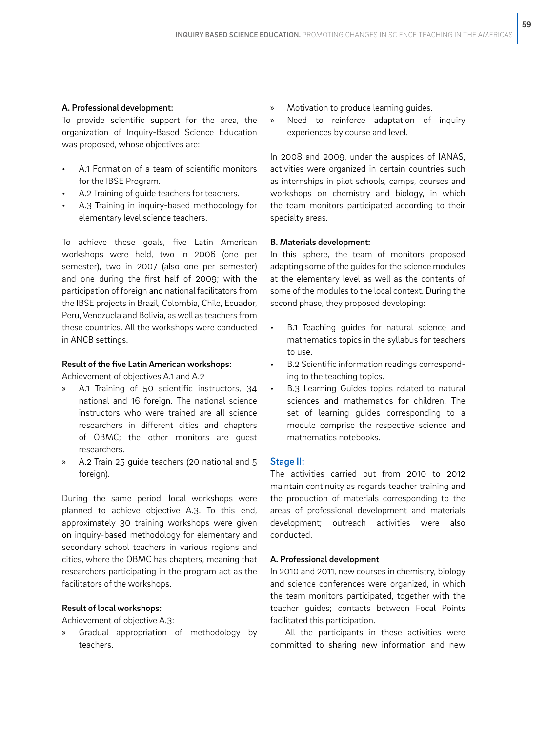### A. Professional development:

To provide scientific support for the area, the organization of Inquiry-Based Science Education was proposed, whose objectives are:

- A.1 Formation of a team of scientific monitors for the IBSE Program.
- A.2 Training of quide teachers for teachers.
- A.3 Training in inquiry-based methodology for elementary level science teachers.

To achieve these goals, five Latin American workshops were held, two in 2006 (one per semester), two in 2007 (also one per semester) and one during the first half of 2009; with the participation of foreign and national facilitators from the IBSE projects in Brazil, Colombia, Chile, Ecuador, Peru, Venezuela and Bolivia, as well as teachers from these countries. All the workshops were conducted in ANCB settings.

#### Result of the five Latin American workshops:

Achievement of objectives A.1 and A.2

- » A.1 Training of 50 scientific instructors, 34 national and 16 foreign. The national science instructors who were trained are all science researchers in different cities and chapters of OBMC; the other monitors are guest researchers.
- » A.2 Train 25 guide teachers (20 national and 5 foreign).

During the same period, local workshops were planned to achieve objective A.3. To this end, approximately 30 training workshops were given on inquiry-based methodology for elementary and secondary school teachers in various regions and cities, where the OBMC has chapters, meaning that researchers participating in the program act as the facilitators of the workshops.

## Result of local workshops:

Achievement of objective A.3:

» Gradual appropriation of methodology by teachers.

- » Motivation to produce learning guides.
- » Need to reinforce adaptation of inquiry experiences by course and level.

In 2008 and 2009, under the auspices of IANAS, activities were organized in certain countries such as internships in pilot schools, camps, courses and workshops on chemistry and biology, in which the team monitors participated according to their specialty areas.

#### B. Materials development:

In this sphere, the team of monitors proposed adapting some of the guides for the science modules at the elementary level as well as the contents of some of the modules to the local context. During the second phase, they proposed developing:

- B.1 Teaching guides for natural science and mathematics topics in the syllabus for teachers to use.
- B.2 Scientific information readings corresponding to the teaching topics.
- B.3 Learning Guides topics related to natural sciences and mathematics for children. The set of learning guides corresponding to a module comprise the respective science and mathematics notebooks.

## Stage II:

The activities carried out from 2010 to 2012 maintain continuity as regards teacher training and the production of materials corresponding to the areas of professional development and materials development; outreach activities were also conducted.

#### A. Professional development

In 2010 and 2011, new courses in chemistry, biology and science conferences were organized, in which the team monitors participated, together with the teacher guides; contacts between Focal Points facilitated this participation.

All the participants in these activities were committed to sharing new information and new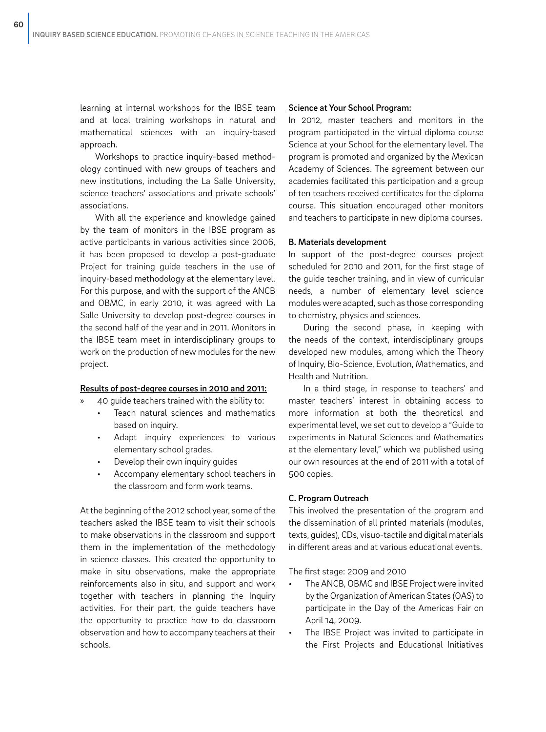learning at internal workshops for the IBSE team and at local training workshops in natural and mathematical sciences with an inquiry-based approach.

Workshops to practice inquiry-based methodology continued with new groups of teachers and new institutions, including the La Salle University, science teachers' associations and private schools' associations.

With all the experience and knowledge gained by the team of monitors in the IBSE program as active participants in various activities since 2006, it has been proposed to develop a post-graduate Project for training guide teachers in the use of inquiry-based methodology at the elementary level. For this purpose, and with the support of the ANCB and OBMC, in early 2010, it was agreed with La Salle University to develop post-degree courses in the second half of the year and in 2011. Monitors in the IBSE team meet in interdisciplinary groups to work on the production of new modules for the new project.

#### Results of post-degree courses in 2010 and 2011:

- » 40 guide teachers trained with the ability to:
	- Teach natural sciences and mathematics based on inquiry.
	- Adapt inquiry experiences to various elementary school grades.
	- Develop their own inquiry guides
	- Accompany elementary school teachers in the classroom and form work teams.

At the beginning of the 2012 school year, some of the teachers asked the IBSE team to visit their schools to make observations in the classroom and support them in the implementation of the methodology in science classes. This created the opportunity to make in situ observations, make the appropriate reinforcements also in situ, and support and work together with teachers in planning the Inquiry activities. For their part, the guide teachers have the opportunity to practice how to do classroom observation and how to accompany teachers at their schools.

#### Science at Your School Program:

In 2012, master teachers and monitors in the program participated in the virtual diploma course Science at your School for the elementary level. The program is promoted and organized by the Mexican Academy of Sciences. The agreement between our academies facilitated this participation and a group of ten teachers received certificates for the diploma course. This situation encouraged other monitors and teachers to participate in new diploma courses.

#### B. Materials development

In support of the post-degree courses project scheduled for 2010 and 2011, for the first stage of the guide teacher training, and in view of curricular needs, a number of elementary level science modules were adapted, such as those corresponding to chemistry, physics and sciences.

During the second phase, in keeping with the needs of the context, interdisciplinary groups developed new modules, among which the Theory of Inquiry, Bio-Science, Evolution, Mathematics, and Health and Nutrition.

In a third stage, in response to teachers' and master teachers' interest in obtaining access to more information at both the theoretical and experimental level, we set out to develop a "Guide to experiments in Natural Sciences and Mathematics at the elementary level," which we published using our own resources at the end of 2011 with a total of 500 copies.

#### C. Program Outreach

This involved the presentation of the program and the dissemination of all printed materials (modules, texts, guides), CDs, visuo-tactile and digital materials in different areas and at various educational events.

The first stage: 2009 and 2010

- The ANCB, OBMC and IBSE Project were invited by the Organization of American States (OAS) to participate in the Day of the Americas Fair on April 14, 2009.
- The IBSE Project was invited to participate in the First Projects and Educational Initiatives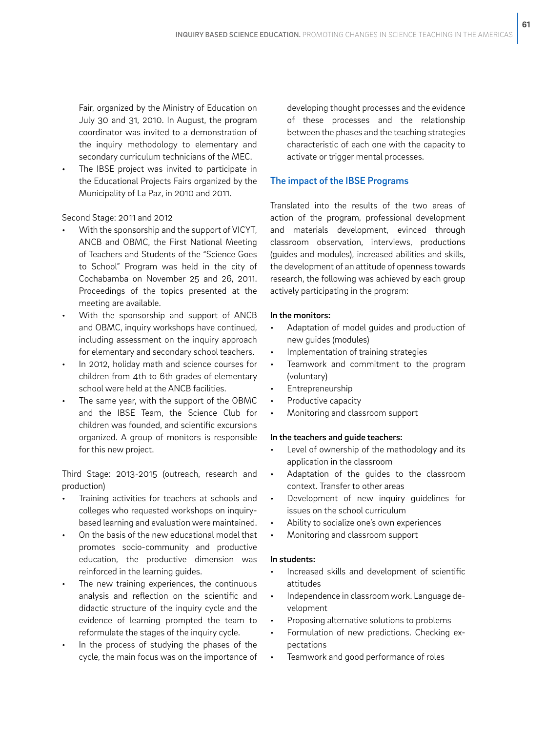Fair, organized by the Ministry of Education on July 30 and 31, 2010. In August, the program coordinator was invited to a demonstration of the inquiry methodology to elementary and secondary curriculum technicians of the MEC.

The IBSE project was invited to participate in the Educational Projects Fairs organized by the Municipality of La Paz, in 2010 and 2011.

## Second Stage: 2011 and 2012

- With the sponsorship and the support of VICYT, ANCB and OBMC, the First National Meeting of Teachers and Students of the "Science Goes to School" Program was held in the city of Cochabamba on November 25 and 26, 2011. Proceedings of the topics presented at the meeting are available.
- With the sponsorship and support of ANCB and OBMC, inquiry workshops have continued, including assessment on the inquiry approach for elementary and secondary school teachers.
- In 2012, holiday math and science courses for children from 4th to 6th grades of elementary school were held at the ANCB facilities.
- The same year, with the support of the OBMC and the IBSE Team, the Science Club for children was founded, and scientific excursions organized. A group of monitors is responsible for this new project.

Third Stage: 2013-2015 (outreach, research and production)

- Training activities for teachers at schools and colleges who requested workshops on inquirybased learning and evaluation were maintained.
- On the basis of the new educational model that promotes socio-community and productive education, the productive dimension was reinforced in the learning guides.
- The new training experiences, the continuous analysis and reflection on the scientific and didactic structure of the inquiry cycle and the evidence of learning prompted the team to reformulate the stages of the inquiry cycle.
- In the process of studying the phases of the cycle, the main focus was on the importance of

developing thought processes and the evidence of these processes and the relationship between the phases and the teaching strategies characteristic of each one with the capacity to activate or trigger mental processes.

**61**

## The impact of the IBSE Programs

Translated into the results of the two areas of action of the program, professional development and materials development, evinced through classroom observation, interviews, productions (guides and modules), increased abilities and skills, the development of an attitude of openness towards research, the following was achieved by each group actively participating in the program:

## In the monitors:

- Adaptation of model guides and production of new guides (modules)
- Implementation of training strategies
- Teamwork and commitment to the program (voluntary)
- **Entrepreneurship**
- Productive capacity
- Monitoring and classroom support

### In the teachers and guide teachers:

- Level of ownership of the methodology and its application in the classroom
- Adaptation of the guides to the classroom context. Transfer to other areas
- Development of new inquiry guidelines for issues on the school curriculum
- Ability to socialize one's own experiences
- Monitoring and classroom support

### In students:

- Increased skills and development of scientific attitudes
- Independence in classroom work. Language development
- Proposing alternative solutions to problems
- Formulation of new predictions. Checking expectations
- Teamwork and good performance of roles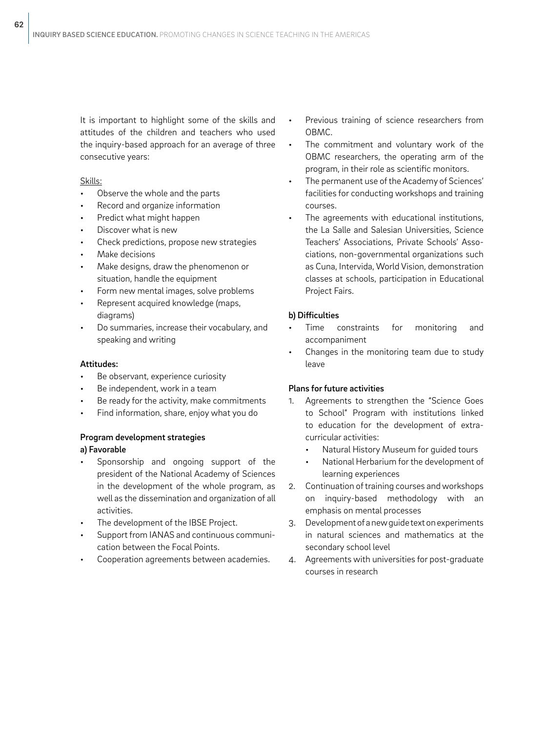It is important to highlight some of the skills and attitudes of the children and teachers who used the inquiry-based approach for an average of three consecutive years:

## Skills:

- Observe the whole and the parts
- Record and organize information
- Predict what might happen
- Discover what is new
- Check predictions, propose new strategies
- Make decisions
- Make designs, draw the phenomenon or situation, handle the equipment
- Form new mental images, solve problems
- Represent acquired knowledge (maps, diagrams)
- Do summaries, increase their vocabulary, and speaking and writing

#### Attitudes:

- Be observant, experience curiosity
- Be independent, work in a team
- Be ready for the activity, make commitments
- Find information, share, enjoy what you do

#### Program development strategies

## a) Favorable

- Sponsorship and ongoing support of the president of the National Academy of Sciences in the development of the whole program, as well as the dissemination and organization of all activities.
- The development of the IBSE Project.
- Support from IANAS and continuous communication between the Focal Points.
- Cooperation agreements between academies.
- Previous training of science researchers from OBMC.
- The commitment and voluntary work of the OBMC researchers, the operating arm of the program, in their role as scientific monitors.
- The permanent use of the Academy of Sciences' facilities for conducting workshops and training courses.
- The agreements with educational institutions, the La Salle and Salesian Universities, Science Teachers' Associations, Private Schools' Associations, non-governmental organizations such as Cuna, Intervida, World Vision, demonstration classes at schools, participation in Educational Project Fairs.

### b) Difficulties

- Time constraints for monitoring and accompaniment
- Changes in the monitoring team due to study leave

## Plans for future activities

- 1. Agreements to strengthen the "Science Goes to School" Program with institutions linked to education for the development of extracurricular activities:
	- Natural History Museum for guided tours
	- National Herbarium for the development of learning experiences
- 2. Continuation of training courses and workshops on inquiry-based methodology with an emphasis on mental processes
- 3. Development of a new guide text on experiments in natural sciences and mathematics at the secondary school level
- 4. Agreements with universities for post-graduate courses in research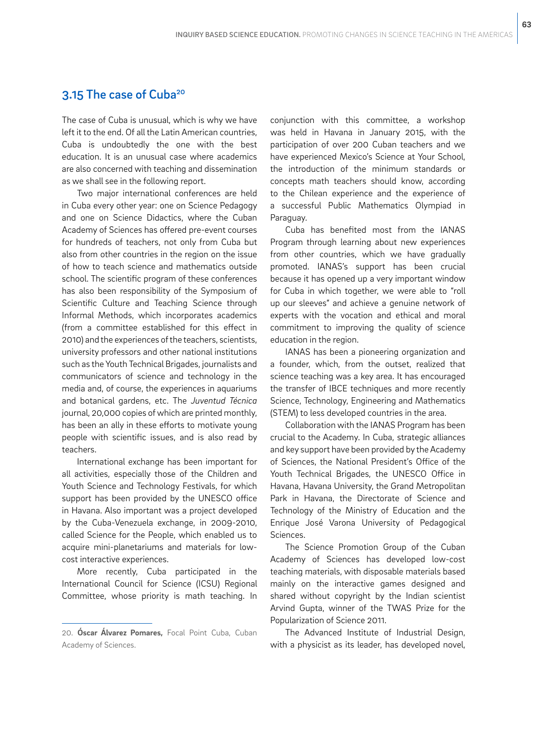# 3.15 The case of Cuba<sup>20</sup>

The case of Cuba is unusual, which is why we have left it to the end. Of all the Latin American countries, Cuba is undoubtedly the one with the best education. It is an unusual case where academics are also concerned with teaching and dissemination as we shall see in the following report.

Two major international conferences are held in Cuba every other year: one on Science Pedagogy and one on Science Didactics, where the Cuban Academy of Sciences has offered pre-event courses for hundreds of teachers, not only from Cuba but also from other countries in the region on the issue of how to teach science and mathematics outside school. The scientific program of these conferences has also been responsibility of the Symposium of Scientific Culture and Teaching Science through Informal Methods, which incorporates academics (from a committee established for this effect in 2010) and the experiences of the teachers, scientists, university professors and other national institutions such as the Youth Technical Brigades, journalists and communicators of science and technology in the media and, of course, the experiences in aquariums and botanical gardens, etc. The *Juventud Técnica*  journal, 20,000 copies of which are printed monthly, has been an ally in these efforts to motivate young people with scientific issues, and is also read by teachers.

International exchange has been important for all activities, especially those of the Children and Youth Science and Technology Festivals, for which support has been provided by the UNESCO office in Havana. Also important was a project developed by the Cuba-Venezuela exchange, in 2009-2010, called Science for the People, which enabled us to acquire mini-planetariums and materials for lowcost interactive experiences.

More recently, Cuba participated in the International Council for Science (ICSU) Regional Committee, whose priority is math teaching. In conjunction with this committee, a workshop was held in Havana in January 2015, with the participation of over 200 Cuban teachers and we have experienced Mexico's Science at Your School, the introduction of the minimum standards or concepts math teachers should know, according to the Chilean experience and the experience of a successful Public Mathematics Olympiad in Paraguay.

Cuba has benefited most from the IANAS Program through learning about new experiences from other countries, which we have gradually promoted. IANAS's support has been crucial because it has opened up a very important window for Cuba in which together, we were able to "roll up our sleeves" and achieve a genuine network of experts with the vocation and ethical and moral commitment to improving the quality of science education in the region.

IANAS has been a pioneering organization and a founder, which, from the outset, realized that science teaching was a key area. It has encouraged the transfer of IBCE techniques and more recently Science, Technology, Engineering and Mathematics (STEM) to less developed countries in the area.

Collaboration with the IANAS Program has been crucial to the Academy. In Cuba, strategic alliances and key support have been provided by the Academy of Sciences, the National President's Office of the Youth Technical Brigades, the UNESCO Office in Havana, Havana University, the Grand Metropolitan Park in Havana, the Directorate of Science and Technology of the Ministry of Education and the Enrique José Varona University of Pedagogical Sciences.

The Science Promotion Group of the Cuban Academy of Sciences has developed low-cost teaching materials, with disposable materials based mainly on the interactive games designed and shared without copyright by the Indian scientist Arvind Gupta, winner of the TWAS Prize for the Popularization of Science 2011.

The Advanced Institute of Industrial Design, with a physicist as its leader, has developed novel,

<sup>20.</sup> **Óscar Álvarez Pomares,** Focal Point Cuba, Cuban Academy of Sciences.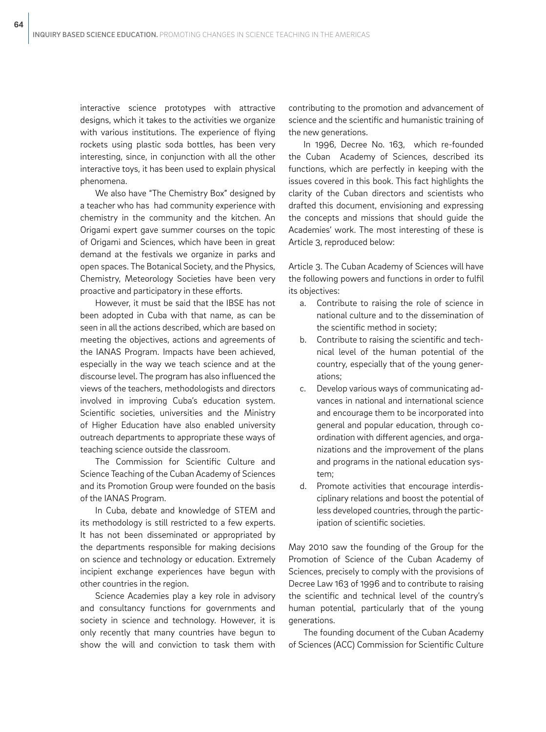interactive science prototypes with attractive designs, which it takes to the activities we organize with various institutions. The experience of flying rockets using plastic soda bottles, has been very interesting, since, in conjunction with all the other interactive toys, it has been used to explain physical phenomena.

We also have "The Chemistry Box" designed by a teacher who has had community experience with chemistry in the community and the kitchen. An Origami expert gave summer courses on the topic of Origami and Sciences, which have been in great demand at the festivals we organize in parks and open spaces. The Botanical Society, and the Physics, Chemistry, Meteorology Societies have been very proactive and participatory in these efforts.

However, it must be said that the IBSE has not been adopted in Cuba with that name, as can be seen in all the actions described, which are based on meeting the objectives, actions and agreements of the IANAS Program. Impacts have been achieved, especially in the way we teach science and at the discourse level. The program has also influenced the views of the teachers, methodologists and directors involved in improving Cuba's education system. Scientific societies, universities and the Ministry of Higher Education have also enabled university outreach departments to appropriate these ways of teaching science outside the classroom.

The Commission for Scientific Culture and Science Teaching of the Cuban Academy of Sciences and its Promotion Group were founded on the basis of the IANAS Program.

In Cuba, debate and knowledge of STEM and its methodology is still restricted to a few experts. It has not been disseminated or appropriated by the departments responsible for making decisions on science and technology or education. Extremely incipient exchange experiences have begun with other countries in the region.

Science Academies play a key role in advisory and consultancy functions for governments and society in science and technology. However, it is only recently that many countries have begun to show the will and conviction to task them with contributing to the promotion and advancement of science and the scientific and humanistic training of the new generations.

In 1996, Decree No. 163, which re-founded the Cuban Academy of Sciences, described its functions, which are perfectly in keeping with the issues covered in this book. This fact highlights the clarity of the Cuban directors and scientists who drafted this document, envisioning and expressing the concepts and missions that should guide the Academies' work. The most interesting of these is Article 3, reproduced below:

Article 3. The Cuban Academy of Sciences will have the following powers and functions in order to fulfil its objectives:

- a. Contribute to raising the role of science in national culture and to the dissemination of the scientific method in society;
- b. Contribute to raising the scientific and technical level of the human potential of the country, especially that of the young generations;
- c. Develop various ways of communicating advances in national and international science and encourage them to be incorporated into general and popular education, through coordination with different agencies, and organizations and the improvement of the plans and programs in the national education system;
- d. Promote activities that encourage interdisciplinary relations and boost the potential of less developed countries, through the participation of scientific societies.

May 2010 saw the founding of the Group for the Promotion of Science of the Cuban Academy of Sciences, precisely to comply with the provisions of Decree Law 163 of 1996 and to contribute to raising the scientific and technical level of the country's human potential, particularly that of the young generations.

The founding document of the Cuban Academy of Sciences (ACC) Commission for Scientific Culture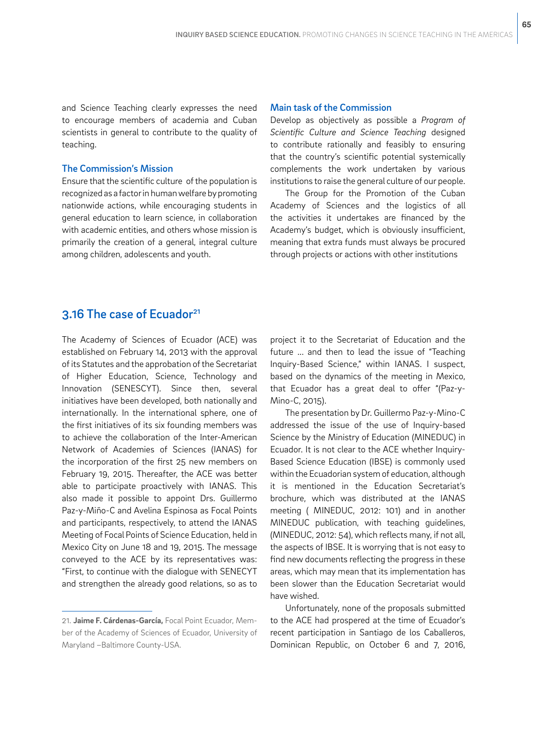and Science Teaching clearly expresses the need to encourage members of academia and Cuban scientists in general to contribute to the quality of teaching.

#### The Commission's Mission

Ensure that the scientific culture of the population is recognized as a factor in human welfare by promoting nationwide actions, while encouraging students in general education to learn science, in collaboration with academic entities, and others whose mission is primarily the creation of a general, integral culture among children, adolescents and youth.

#### Main task of the Commission

Develop as objectively as possible a *Program of Scientific Culture and Science Teaching* designed to contribute rationally and feasibly to ensuring that the country's scientific potential systemically complements the work undertaken by various institutions to raise the general culture of our people.

The Group for the Promotion of the Cuban Academy of Sciences and the logistics of all the activities it undertakes are financed by the Academy's budget, which is obviously insufficient, meaning that extra funds must always be procured through projects or actions with other institutions

# 3.16 The case of Ecuador<sup>21</sup>

The Academy of Sciences of Ecuador (ACE) was established on February 14, 2013 with the approval of its Statutes and the approbation of the Secretariat of Higher Education, Science, Technology and Innovation (SENESCYT). Since then, several initiatives have been developed, both nationally and internationally. In the international sphere, one of the first initiatives of its six founding members was to achieve the collaboration of the Inter-American Network of Academies of Sciences (IANAS) for the incorporation of the first 25 new members on February 19, 2015. Thereafter, the ACE was better able to participate proactively with IANAS. This also made it possible to appoint Drs. Guillermo Paz-y-Miño-C and Avelina Espinosa as Focal Points and participants, respectively, to attend the IANAS Meeting of Focal Points of Science Education, held in Mexico City on June 18 and 19, 2015. The message conveyed to the ACE by its representatives was: "First, to continue with the dialogue with SENECYT and strengthen the already good relations, so as to

project it to the Secretariat of Education and the future ... and then to lead the issue of "Teaching Inquiry-Based Science," within IANAS. I suspect, based on the dynamics of the meeting in Mexico, that Ecuador has a great deal to offer "(Paz-y-Mino-C, 2015).

The presentation by Dr. Guillermo Paz-y-Mino-C addressed the issue of the use of Inquiry-based Science by the Ministry of Education (MINEDUC) in Ecuador. It is not clear to the ACE whether Inquiry-Based Science Education (IBSE) is commonly used within the Ecuadorian system of education, although it is mentioned in the Education Secretariat's brochure, which was distributed at the IANAS meeting ( MINEDUC, 2012: 101) and in another MINEDUC publication, with teaching guidelines, (MINEDUC, 2012: 54), which reflects many, if not all, the aspects of IBSE. It is worrying that is not easy to find new documents reflecting the progress in these areas, which may mean that its implementation has been slower than the Education Secretariat would have wished.

Unfortunately, none of the proposals submitted to the ACE had prospered at the time of Ecuador's recent participation in Santiago de los Caballeros, Dominican Republic, on October 6 and 7, 2016,

<sup>21.</sup> **Jaime F. Cárdenas-García,** Focal Point Ecuador, Member of the Academy of Sciences of Ecuador, University of Maryland –Baltimore County-USA.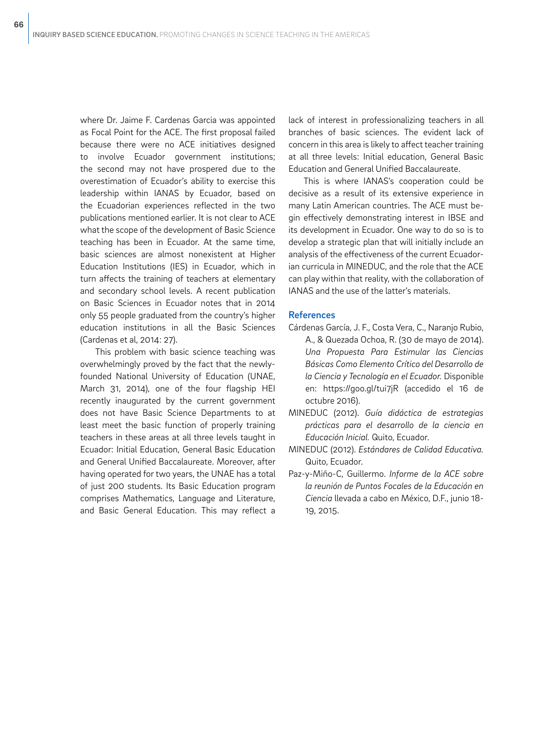where Dr. Jaime F. Cardenas Garcia was appointed as Focal Point for the ACE. The first proposal failed because there were no ACE initiatives designed to involve Ecuador government institutions; the second may not have prospered due to the overestimation of Ecuador's ability to exercise this leadership within IANAS by Ecuador, based on the Ecuadorian experiences reflected in the two publications mentioned earlier. It is not clear to ACE what the scope of the development of Basic Science teaching has been in Ecuador. At the same time, basic sciences are almost nonexistent at Higher Education Institutions (IES) in Ecuador, which in turn affects the training of teachers at elementary and secondary school levels. A recent publication on Basic Sciences in Ecuador notes that in 2014 only 55 people graduated from the country's higher education institutions in all the Basic Sciences (Cardenas et al, 2014: 27).

This problem with basic science teaching was overwhelmingly proved by the fact that the newlyfounded National University of Education (UNAE, March 31, 2014), one of the four flagship HEI recently inaugurated by the current government does not have Basic Science Departments to at least meet the basic function of properly training teachers in these areas at all three levels taught in Ecuador: Initial Education, General Basic Education and General Unified Baccalaureate. Moreover, after having operated for two years, the UNAE has a total of just 200 students. Its Basic Education program comprises Mathematics, Language and Literature, and Basic General Education. This may reflect a

lack of interest in professionalizing teachers in all branches of basic sciences. The evident lack of concern in this area is likely to affect teacher training at all three levels: Initial education, General Basic Education and General Unified Baccalaureate.

This is where IANAS's cooperation could be decisive as a result of its extensive experience in many Latin American countries. The ACE must begin effectively demonstrating interest in IBSE and its development in Ecuador. One way to do so is to develop a strategic plan that will initially include an analysis of the effectiveness of the current Ecuadorian curricula in MINEDUC, and the role that the ACE can play within that reality, with the collaboration of IANAS and the use of the latter's materials.

#### References

- Cárdenas García, J. F., Costa Vera, C., Naranjo Rubio, A., & Quezada Ochoa, R. (30 de mayo de 2014). *Una Propuesta Para Estimular las Ciencias Básicas Como Elemento Crítico del Desarrollo de la Ciencia y Tecnología en el Ecuador.* Disponible en: https://goo.gl/tui7jR (accedido el 16 de octubre 2016).
- MINEDUC (2012). *Guía didáctica de estrategias prácticas para el desarrollo de la ciencia en Educación Inicial.* Quito, Ecuador.
- MINEDUC (2012). *Estándares de Calidad Educativa.* Quito, Ecuador.
- Paz-y-Miño-C, Guillermo. *Informe de la ACE sobre la reunión de Puntos Focales de la Educación en Ciencia* llevada a cabo en México, D.F., junio 18- 19, 2015.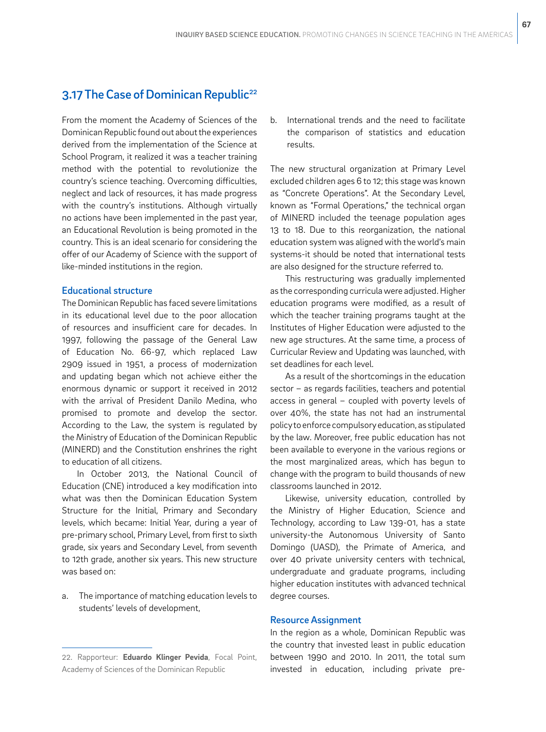# 3.17 The Case of Dominican Republic<sup>22</sup>

From the moment the Academy of Sciences of the Dominican Republic found out about the experiences derived from the implementation of the Science at School Program, it realized it was a teacher training method with the potential to revolutionize the country's science teaching. Overcoming difficulties, neglect and lack of resources, it has made progress with the country's institutions. Although virtually no actions have been implemented in the past year, an Educational Revolution is being promoted in the country. This is an ideal scenario for considering the offer of our Academy of Science with the support of like-minded institutions in the region.

### Educational structure

The Dominican Republic has faced severe limitations in its educational level due to the poor allocation of resources and insufficient care for decades. In 1997, following the passage of the General Law of Education No. 66-97, which replaced Law 2909 issued in 1951, a process of modernization and updating began which not achieve either the enormous dynamic or support it received in 2012 with the arrival of President Danilo Medina, who promised to promote and develop the sector. According to the Law, the system is regulated by the Ministry of Education of the Dominican Republic (MINERD) and the Constitution enshrines the right to education of all citizens.

In October 2013, the National Council of Education (CNE) introduced a key modification into what was then the Dominican Education System Structure for the Initial, Primary and Secondary levels, which became: Initial Year, during a year of pre-primary school, Primary Level, from first to sixth grade, six years and Secondary Level, from seventh to 12th grade, another six years. This new structure was based on:

a. The importance of matching education levels to students' levels of development,

b. International trends and the need to facilitate the comparison of statistics and education results.

The new structural organization at Primary Level excluded children ages 6 to 12; this stage was known as "Concrete Operations". At the Secondary Level, known as "Formal Operations," the technical organ of MINERD included the teenage population ages 13 to 18. Due to this reorganization, the national education system was aligned with the world's main systems-it should be noted that international tests are also designed for the structure referred to.

This restructuring was gradually implemented as the corresponding curricula were adjusted. Higher education programs were modified, as a result of which the teacher training programs taught at the Institutes of Higher Education were adjusted to the new age structures. At the same time, a process of Curricular Review and Updating was launched, with set deadlines for each level.

As a result of the shortcomings in the education sector – as regards facilities, teachers and potential access in general – coupled with poverty levels of over 40%, the state has not had an instrumental policy to enforce compulsory education, as stipulated by the law. Moreover, free public education has not been available to everyone in the various regions or the most marginalized areas, which has begun to change with the program to build thousands of new classrooms launched in 2012.

Likewise, university education, controlled by the Ministry of Higher Education, Science and Technology, according to Law 139-01, has a state university-the Autonomous University of Santo Domingo (UASD), the Primate of America, and over 40 private university centers with technical, undergraduate and graduate programs, including higher education institutes with advanced technical degree courses.

#### Resource Assignment

In the region as a whole, Dominican Republic was the country that invested least in public education between 1990 and 2010. In 2011, the total sum invested in education, including private pre-

<sup>22.</sup> Rapporteur: **Eduardo Klinger Pevida**, Focal Point, Academy of Sciences of the Dominican Republic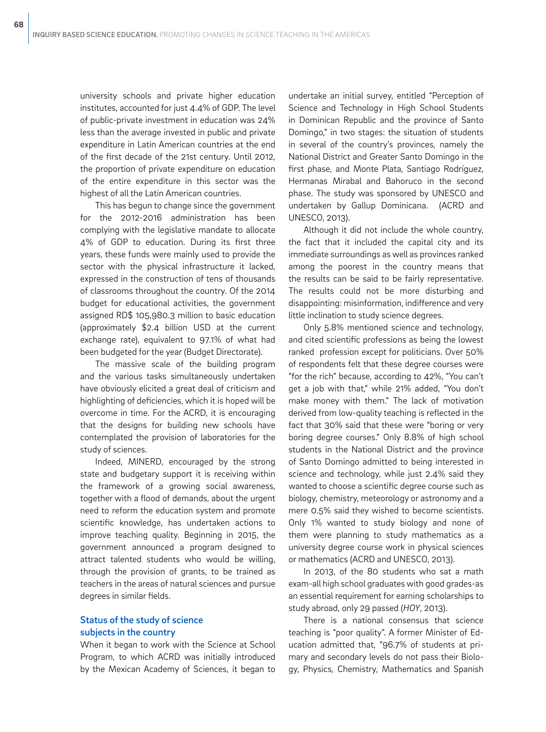university schools and private higher education institutes, accounted for just 4.4% of GDP. The level of public-private investment in education was 24% less than the average invested in public and private expenditure in Latin American countries at the end of the first decade of the 21st century. Until 2012, the proportion of private expenditure on education of the entire expenditure in this sector was the highest of all the Latin American countries.

This has begun to change since the government for the 2012-2016 administration has been complying with the legislative mandate to allocate 4% of GDP to education. During its first three years, these funds were mainly used to provide the sector with the physical infrastructure it lacked, expressed in the construction of tens of thousands of classrooms throughout the country. Of the 2014 budget for educational activities, the government assigned RD\$ 105,980.3 million to basic education (approximately \$2.4 billion USD at the current exchange rate), equivalent to 97.1% of what had been budgeted for the year (Budget Directorate).

The massive scale of the building program and the various tasks simultaneously undertaken have obviously elicited a great deal of criticism and highlighting of deficiencies, which it is hoped will be overcome in time. For the ACRD, it is encouraging that the designs for building new schools have contemplated the provision of laboratories for the study of sciences.

Indeed, MINERD, encouraged by the strong state and budgetary support it is receiving within the framework of a growing social awareness, together with a flood of demands, about the urgent need to reform the education system and promote scientific knowledge, has undertaken actions to improve teaching quality. Beginning in 2015, the government announced a program designed to attract talented students who would be willing, through the provision of grants, to be trained as teachers in the areas of natural sciences and pursue degrees in similar fields.

## Status of the study of science subjects in the country

When it began to work with the Science at School Program, to which ACRD was initially introduced by the Mexican Academy of Sciences, it began to undertake an initial survey, entitled "Perception of Science and Technology in High School Students in Dominican Republic and the province of Santo Domingo," in two stages: the situation of students in several of the country's provinces, namely the National District and Greater Santo Domingo in the first phase, and Monte Plata, Santiago Rodríguez, Hermanas Mirabal and Bahoruco in the second phase. The study was sponsored by UNESCO and undertaken by Gallup Dominicana. (ACRD and UNESCO, 2013).

Although it did not include the whole country, the fact that it included the capital city and its immediate surroundings as well as provinces ranked among the poorest in the country means that the results can be said to be fairly representative. The results could not be more disturbing and disappointing: misinformation, indifference and very little inclination to study science degrees.

Only 5.8% mentioned science and technology, and cited scientific professions as being the lowest ranked profession except for politicians. Over 50% of respondents felt that these degree courses were "for the rich" because, according to 42%, "You can't get a job with that," while 21% added, "You don't make money with them." The lack of motivation derived from low-quality teaching is reflected in the fact that 30% said that these were "boring or very boring degree courses." Only 8.8% of high school students in the National District and the province of Santo Domingo admitted to being interested in science and technology, while just 2.4% said they wanted to choose a scientific degree course such as biology, chemistry, meteorology or astronomy and a mere 0.5% said they wished to become scientists. Only 1% wanted to study biology and none of them were planning to study mathematics as a university degree course work in physical sciences or mathematics (ACRD and UNESCO, 2013).

In 2013, of the 80 students who sat a math exam-all high school graduates with good grades-as an essential requirement for earning scholarships to study abroad, only 29 passed (*HOY*, 2013).

There is a national consensus that science teaching is "poor quality". A former Minister of Education admitted that, "96.7% of students at primary and secondary levels do not pass their Biology, Physics, Chemistry, Mathematics and Spanish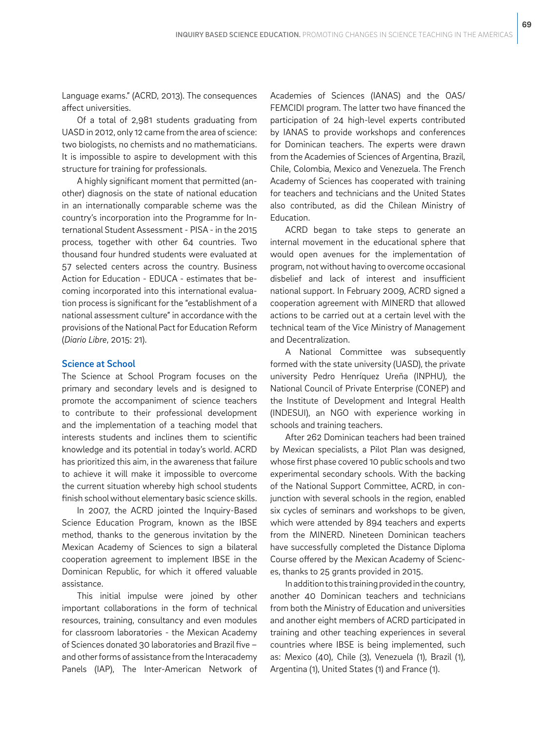Language exams." (ACRD, 2013). The consequences affect universities.

Of a total of 2,981 students graduating from UASD in 2012, only 12 came from the area of science: two biologists, no chemists and no mathematicians. It is impossible to aspire to development with this structure for training for professionals.

A highly significant moment that permitted (another) diagnosis on the state of national education in an internationally comparable scheme was the country's incorporation into the Programme for International Student Assessment - PISA - in the 2015 process, together with other 64 countries. Two thousand four hundred students were evaluated at 57 selected centers across the country. Business Action for Education - EDUCA - estimates that becoming incorporated into this international evaluation process is significant for the "establishment of a national assessment culture" in accordance with the provisions of the National Pact for Education Reform (*Diario Libre*, 2015: 21).

## Science at School

The Science at School Program focuses on the primary and secondary levels and is designed to promote the accompaniment of science teachers to contribute to their professional development and the implementation of a teaching model that interests students and inclines them to scientific knowledge and its potential in today's world. ACRD has prioritized this aim, in the awareness that failure to achieve it will make it impossible to overcome the current situation whereby high school students finish school without elementary basic science skills.

In 2007, the ACRD jointed the Inquiry-Based Science Education Program, known as the IBSE method, thanks to the generous invitation by the Mexican Academy of Sciences to sign a bilateral cooperation agreement to implement IBSE in the Dominican Republic, for which it offered valuable assistance.

This initial impulse were joined by other important collaborations in the form of technical resources, training, consultancy and even modules for classroom laboratories - the Mexican Academy of Sciences donated 30 laboratories and Brazil five – and other forms of assistance from the Interacademy Panels (IAP), The Inter-American Network of Academies of Sciences (IANAS) and the OAS/ FEMCIDI program. The latter two have financed the participation of 24 high-level experts contributed by IANAS to provide workshops and conferences for Dominican teachers. The experts were drawn from the Academies of Sciences of Argentina, Brazil, Chile, Colombia, Mexico and Venezuela. The French Academy of Sciences has cooperated with training for teachers and technicians and the United States also contributed, as did the Chilean Ministry of Education.

ACRD began to take steps to generate an internal movement in the educational sphere that would open avenues for the implementation of program, not without having to overcome occasional disbelief and lack of interest and insufficient national support. In February 2009, ACRD signed a cooperation agreement with MINERD that allowed actions to be carried out at a certain level with the technical team of the Vice Ministry of Management and Decentralization.

A National Committee was subsequently formed with the state university (UASD), the private university Pedro Henríquez Ureña (INPHU), the National Council of Private Enterprise (CONEP) and the Institute of Development and Integral Health (INDESUI), an NGO with experience working in schools and training teachers.

After 262 Dominican teachers had been trained by Mexican specialists, a Pilot Plan was designed, whose first phase covered 10 public schools and two experimental secondary schools. With the backing of the National Support Committee, ACRD, in conjunction with several schools in the region, enabled six cycles of seminars and workshops to be given, which were attended by 894 teachers and experts from the MINERD. Nineteen Dominican teachers have successfully completed the Distance Diploma Course offered by the Mexican Academy of Sciences, thanks to 25 grants provided in 2015.

In addition to this training provided in the country, another 40 Dominican teachers and technicians from both the Ministry of Education and universities and another eight members of ACRD participated in training and other teaching experiences in several countries where IBSE is being implemented, such as: Mexico (40), Chile (3), Venezuela (1), Brazil (1), Argentina (1), United States (1) and France (1).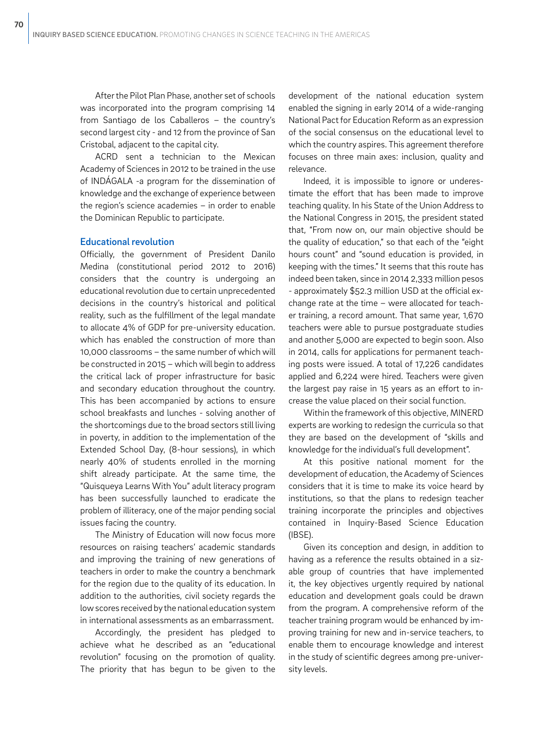After the Pilot Plan Phase, another set of schools was incorporated into the program comprising 14 from Santiago de los Caballeros – the country's second largest city - and 12 from the province of San Cristobal, adjacent to the capital city.

ACRD sent a technician to the Mexican Academy of Sciences in 2012 to be trained in the use of INDÁGALA -a program for the dissemination of knowledge and the exchange of experience between the region's science academies – in order to enable the Dominican Republic to participate.

#### Educational revolution

Officially, the government of President Danilo Medina (constitutional period 2012 to 2016) considers that the country is undergoing an educational revolution due to certain unprecedented decisions in the country's historical and political reality, such as the fulfillment of the legal mandate to allocate 4% of GDP for pre-university education. which has enabled the construction of more than 10,000 classrooms – the same number of which will be constructed in 2015 – which will begin to address the critical lack of proper infrastructure for basic and secondary education throughout the country. This has been accompanied by actions to ensure school breakfasts and lunches - solving another of the shortcomings due to the broad sectors still living in poverty, in addition to the implementation of the Extended School Day, (8-hour sessions), in which nearly 40% of students enrolled in the morning shift already participate. At the same time, the "Quisqueya Learns With You" adult literacy program has been successfully launched to eradicate the problem of illiteracy, one of the major pending social issues facing the country.

The Ministry of Education will now focus more resources on raising teachers' academic standards and improving the training of new generations of teachers in order to make the country a benchmark for the region due to the quality of its education. In addition to the authorities, civil society regards the low scores received by the national education system in international assessments as an embarrassment.

Accordingly, the president has pledged to achieve what he described as an "educational revolution" focusing on the promotion of quality. The priority that has begun to be given to the development of the national education system enabled the signing in early 2014 of a wide-ranging National Pact for Education Reform as an expression of the social consensus on the educational level to which the country aspires. This agreement therefore focuses on three main axes: inclusion, quality and relevance.

Indeed, it is impossible to ignore or underestimate the effort that has been made to improve teaching quality. In his State of the Union Address to the National Congress in 2015, the president stated that, "From now on, our main objective should be the quality of education," so that each of the "eight hours count" and "sound education is provided, in keeping with the times." It seems that this route has indeed been taken, since in 2014 2,333 million pesos - approximately \$52.3 million USD at the official exchange rate at the time – were allocated for teacher training, a record amount. That same year, 1,670 teachers were able to pursue postgraduate studies and another 5,000 are expected to begin soon. Also in 2014, calls for applications for permanent teaching posts were issued. A total of 17,226 candidates applied and 6,224 were hired. Teachers were given the largest pay raise in 15 years as an effort to increase the value placed on their social function.

Within the framework of this objective, MINERD experts are working to redesign the curricula so that they are based on the development of "skills and knowledge for the individual's full development".

At this positive national moment for the development of education, the Academy of Sciences considers that it is time to make its voice heard by institutions, so that the plans to redesign teacher training incorporate the principles and objectives contained in Inquiry-Based Science Education (IBSE).

Given its conception and design, in addition to having as a reference the results obtained in a sizable group of countries that have implemented it, the key objectives urgently required by national education and development goals could be drawn from the program. A comprehensive reform of the teacher training program would be enhanced by improving training for new and in-service teachers, to enable them to encourage knowledge and interest in the study of scientific degrees among pre-university levels.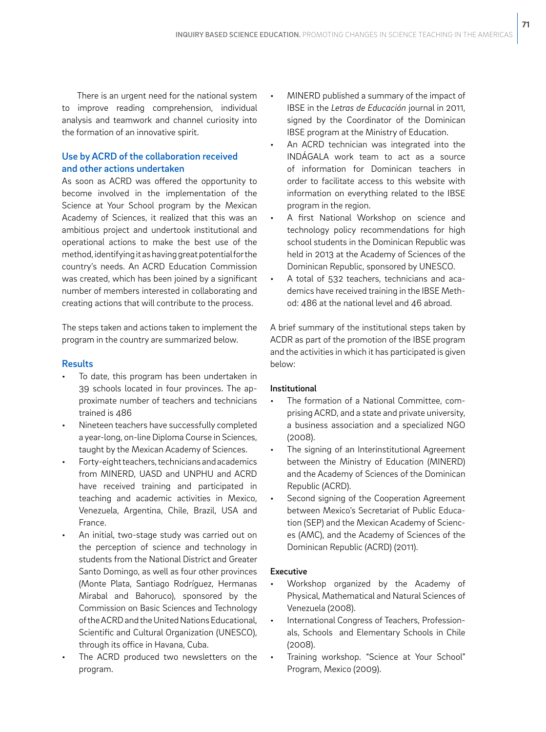There is an urgent need for the national system to improve reading comprehension, individual analysis and teamwork and channel curiosity into the formation of an innovative spirit.

## Use by ACRD of the collaboration received and other actions undertaken

As soon as ACRD was offered the opportunity to become involved in the implementation of the Science at Your School program by the Mexican Academy of Sciences, it realized that this was an ambitious project and undertook institutional and operational actions to make the best use of the method, identifying it as having great potential for the country's needs. An ACRD Education Commission was created, which has been joined by a significant number of members interested in collaborating and creating actions that will contribute to the process.

The steps taken and actions taken to implement the program in the country are summarized below.

## **Results**

- To date, this program has been undertaken in 39 schools located in four provinces. The approximate number of teachers and technicians trained is 486
- Nineteen teachers have successfully completed a year-long, on-line Diploma Course in Sciences, taught by the Mexican Academy of Sciences.
- Forty-eight teachers, technicians and academics from MINERD, UASD and UNPHU and ACRD have received training and participated in teaching and academic activities in Mexico, Venezuela, Argentina, Chile, Brazil, USA and France.
- An initial, two-stage study was carried out on the perception of science and technology in students from the National District and Greater Santo Domingo, as well as four other provinces (Monte Plata, Santiago Rodríguez, Hermanas Mirabal and Bahoruco), sponsored by the Commission on Basic Sciences and Technology of the ACRD and the United Nations Educational, Scientific and Cultural Organization (UNESCO), through its office in Havana, Cuba.
- The ACRD produced two newsletters on the program.
- MINERD published a summary of the impact of IBSE in the *Letras de Educación* journal in 2011, signed by the Coordinator of the Dominican IBSE program at the Ministry of Education.
- An ACRD technician was integrated into the INDÁGALA work team to act as a source of information for Dominican teachers in order to facilitate access to this website with information on everything related to the IBSE program in the region.
- A first National Workshop on science and technology policy recommendations for high school students in the Dominican Republic was held in 2013 at the Academy of Sciences of the Dominican Republic, sponsored by UNESCO.
- A total of 532 teachers, technicians and academics have received training in the IBSE Method: 486 at the national level and 46 abroad.

A brief summary of the institutional steps taken by ACDR as part of the promotion of the IBSE program and the activities in which it has participated is given below:

## Institutional

- The formation of a National Committee, comprising ACRD, and a state and private university, a business association and a specialized NGO (2008).
- The signing of an Interinstitutional Agreement between the Ministry of Education (MINERD) and the Academy of Sciences of the Dominican Republic (ACRD).
- Second signing of the Cooperation Agreement between Mexico's Secretariat of Public Education (SEP) and the Mexican Academy of Sciences (AMC), and the Academy of Sciences of the Dominican Republic (ACRD) (2011).

### Executive

- Workshop organized by the Academy of Physical, Mathematical and Natural Sciences of Venezuela (2008).
- International Congress of Teachers, Professionals, Schools and Elementary Schools in Chile (2008).
- Training workshop. "Science at Your School" Program, Mexico (2009).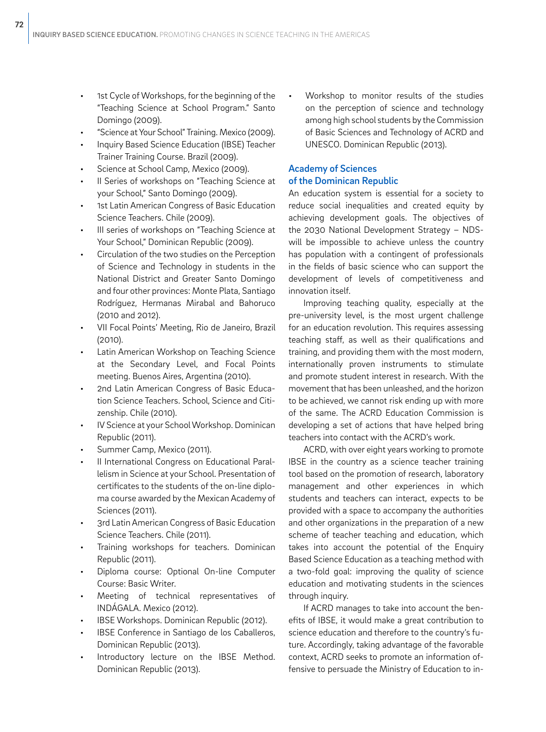- 1st Cycle of Workshops, for the beginning of the "Teaching Science at School Program." Santo Domingo (2009).
- "Science at Your School" Training. Mexico (2009).
- Inquiry Based Science Education (IBSE) Teacher Trainer Training Course. Brazil (2009).
- Science at School Camp, Mexico (2009).
- II Series of workshops on "Teaching Science at your School," Santo Domingo (2009).
- 1st Latin American Congress of Basic Education Science Teachers. Chile (2009).
- III series of workshops on "Teaching Science at Your School," Dominican Republic (2009).
- Circulation of the two studies on the Perception of Science and Technology in students in the National District and Greater Santo Domingo and four other provinces: Monte Plata, Santiago Rodríguez, Hermanas Mirabal and Bahoruco (2010 and 2012).
- VII Focal Points' Meeting, Rio de Janeiro, Brazil (2010).
- Latin American Workshop on Teaching Science at the Secondary Level, and Focal Points meeting. Buenos Aires, Argentina (2010).
- 2nd Latin American Congress of Basic Education Science Teachers. School, Science and Citizenship. Chile (2010).
- IV Science at your School Workshop. Dominican Republic (2011).
- Summer Camp, Mexico (2011).
- II International Congress on Educational Parallelism in Science at your School. Presentation of certificates to the students of the on-line diploma course awarded by the Mexican Academy of Sciences (2011).
- 3rd Latin American Congress of Basic Education Science Teachers. Chile (2011).
- Training workshops for teachers. Dominican Republic (2011).
- Diploma course: Optional On-line Computer Course: Basic Writer.
- Meeting of technical representatives of INDÁGALA. Mexico (2012).
- IBSE Workshops. Dominican Republic (2012).
- IBSE Conference in Santiago de los Caballeros, Dominican Republic (2013).
- Introductory lecture on the IBSE Method. Dominican Republic (2013).

• Workshop to monitor results of the studies on the perception of science and technology among high school students by the Commission of Basic Sciences and Technology of ACRD and UNESCO. Dominican Republic (2013).

### Academy of Sciences of the Dominican Republic

An education system is essential for a society to reduce social inequalities and created equity by achieving development goals. The objectives of the 2030 National Development Strategy – NDSwill be impossible to achieve unless the country has population with a contingent of professionals in the fields of basic science who can support the development of levels of competitiveness and innovation itself.

Improving teaching quality, especially at the pre-university level, is the most urgent challenge for an education revolution. This requires assessing teaching staff, as well as their qualifications and training, and providing them with the most modern, internationally proven instruments to stimulate and promote student interest in research. With the movement that has been unleashed, and the horizon to be achieved, we cannot risk ending up with more of the same. The ACRD Education Commission is developing a set of actions that have helped bring teachers into contact with the ACRD's work.

ACRD, with over eight years working to promote IBSE in the country as a science teacher training tool based on the promotion of research, laboratory management and other experiences in which students and teachers can interact, expects to be provided with a space to accompany the authorities and other organizations in the preparation of a new scheme of teacher teaching and education, which takes into account the potential of the Enquiry Based Science Education as a teaching method with a two-fold goal: improving the quality of science education and motivating students in the sciences through inquiry.

If ACRD manages to take into account the benefits of IBSE, it would make a great contribution to science education and therefore to the country's future. Accordingly, taking advantage of the favorable context, ACRD seeks to promote an information offensive to persuade the Ministry of Education to in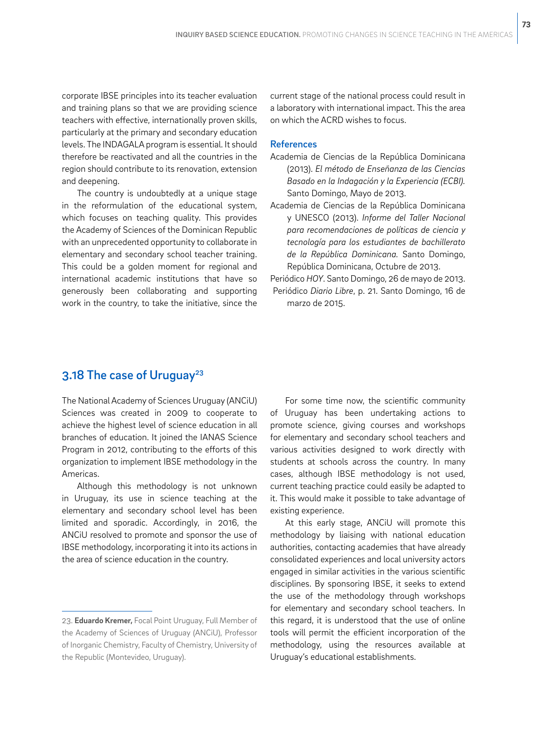corporate IBSE principles into its teacher evaluation and training plans so that we are providing science teachers with effective, internationally proven skills, particularly at the primary and secondary education levels. The INDAGALA program is essential. It should therefore be reactivated and all the countries in the region should contribute to its renovation, extension and deepening.

The country is undoubtedly at a unique stage in the reformulation of the educational system, which focuses on teaching quality. This provides the Academy of Sciences of the Dominican Republic with an unprecedented opportunity to collaborate in elementary and secondary school teacher training. This could be a golden moment for regional and international academic institutions that have so generously been collaborating and supporting work in the country, to take the initiative, since the current stage of the national process could result in a laboratory with international impact. This the area on which the ACRD wishes to focus.

### References

- Academia de Ciencias de la República Dominicana (2013). *El método de Enseñanza de las Ciencias Basado en la Indagación y la Experiencia (ECBI).*  Santo Domingo, Mayo de 2013.
- Academia de Ciencias de la República Dominicana y UNESCO (2013). *Informe del Taller Nacional para recomendaciones de políticas de ciencia y tecnología para los estudiantes de bachillerato de la República Dominicana.* Santo Domingo, República Dominicana, Octubre de 2013.
- Periódico *HOY*. Santo Domingo, 26 de mayo de 2013. Periódico *Diario Libre*, p. 21. Santo Domingo, 16 de marzo de 2015.

## 3.18 The case of Uruguay<sup>23</sup>

The National Academy of Sciences Uruguay (ANCiU) Sciences was created in 2009 to cooperate to achieve the highest level of science education in all branches of education. It joined the IANAS Science Program in 2012, contributing to the efforts of this organization to implement IBSE methodology in the Americas.

Although this methodology is not unknown in Uruguay, its use in science teaching at the elementary and secondary school level has been limited and sporadic. Accordingly, in 2016, the ANCiU resolved to promote and sponsor the use of IBSE methodology, incorporating it into its actions in the area of science education in the country.

For some time now, the scientific community of Uruguay has been undertaking actions to promote science, giving courses and workshops for elementary and secondary school teachers and various activities designed to work directly with students at schools across the country. In many cases, although IBSE methodology is not used, current teaching practice could easily be adapted to it. This would make it possible to take advantage of existing experience.

At this early stage, ANCiU will promote this methodology by liaising with national education authorities, contacting academies that have already consolidated experiences and local university actors engaged in similar activities in the various scientific disciplines. By sponsoring IBSE, it seeks to extend the use of the methodology through workshops for elementary and secondary school teachers. In this regard, it is understood that the use of online tools will permit the efficient incorporation of the methodology, using the resources available at Uruguay's educational establishments.

<sup>23.</sup> **Eduardo Kremer,** Focal Point Uruguay, Full Member of the Academy of Sciences of Uruguay (ANCiU), Professor of Inorganic Chemistry, Faculty of Chemistry, University of the Republic (Montevideo, Uruguay).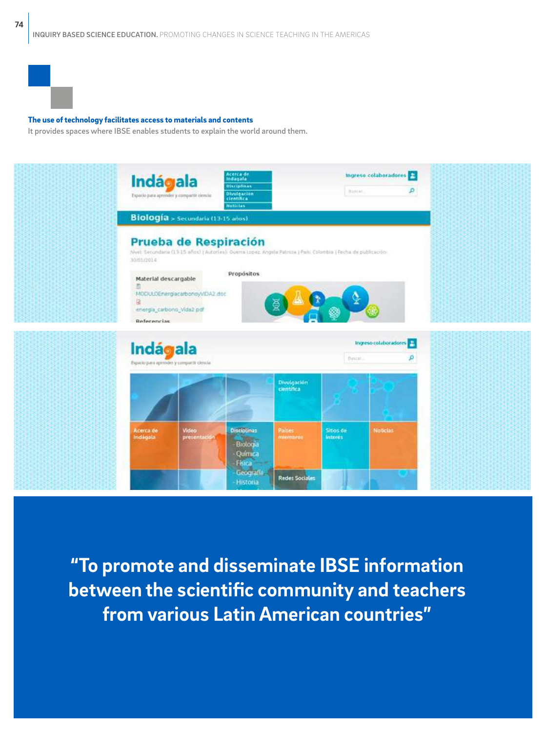

### The use of technology facilitates access to materials and contents

It provides spaces where IBSE enables students to explain the world around them.



**"To promote and disseminate IBSE information between the scientific community and teachers from various Latin American countries"**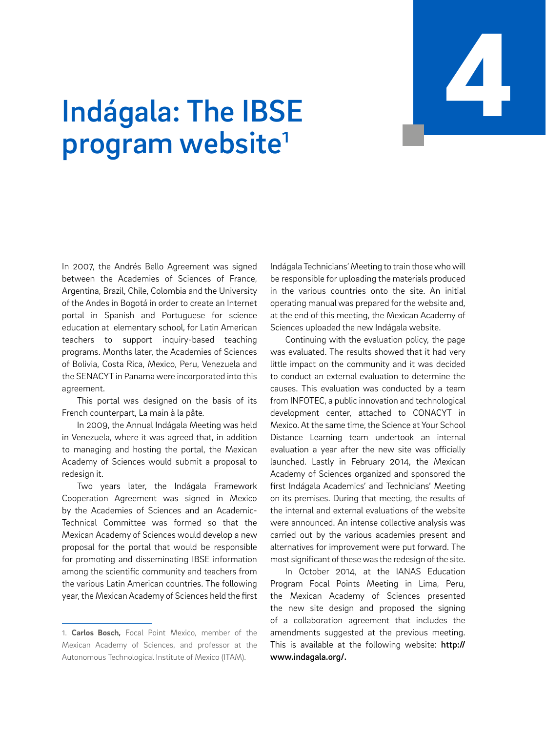# INQUIRY BASED SCIENCE EDUCATION. PROMOTING CHANGES IN SCIENCE TEACHING IN THE AMERICAS 4

# Indágala: The IBSE program website<sup>1</sup>

In 2007, the Andrés Bello Agreement was signed between the Academies of Sciences of France, Argentina, Brazil, Chile, Colombia and the University of the Andes in Bogotá in order to create an Internet portal in Spanish and Portuguese for science education at elementary school, for Latin American teachers to support inquiry-based teaching programs. Months later, the Academies of Sciences of Bolivia, Costa Rica, Mexico, Peru, Venezuela and the SENACYT in Panama were incorporated into this agreement.

This portal was designed on the basis of its French counterpart, La main à la pâte*.*

In 2009, the Annual Indágala Meeting was held in Venezuela, where it was agreed that, in addition to managing and hosting the portal, the Mexican Academy of Sciences would submit a proposal to redesign it.

Two years later, the Indágala Framework Cooperation Agreement was signed in Mexico by the Academies of Sciences and an Academic-Technical Committee was formed so that the Mexican Academy of Sciences would develop a new proposal for the portal that would be responsible for promoting and disseminating IBSE information among the scientific community and teachers from the various Latin American countries. The following year, the Mexican Academy of Sciences held the first Indágala Technicians' Meeting to train those who will be responsible for uploading the materials produced in the various countries onto the site. An initial operating manual was prepared for the website and, at the end of this meeting, the Mexican Academy of Sciences uploaded the new Indágala website.

Continuing with the evaluation policy, the page was evaluated. The results showed that it had very little impact on the community and it was decided to conduct an external evaluation to determine the causes. This evaluation was conducted by a team from INFOTEC, a public innovation and technological development center, attached to CONACYT in Mexico. At the same time, the Science at Your School Distance Learning team undertook an internal evaluation a year after the new site was officially launched. Lastly in February 2014, the Mexican Academy of Sciences organized and sponsored the first Indágala Academics' and Technicians' Meeting on its premises. During that meeting, the results of the internal and external evaluations of the website were announced. An intense collective analysis was carried out by the various academies present and alternatives for improvement were put forward. The most significant of these was the redesign of the site.

In October 2014, at the IANAS Education Program Focal Points Meeting in Lima, Peru, the Mexican Academy of Sciences presented the new site design and proposed the signing of a collaboration agreement that includes the amendments suggested at the previous meeting. This is available at the following website: http:// www.indagala.org/.

<sup>1.</sup> **Carlos Bosch,** Focal Point Mexico, member of the Mexican Academy of Sciences, and professor at the Autonomous Technological Institute of Mexico (ITAM).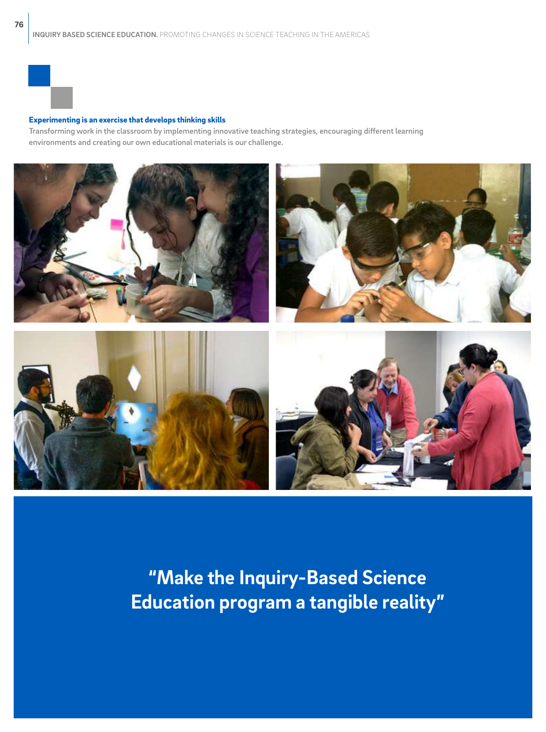#### Experimenting is an exercise that develops thinking skills

Transforming work in the classroom by implementing innovative teaching strategies, encouraging different learning environments and creating our own educational materials is our challenge.



**"Make the Inquiry-Based Science Education program a tangible reality"**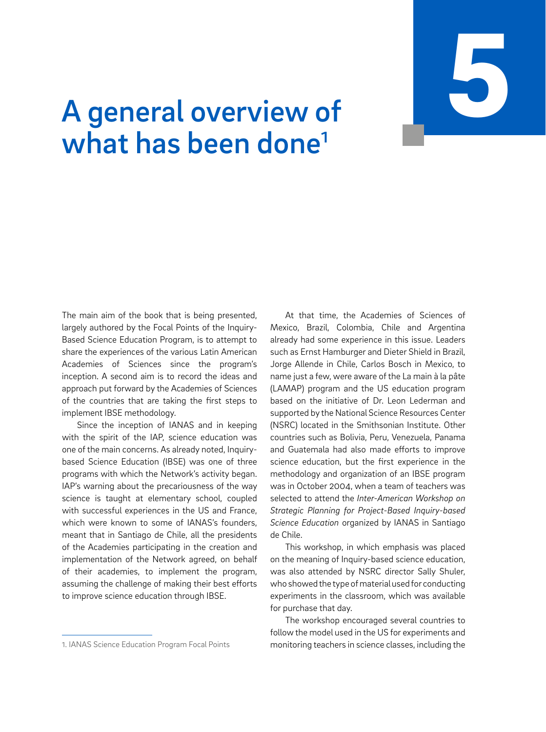INQUIRY BASED SCIENCE EDUCATION. PROMOTING CHANGES IN SCIENCE TEACHING IN THE AMERICAS 5

# A general overview of what has been done<sup>1</sup>

The main aim of the book that is being presented, largely authored by the Focal Points of the Inquiry-Based Science Education Program, is to attempt to share the experiences of the various Latin American Academies of Sciences since the program's inception. A second aim is to record the ideas and approach put forward by the Academies of Sciences of the countries that are taking the first steps to implement IBSE methodology.

Since the inception of IANAS and in keeping with the spirit of the IAP, science education was one of the main concerns. As already noted, Inquirybased Science Education (IBSE) was one of three programs with which the Network's activity began. IAP's warning about the precariousness of the way science is taught at elementary school, coupled with successful experiences in the US and France, which were known to some of IANAS's founders. meant that in Santiago de Chile, all the presidents of the Academies participating in the creation and implementation of the Network agreed, on behalf of their academies, to implement the program, assuming the challenge of making their best efforts to improve science education through IBSE.

1. IANAS Science Education Program Focal Points

At that time, the Academies of Sciences of Mexico, Brazil, Colombia, Chile and Argentina already had some experience in this issue. Leaders such as Ernst Hamburger and Dieter Shield in Brazil, Jorge Allende in Chile, Carlos Bosch in Mexico, to name just a few, were aware of the La main à la pâte (LAMAP) program and the US education program based on the initiative of Dr. Leon Lederman and supported by the National Science Resources Center (NSRC) located in the Smithsonian Institute. Other countries such as Bolivia, Peru, Venezuela, Panama and Guatemala had also made efforts to improve science education, but the first experience in the methodology and organization of an IBSE program was in October 2004, when a team of teachers was selected to attend the *Inter-American Workshop on Strategic Planning for Project-Based Inquiry-based Science Education* organized by IANAS in Santiago de Chile.

This workshop, in which emphasis was placed on the meaning of Inquiry-based science education, was also attended by NSRC director Sally Shuler, who showed the type of material used for conducting experiments in the classroom, which was available for purchase that day.

The workshop encouraged several countries to follow the model used in the US for experiments and monitoring teachers in science classes, including the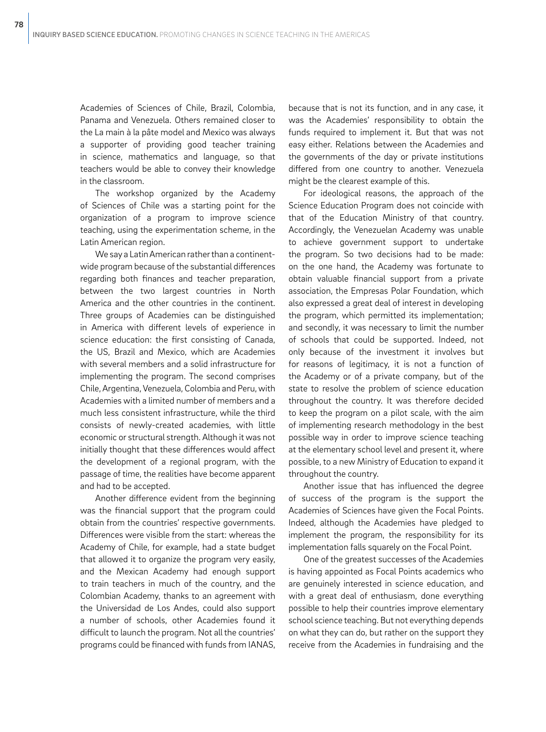Academies of Sciences of Chile, Brazil, Colombia, Panama and Venezuela. Others remained closer to the La main à la pâte model and Mexico was always a supporter of providing good teacher training in science, mathematics and language, so that teachers would be able to convey their knowledge in the classroom.

The workshop organized by the Academy of Sciences of Chile was a starting point for the organization of a program to improve science teaching, using the experimentation scheme, in the Latin American region.

We say a Latin American rather than a continentwide program because of the substantial differences regarding both finances and teacher preparation, between the two largest countries in North America and the other countries in the continent. Three groups of Academies can be distinguished in America with different levels of experience in science education: the first consisting of Canada, the US, Brazil and Mexico, which are Academies with several members and a solid infrastructure for implementing the program. The second comprises Chile, Argentina, Venezuela, Colombia and Peru, with Academies with a limited number of members and a much less consistent infrastructure, while the third consists of newly-created academies, with little economic or structural strength. Although it was not initially thought that these differences would affect the development of a regional program, with the passage of time, the realities have become apparent and had to be accepted.

Another difference evident from the beginning was the financial support that the program could obtain from the countries' respective governments. Differences were visible from the start: whereas the Academy of Chile, for example, had a state budget that allowed it to organize the program very easily, and the Mexican Academy had enough support to train teachers in much of the country, and the Colombian Academy, thanks to an agreement with the Universidad de Los Andes, could also support a number of schools, other Academies found it difficult to launch the program. Not all the countries' programs could be financed with funds from IANAS,

because that is not its function, and in any case, it was the Academies' responsibility to obtain the funds required to implement it. But that was not easy either. Relations between the Academies and the governments of the day or private institutions differed from one country to another. Venezuela might be the clearest example of this.

For ideological reasons, the approach of the Science Education Program does not coincide with that of the Education Ministry of that country. Accordingly, the Venezuelan Academy was unable to achieve government support to undertake the program. So two decisions had to be made: on the one hand, the Academy was fortunate to obtain valuable financial support from a private association, the Empresas Polar Foundation, which also expressed a great deal of interest in developing the program, which permitted its implementation; and secondly, it was necessary to limit the number of schools that could be supported. Indeed, not only because of the investment it involves but for reasons of legitimacy, it is not a function of the Academy or of a private company, but of the state to resolve the problem of science education throughout the country. It was therefore decided to keep the program on a pilot scale, with the aim of implementing research methodology in the best possible way in order to improve science teaching at the elementary school level and present it, where possible, to a new Ministry of Education to expand it throughout the country.

Another issue that has influenced the degree of success of the program is the support the Academies of Sciences have given the Focal Points. Indeed, although the Academies have pledged to implement the program, the responsibility for its implementation falls squarely on the Focal Point.

One of the greatest successes of the Academies is having appointed as Focal Points academics who are genuinely interested in science education, and with a great deal of enthusiasm, done everything possible to help their countries improve elementary school science teaching. But not everything depends on what they can do, but rather on the support they receive from the Academies in fundraising and the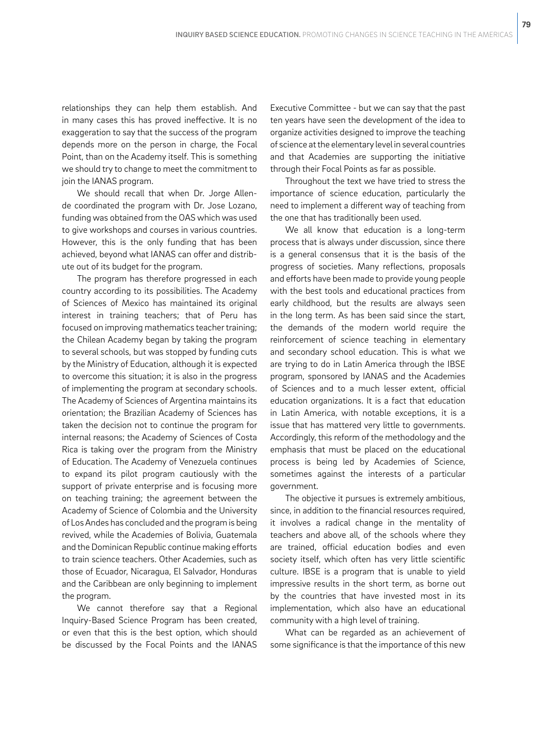relationships they can help them establish. And in many cases this has proved ineffective. It is no exaggeration to say that the success of the program depends more on the person in charge, the Focal Point, than on the Academy itself. This is something we should try to change to meet the commitment to join the IANAS program.

We should recall that when Dr. Jorge Allende coordinated the program with Dr. Jose Lozano, funding was obtained from the OAS which was used to give workshops and courses in various countries. However, this is the only funding that has been achieved, beyond what IANAS can offer and distribute out of its budget for the program.

The program has therefore progressed in each country according to its possibilities. The Academy of Sciences of Mexico has maintained its original interest in training teachers; that of Peru has focused on improving mathematics teacher training; the Chilean Academy began by taking the program to several schools, but was stopped by funding cuts by the Ministry of Education, although it is expected to overcome this situation; it is also in the progress of implementing the program at secondary schools. The Academy of Sciences of Argentina maintains its orientation; the Brazilian Academy of Sciences has taken the decision not to continue the program for internal reasons; the Academy of Sciences of Costa Rica is taking over the program from the Ministry of Education. The Academy of Venezuela continues to expand its pilot program cautiously with the support of private enterprise and is focusing more on teaching training; the agreement between the Academy of Science of Colombia and the University of Los Andes has concluded and the program is being revived, while the Academies of Bolivia, Guatemala and the Dominican Republic continue making efforts to train science teachers. Other Academies, such as those of Ecuador, Nicaragua, El Salvador, Honduras and the Caribbean are only beginning to implement the program.

We cannot therefore say that a Regional Inquiry-Based Science Program has been created, or even that this is the best option, which should be discussed by the Focal Points and the IANAS

Executive Committee - but we can say that the past ten years have seen the development of the idea to organize activities designed to improve the teaching of science at the elementary level in several countries and that Academies are supporting the initiative through their Focal Points as far as possible.

Throughout the text we have tried to stress the importance of science education, particularly the need to implement a different way of teaching from the one that has traditionally been used.

We all know that education is a long-term process that is always under discussion, since there is a general consensus that it is the basis of the progress of societies. Many reflections, proposals and efforts have been made to provide young people with the best tools and educational practices from early childhood, but the results are always seen in the long term. As has been said since the start, the demands of the modern world require the reinforcement of science teaching in elementary and secondary school education. This is what we are trying to do in Latin America through the IBSE program, sponsored by IANAS and the Academies of Sciences and to a much lesser extent, official education organizations. It is a fact that education in Latin America, with notable exceptions, it is a issue that has mattered very little to governments. Accordingly, this reform of the methodology and the emphasis that must be placed on the educational process is being led by Academies of Science, sometimes against the interests of a particular government.

The objective it pursues is extremely ambitious, since, in addition to the financial resources required, it involves a radical change in the mentality of teachers and above all, of the schools where they are trained, official education bodies and even society itself, which often has very little scientific culture. IBSE is a program that is unable to yield impressive results in the short term, as borne out by the countries that have invested most in its implementation, which also have an educational community with a high level of training.

What can be regarded as an achievement of some significance is that the importance of this new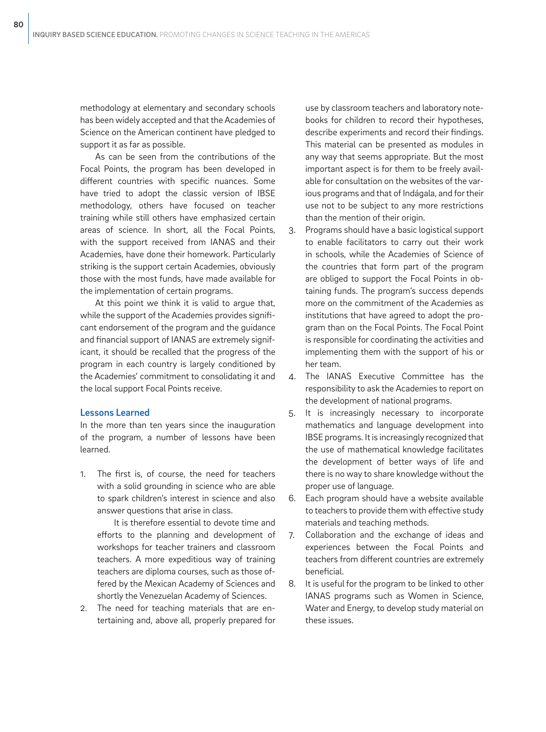methodology at elementary and secondary schools has been widely accepted and that the Academies of Science on the American continent have pledged to support it as far as possible.

As can be seen from the contributions of the Focal Points, the program has been developed in different countries with specific nuances. Some have tried to adopt the classic version of IBSE methodology, others have focused on teacher training while still others have emphasized certain areas of science. In short, all the Focal Points, with the support received from IANAS and their Academies, have done their homework. Particularly striking is the support certain Academies, obviously those with the most funds, have made available for the implementation of certain programs.

At this point we think it is valid to argue that, while the support of the Academies provides significant endorsement of the program and the guidance and financial support of IANAS are extremely significant, it should be recalled that the progress of the program in each country is largely conditioned by the Academies' commitment to consolidating it and the local support Focal Points receive.

### Lessons Learned

In the more than ten years since the inauguration of the program, a number of lessons have been learned.

1. The first is, of course, the need for teachers with a solid grounding in science who are able to spark children's interest in science and also answer questions that arise in class.

It is therefore essential to devote time and efforts to the planning and development of workshops for teacher trainers and classroom teachers. A more expeditious way of training teachers are diploma courses, such as those offered by the Mexican Academy of Sciences and shortly the Venezuelan Academy of Sciences.

2. The need for teaching materials that are entertaining and, above all, properly prepared for use by classroom teachers and laboratory notebooks for children to record their hypotheses, describe experiments and record their findings. This material can be presented as modules in any way that seems appropriate. But the most important aspect is for them to be freely available for consultation on the websites of the various programs and that of Indágala, and for their use not to be subject to any more restrictions than the mention of their origin.

- 3. Programs should have a basic logistical support to enable facilitators to carry out their work in schools, while the Academies of Science of the countries that form part of the program are obliged to support the Focal Points in obtaining funds. The program's success depends more on the commitment of the Academies as institutions that have agreed to adopt the program than on the Focal Points. The Focal Point is responsible for coordinating the activities and implementing them with the support of his or her team.
- 4. The IANAS Executive Committee has the responsibility to ask the Academies to report on the development of national programs.
- 5. It is increasingly necessary to incorporate mathematics and language development into IBSE programs. It is increasingly recognized that the use of mathematical knowledge facilitates the development of better ways of life and there is no way to share knowledge without the proper use of language.
- 6. Each program should have a website available to teachers to provide them with effective study materials and teaching methods.
- 7. Collaboration and the exchange of ideas and experiences between the Focal Points and teachers from different countries are extremely beneficial.
- 8. It is useful for the program to be linked to other IANAS programs such as Women in Science, Water and Energy, to develop study material on these issues.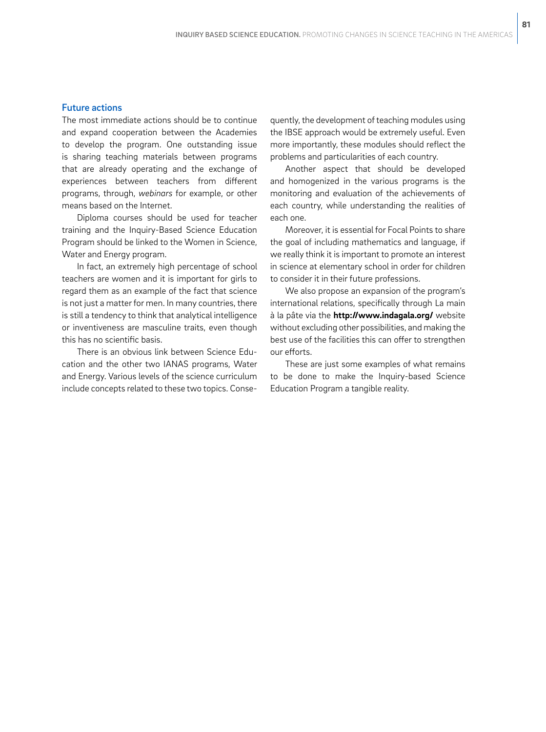### Future actions

The most immediate actions should be to continue and expand cooperation between the Academies to develop the program. One outstanding issue is sharing teaching materials between programs that are already operating and the exchange of experiences between teachers from different programs, through, *webinars* for example, or other means based on the Internet.

Diploma courses should be used for teacher training and the Inquiry-Based Science Education Program should be linked to the Women in Science, Water and Energy program.

In fact, an extremely high percentage of school teachers are women and it is important for girls to regard them as an example of the fact that science is not just a matter for men. In many countries, there is still a tendency to think that analytical intelligence or inventiveness are masculine traits, even though this has no scientific basis.

There is an obvious link between Science Education and the other two IANAS programs, Water and Energy. Various levels of the science curriculum include concepts related to these two topics. Consequently, the development of teaching modules using the IBSE approach would be extremely useful. Even more importantly, these modules should reflect the problems and particularities of each country.

Another aspect that should be developed and homogenized in the various programs is the monitoring and evaluation of the achievements of each country, while understanding the realities of each one.

Moreover, it is essential for Focal Points to share the goal of including mathematics and language, if we really think it is important to promote an interest in science at elementary school in order for children to consider it in their future professions.

We also propose an expansion of the program's international relations, specifically through La main à la pâte via the **http://www.indagala.org/** website without excluding other possibilities, and making the best use of the facilities this can offer to strengthen our efforts.

These are just some examples of what remains to be done to make the Inquiry-based Science Education Program a tangible reality.